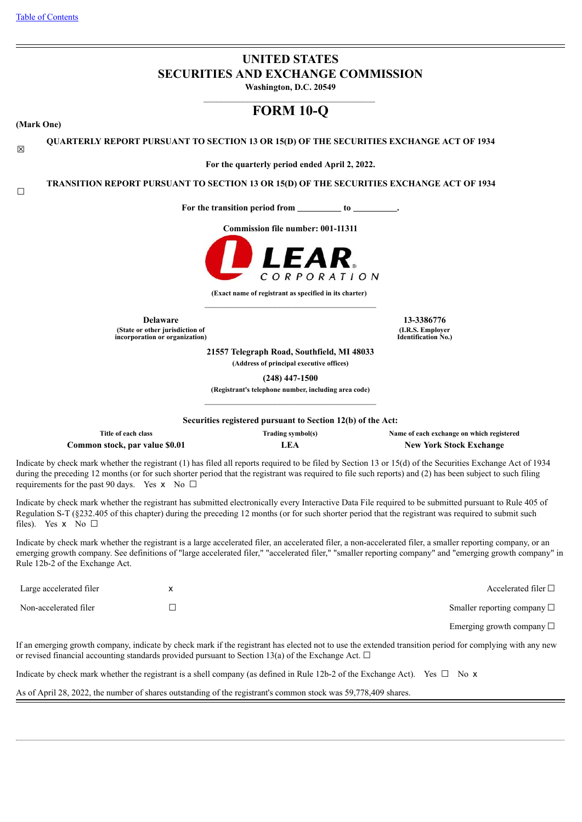# **UNITED STATES SECURITIES AND EXCHANGE COMMISSION**

**Washington, D.C. 20549** \_\_\_\_\_\_\_\_\_\_\_\_\_\_\_\_\_\_\_\_\_\_\_\_\_\_\_\_\_\_\_\_\_\_\_\_\_\_\_

# **FORM 10-Q**

**(Mark One)**

☒

 $\Box$ 

**QUARTERLY REPORT PURSUANT TO SECTION 13 OR 15(D) OF THE SECURITIES EXCHANGE ACT OF 1934**

**For the quarterly period ended April 2, 2022.**

**TRANSITION REPORT PURSUANT TO SECTION 13 OR 15(D) OF THE SECURITIES EXCHANGE ACT OF 1934**

**For the transition period from to .**





**(Exact name of registrant as specified in its charter)** \_\_\_\_\_\_\_\_\_\_\_\_\_\_\_\_\_\_\_\_\_\_\_\_\_\_\_\_\_\_\_\_\_\_\_\_\_\_\_

**Delaware 13-3386776 (State or other jurisdiction of incorporation or organization)**

> **21557 Telegraph Road, Southfield, MI 48033 (Address of principal executive offices)**

> > **(248) 447-1500**

**(Registrant's telephone number, including area code)**  $\mathcal{L}_\text{max}$ 

**Securities registered pursuant to Section 12(b) of the Act: Title of each class Trading symbol(s) Name of each exchange on which registered Common stock,** par value \$0.01 **LEA LEA New York Stock Exchange** 

Indicate by check mark whether the registrant (1) has filed all reports required to be filed by Section 13 or 15(d) of the Securities Exchange Act of 1934 during the preceding 12 months (or for such shorter period that the registrant was required to file such reports) and (2) has been subject to such filing requirements for the past 90 days. Yes  $x \to 0$ 

Indicate by check mark whether the registrant has submitted electronically every Interactive Data File required to be submitted pursuant to Rule 405 of Regulation S-T (§232.405 of this chapter) during the preceding 12 months (or for such shorter period that the registrant was required to submit such files). Yes  $x \in N_0 \square$ 

Indicate by check mark whether the registrant is a large accelerated filer, an accelerated filer, a non-accelerated filer, a smaller reporting company, or an emerging growth company. See definitions of "large accelerated filer," "accelerated filer," "smaller reporting company" and "emerging growth company" in Rule 12b-2 of the Exchange Act.

| Large accelerated filer | Accelerated filer $\square$      |
|-------------------------|----------------------------------|
| Non-accelerated filer   | Smaller reporting company $\Box$ |
|                         | Emerging growth company $\Box$   |

If an emerging growth company, indicate by check mark if the registrant has elected not to use the extended transition period for complying with any new or revised financial accounting standards provided pursuant to Section 13(a) of the Exchange Act.  $\Box$ 

Indicate by check mark whether the registrant is a shell company (as defined in Rule 12b-2 of the Exchange Act). Yes  $\Box$  No x

<span id="page-0-0"></span>As of April 28, 2022, the number of shares outstanding of the registrant's common stock was 59,778,409 shares.

**(I.R.S. Employer Identification No.)**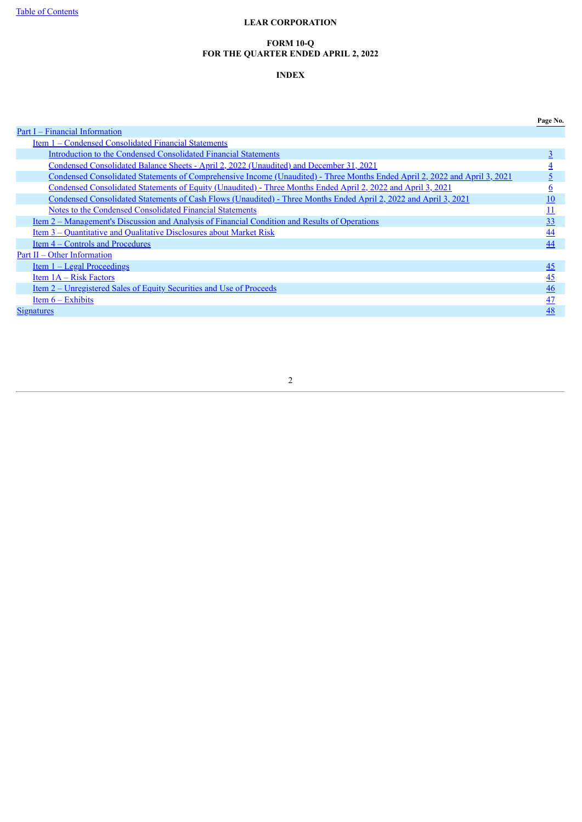### **FORM 10-Q FOR THE QUARTER ENDED APRIL 2, 2022**

## **INDEX**

<span id="page-1-0"></span>

|                                                                                                                            | Page No.                |
|----------------------------------------------------------------------------------------------------------------------------|-------------------------|
| <b>Part I – Financial Information</b>                                                                                      |                         |
| Item 1 – Condensed Consolidated Financial Statements                                                                       |                         |
| <b>Introduction to the Condensed Consolidated Financial Statements</b>                                                     |                         |
| Condensed Consolidated Balance Sheets - April 2, 2022 (Unaudited) and December 31, 2021                                    | $\overline{\texttt{4}}$ |
| Condensed Consolidated Statements of Comprehensive Income (Unaudited) - Three Months Ended April 2, 2022 and April 3, 2021 |                         |
| Condensed Consolidated Statements of Equity (Unaudited) - Three Months Ended April 2, 2022 and April 3, 2021               | $\overline{\mathbf{o}}$ |
| Condensed Consolidated Statements of Cash Flows (Unaudited) - Three Months Ended April 2, 2022 and April 3, 2021           | <u>10</u>               |
| <b>Notes to the Condensed Consolidated Financial Statements</b>                                                            | $\overline{11}$         |
| <u>Item 2 – Management's Discussion and Analysis of Financial Condition and Results of Operations</u>                      | 33                      |
| <u>Item 3 – Quantitative and Qualitative Disclosures about Market Risk</u>                                                 | <u>44</u>               |
| <u>Item 4 – Controls and Procedures</u>                                                                                    | 44                      |
| <u>Part II – Other Information</u>                                                                                         |                         |
| $Item 1 - Legal Proceedings$                                                                                               | <u>45</u>               |
| Item $1A - Risk Factors$                                                                                                   | 45                      |
| <u>Item 2 – Unregistered Sales of Equity Securities and Use of Proceeds</u>                                                | $\overline{46}$         |
| Item $6 -$ Exhibits                                                                                                        | 47                      |
| <b>Signatures</b>                                                                                                          | 48                      |
|                                                                                                                            |                         |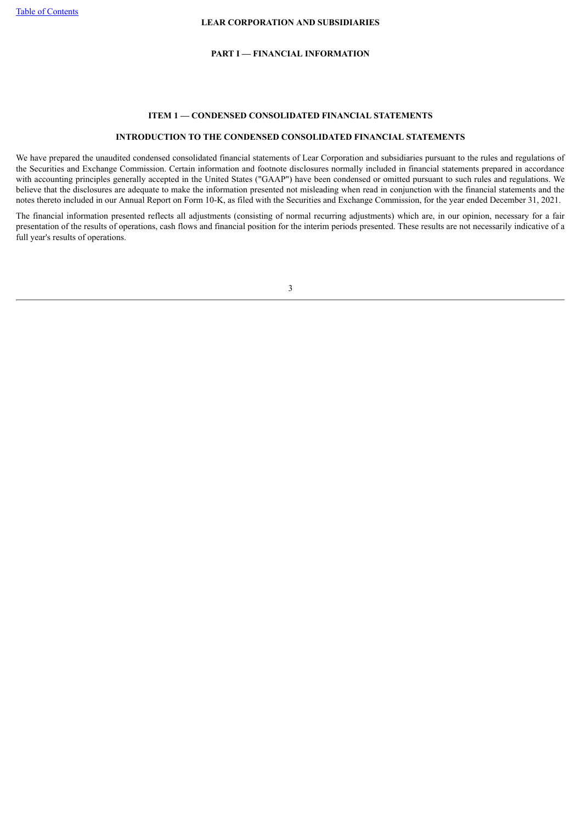### **PART I — FINANCIAL INFORMATION**

## **ITEM 1 — CONDENSED CONSOLIDATED FINANCIAL STATEMENTS**

## **INTRODUCTION TO THE CONDENSED CONSOLIDATED FINANCIAL STATEMENTS**

<span id="page-2-1"></span><span id="page-2-0"></span>We have prepared the unaudited condensed consolidated financial statements of Lear Corporation and subsidiaries pursuant to the rules and regulations of the Securities and Exchange Commission. Certain information and footnote disclosures normally included in financial statements prepared in accordance with accounting principles generally accepted in the United States ("GAAP") have been condensed or omitted pursuant to such rules and regulations. We believe that the disclosures are adequate to make the information presented not misleading when read in conjunction with the financial statements and the notes thereto included in our Annual Report on Form 10-K, as filed with the Securities and Exchange Commission, for the year ended December 31, 2021.

<span id="page-2-2"></span>The financial information presented reflects all adjustments (consisting of normal recurring adjustments) which are, in our opinion, necessary for a fair presentation of the results of operations, cash flows and financial position for the interim periods presented. These results are not necessarily indicative of a full year's results of operations.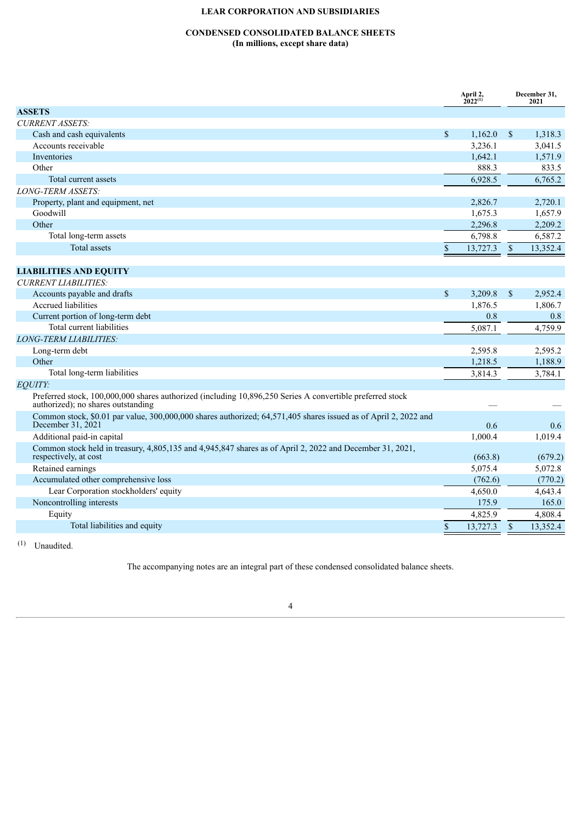## **CONDENSED CONSOLIDATED BALANCE SHEETS (In millions, except share data)**

|                                                                                                                                                 |              | April 2,<br>2022 <sup>(1)</sup> |              | December 31,<br>2021 |
|-------------------------------------------------------------------------------------------------------------------------------------------------|--------------|---------------------------------|--------------|----------------------|
| <b>ASSETS</b>                                                                                                                                   |              |                                 |              |                      |
| <b>CURRENT ASSETS:</b>                                                                                                                          |              |                                 |              |                      |
| Cash and cash equivalents                                                                                                                       | $\mathbb{S}$ | 1,162.0                         | $\mathbb{S}$ | 1,318.3              |
| Accounts receivable                                                                                                                             |              | 3,236.1                         |              | 3,041.5              |
| Inventories                                                                                                                                     |              | 1,642.1                         |              | 1,571.9              |
| Other                                                                                                                                           |              | 888.3                           |              | 833.5                |
| Total current assets                                                                                                                            |              | 6,928.5                         |              | 6,765.2              |
| <b>LONG-TERM ASSETS:</b>                                                                                                                        |              |                                 |              |                      |
| Property, plant and equipment, net                                                                                                              |              | 2,826.7                         |              | 2,720.1              |
| Goodwill                                                                                                                                        |              | 1,675.3                         |              | 1,657.9              |
| Other                                                                                                                                           |              | 2,296.8                         |              | 2,209.2              |
| Total long-term assets                                                                                                                          |              | $6,798.\overline{8}$            |              | 6,587.2              |
| <b>Total assets</b>                                                                                                                             | $\mathbf S$  | 13,727.3                        | $\mathbb{S}$ | 13,352.4             |
|                                                                                                                                                 |              |                                 |              |                      |
| <b>LIABILITIES AND EQUITY</b>                                                                                                                   |              |                                 |              |                      |
| <b>CURRENT LIABILITIES:</b>                                                                                                                     |              |                                 |              |                      |
| Accounts payable and drafts                                                                                                                     | $\mathbf S$  | 3,209.8                         | $\mathbf{s}$ | 2.952.4              |
| <b>Accrued liabilities</b>                                                                                                                      |              | 1,876.5                         |              | 1,806.7              |
| Current portion of long-term debt                                                                                                               |              | 0.8                             |              | 0.8                  |
| Total current liabilities                                                                                                                       |              | 5,087.1                         |              | 4,759.9              |
| <b>LONG-TERM LIABILITIES:</b>                                                                                                                   |              |                                 |              |                      |
| Long-term debt                                                                                                                                  |              | 2,595.8                         |              | 2,595.2              |
| Other                                                                                                                                           |              | 1,218.5                         |              | 1,188.9              |
| Total long-term liabilities                                                                                                                     |              | 3,814.3                         |              | 3,784.1              |
| EQUITY:                                                                                                                                         |              |                                 |              |                      |
| Preferred stock, 100,000,000 shares authorized (including 10,896,250 Series A convertible preferred stock<br>authorized); no shares outstanding |              |                                 |              |                      |
| Common stock, \$0.01 par value, 300,000,000 shares authorized; 64,571,405 shares issued as of April 2, 2022 and<br>December 31, 2021            |              | 0.6                             |              | 0.6                  |
| Additional paid-in capital                                                                                                                      |              | 1,000.4                         |              | 1,019.4              |
| Common stock held in treasury, 4,805,135 and 4,945,847 shares as of April 2, 2022 and December 31, 2021,<br>respectively, at cost               |              | (663.8)                         |              | (679.2)              |
| Retained earnings                                                                                                                               |              | 5,075.4                         |              | 5,072.8              |
| Accumulated other comprehensive loss                                                                                                            |              | (762.6)                         |              | (770.2)              |
| Lear Corporation stockholders' equity                                                                                                           |              | 4,650.0                         |              | 4,643.4              |
| Noncontrolling interests                                                                                                                        |              | 175.9                           |              | 165.0                |
| Equity                                                                                                                                          |              | 4,825.9                         |              | 4,808.4              |
|                                                                                                                                                 |              |                                 |              |                      |
| Total liabilities and equity                                                                                                                    | \$           | 13,727.3                        | $\mathbf{s}$ | 13,352.4             |

<span id="page-3-0"></span> $(1)$  Unaudited.

The accompanying notes are an integral part of these condensed consolidated balance sheets.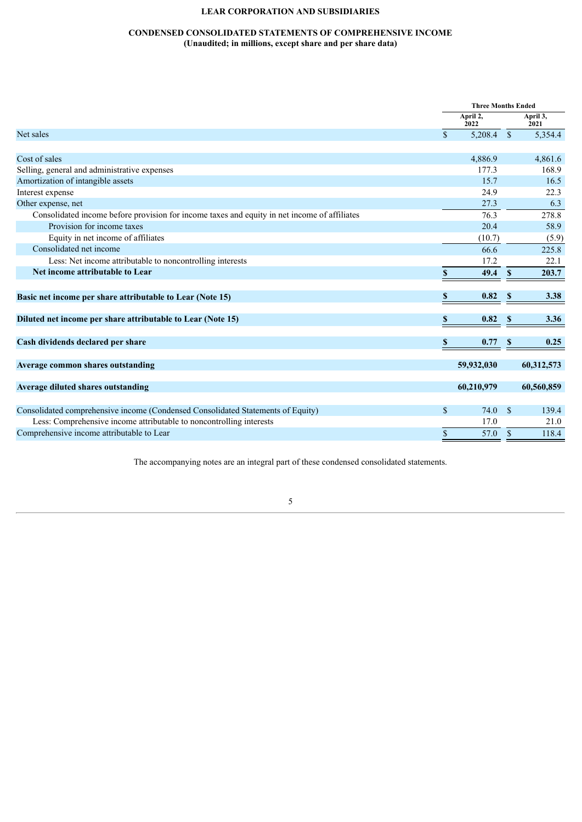## **CONDENSED CONSOLIDATED STATEMENTS OF COMPREHENSIVE INCOME (Unaudited; in millions, except share and per share data)**

|                                                                                              |             | <b>Three Months Ended</b> |               |                  |
|----------------------------------------------------------------------------------------------|-------------|---------------------------|---------------|------------------|
|                                                                                              |             | April 2,<br>2022          |               | April 3,<br>2021 |
| Net sales                                                                                    | \$          | 5,208.4                   | $\sqrt{S}$    | 5,354.4          |
|                                                                                              |             |                           |               |                  |
| Cost of sales                                                                                |             | 4,886.9                   |               | 4,861.6          |
| Selling, general and administrative expenses                                                 |             | 177.3                     |               | 168.9            |
| Amortization of intangible assets                                                            |             | 15.7                      |               | 16.5             |
| Interest expense                                                                             |             | 24.9                      |               | 22.3             |
| Other expense, net                                                                           |             | 27.3                      |               | 6.3              |
| Consolidated income before provision for income taxes and equity in net income of affiliates |             | 76.3                      |               | 278.8            |
| Provision for income taxes                                                                   |             | 20.4                      |               | 58.9             |
| Equity in net income of affiliates                                                           |             | (10.7)                    |               | (5.9)            |
| Consolidated net income                                                                      |             | 66.6                      |               | 225.8            |
| Less: Net income attributable to noncontrolling interests                                    |             | 17.2                      |               | 22.1             |
| Net income attributable to Lear                                                              | \$          | 49.4                      | $\mathbf{s}$  | 203.7            |
|                                                                                              |             |                           |               |                  |
| Basic net income per share attributable to Lear (Note 15)                                    | \$          | 0.82                      | \$            | 3.38             |
|                                                                                              |             |                           |               |                  |
| Diluted net income per share attributable to Lear (Note 15)                                  | S           | 0.82                      | $\mathbf{\$}$ | 3.36             |
| Cash dividends declared per share                                                            | \$          | 0.77                      | S             | 0.25             |
|                                                                                              |             |                           |               |                  |
| Average common shares outstanding                                                            |             | 59,932,030                |               | 60,312,573       |
| Average diluted shares outstanding                                                           |             | 60,210,979                |               | 60,560,859       |
|                                                                                              |             |                           |               |                  |
| Consolidated comprehensive income (Condensed Consolidated Statements of Equity)              | $\mathbf S$ | 74.0                      | <sup>\$</sup> | 139.4            |
| Less: Comprehensive income attributable to noncontrolling interests                          |             | 17.0                      |               | 21.0             |
| Comprehensive income attributable to Lear                                                    | \$          | 57.0                      | \$            | 118.4            |
|                                                                                              |             |                           |               |                  |

<span id="page-4-0"></span>The accompanying notes are an integral part of these condensed consolidated statements.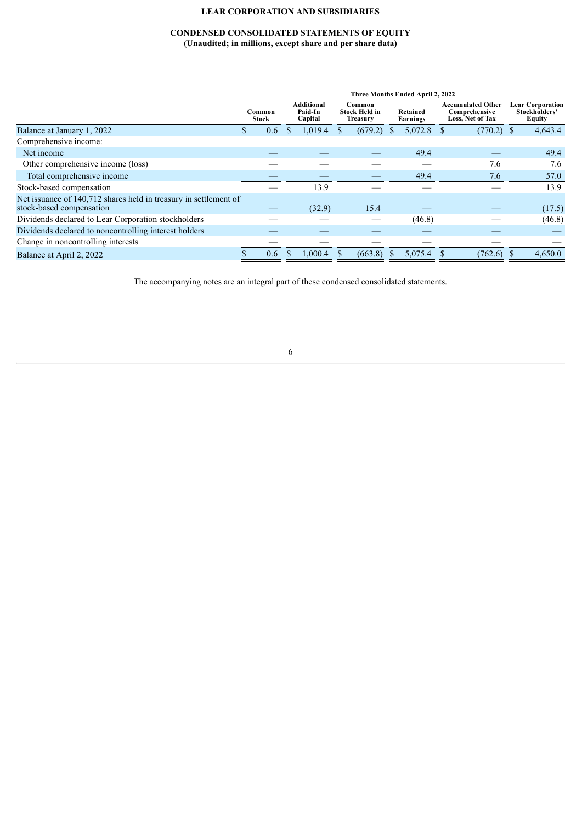## **CONDENSED CONSOLIDATED STATEMENTS OF EQUITY (Unaudited; in millions, except share and per share data)**

|                                                                                              | Three Months Ended April 2, 2022 |                 |     |                                         |  |                                                   |              |                             |  |              |  |         |  |  |  |  |  |                                                               |  |                                                           |
|----------------------------------------------------------------------------------------------|----------------------------------|-----------------|-----|-----------------------------------------|--|---------------------------------------------------|--------------|-----------------------------|--|--------------|--|---------|--|--|--|--|--|---------------------------------------------------------------|--|-----------------------------------------------------------|
|                                                                                              |                                  | Common<br>Stock |     | <b>Additional</b><br>Paid-In<br>Capital |  | Common<br><b>Stock Held in</b><br><b>Treasury</b> |              | <b>Retained</b><br>Earnings |  |              |  |         |  |  |  |  |  | <b>Accumulated Other</b><br>Comprehensive<br>Loss, Net of Tax |  | <b>Lear Corporation</b><br>Stockholders'<br><b>Equity</b> |
| Balance at January 1, 2022                                                                   | S                                | 0.6             | \$. | 1,019.4                                 |  | (679.2)                                           | <sup>S</sup> | 5,072.8                     |  | $(770.2)$ \$ |  | 4,643.4 |  |  |  |  |  |                                                               |  |                                                           |
| Comprehensive income:                                                                        |                                  |                 |     |                                         |  |                                                   |              |                             |  |              |  |         |  |  |  |  |  |                                                               |  |                                                           |
| Net income                                                                                   |                                  |                 |     |                                         |  |                                                   |              | 49.4                        |  |              |  | 49.4    |  |  |  |  |  |                                                               |  |                                                           |
| Other comprehensive income (loss)                                                            |                                  |                 |     |                                         |  |                                                   |              |                             |  | 7.6          |  | 7.6     |  |  |  |  |  |                                                               |  |                                                           |
| Total comprehensive income                                                                   |                                  |                 |     |                                         |  |                                                   |              | 49.4                        |  | 7.6          |  | 57.0    |  |  |  |  |  |                                                               |  |                                                           |
| Stock-based compensation                                                                     |                                  |                 |     | 13.9                                    |  |                                                   |              |                             |  |              |  | 13.9    |  |  |  |  |  |                                                               |  |                                                           |
| Net issuance of 140,712 shares held in treasury in settlement of<br>stock-based compensation |                                  |                 |     | (32.9)                                  |  | 15.4                                              |              |                             |  |              |  | (17.5)  |  |  |  |  |  |                                                               |  |                                                           |
| Dividends declared to Lear Corporation stockholders                                          |                                  |                 |     |                                         |  |                                                   |              | (46.8)                      |  |              |  | (46.8)  |  |  |  |  |  |                                                               |  |                                                           |
| Dividends declared to noncontrolling interest holders                                        |                                  |                 |     |                                         |  |                                                   |              |                             |  |              |  |         |  |  |  |  |  |                                                               |  |                                                           |
| Change in noncontrolling interests                                                           |                                  |                 |     |                                         |  |                                                   |              |                             |  |              |  |         |  |  |  |  |  |                                                               |  |                                                           |
| Balance at April 2, 2022                                                                     |                                  | 0.6             |     | 0.000.4                                 |  | (663.8)                                           | <sup>S</sup> | 5,075.4                     |  | $(762.6)$ \$ |  | 4,650.0 |  |  |  |  |  |                                                               |  |                                                           |

The accompanying notes are an integral part of these condensed consolidated statements.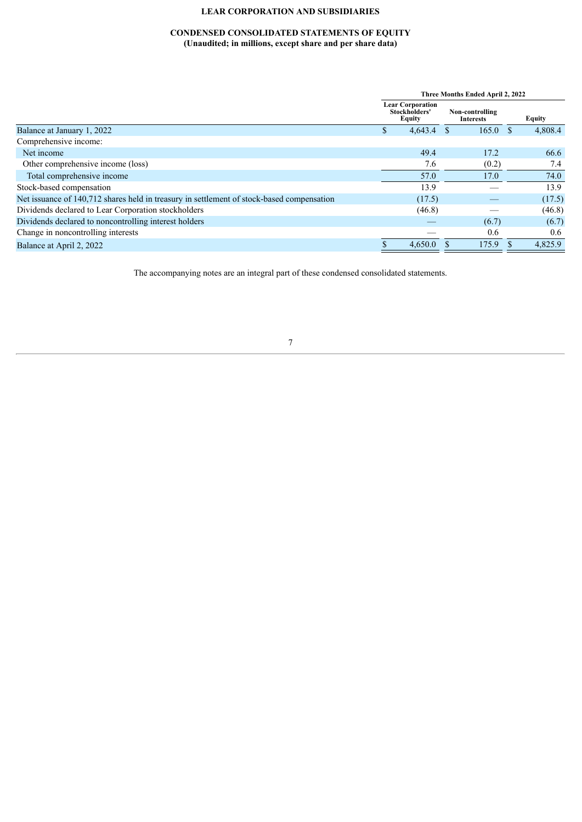## **CONDENSED CONSOLIDATED STATEMENTS OF EQUITY (Unaudited; in millions, except share and per share data)**

|                                                                                           |   |                                                    | Three Months Ended April 2, 2022    |               |
|-------------------------------------------------------------------------------------------|---|----------------------------------------------------|-------------------------------------|---------------|
|                                                                                           |   | <b>Lear Corporation</b><br>Stockholders'<br>Equity | Non-controlling<br><b>Interests</b> | <b>Equity</b> |
| Balance at January 1, 2022                                                                | S | 4,643.4                                            | 165.0                               | 4,808.4       |
| Comprehensive income:                                                                     |   |                                                    |                                     |               |
| Net income                                                                                |   | 49.4                                               | 17.2                                | 66.6          |
| Other comprehensive income (loss)                                                         |   | 7.6                                                | (0.2)                               | 7.4           |
| Total comprehensive income                                                                |   | 57.0                                               | 17.0                                | 74.0          |
| Stock-based compensation                                                                  |   | 13.9                                               |                                     | 13.9          |
| Net issuance of 140,712 shares held in treasury in settlement of stock-based compensation |   | (17.5)                                             |                                     | (17.5)        |
| Dividends declared to Lear Corporation stockholders                                       |   | (46.8)                                             |                                     | (46.8)        |
| Dividends declared to noncontrolling interest holders                                     |   |                                                    | (6.7)                               | (6.7)         |
| Change in noncontrolling interests                                                        |   |                                                    | 0.6                                 | 0.6           |
| Balance at April 2, 2022                                                                  |   | 4,650.0                                            | 175.9                               | 4,825.9       |

The accompanying notes are an integral part of these condensed consolidated statements.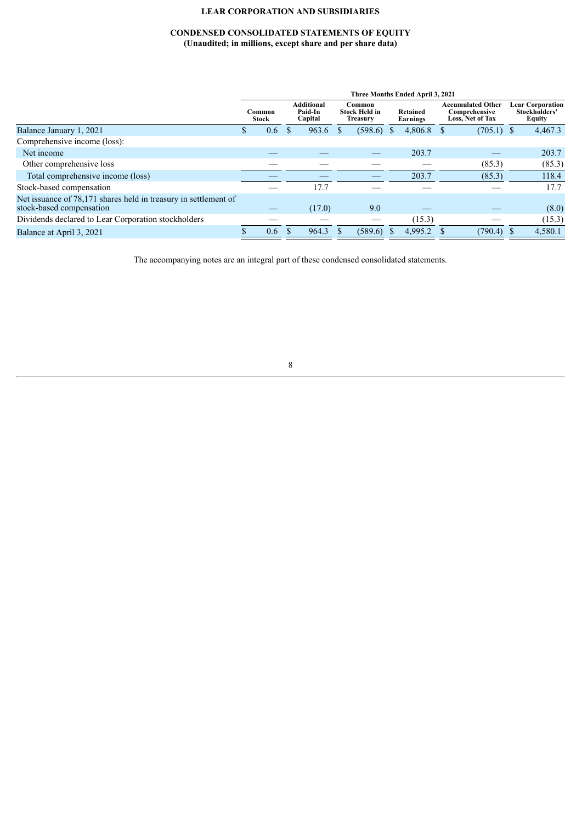## **CONDENSED CONSOLIDATED STATEMENTS OF EQUITY (Unaudited; in millions, except share and per share data)**

|                                                                                             |                        |     |                                         |        |                                                   |         |                      | Three Months Ended April 3, 2021 |                                                               |              |                                                           |
|---------------------------------------------------------------------------------------------|------------------------|-----|-----------------------------------------|--------|---------------------------------------------------|---------|----------------------|----------------------------------|---------------------------------------------------------------|--------------|-----------------------------------------------------------|
|                                                                                             | Common<br><b>Stock</b> |     | <b>Additional</b><br>Paid-In<br>Capital |        | Common<br><b>Stock Held in</b><br><b>Treasury</b> |         | Retained<br>Earnings |                                  | <b>Accumulated Other</b><br>Comprehensive<br>Loss, Net of Tax |              | <b>Lear Corporation</b><br>Stockholders'<br><b>Equity</b> |
| Balance January 1, 2021                                                                     | Ф                      | 0.6 |                                         | 963.6  |                                                   | (598.6) | <sup>S</sup>         | 4,806.8                          |                                                               | $(705.1)$ \$ | 4,467.3                                                   |
| Comprehensive income (loss):                                                                |                        |     |                                         |        |                                                   |         |                      |                                  |                                                               |              |                                                           |
| Net income                                                                                  |                        |     |                                         |        |                                                   |         |                      | 203.7                            |                                                               |              | 203.7                                                     |
| Other comprehensive loss                                                                    |                        |     |                                         |        |                                                   |         |                      |                                  |                                                               | (85.3)       | (85.3)                                                    |
| Total comprehensive income (loss)                                                           |                        |     |                                         |        |                                                   |         |                      | 203.7                            |                                                               | (85.3)       | 118.4                                                     |
| Stock-based compensation                                                                    |                        |     |                                         | 17.7   |                                                   |         |                      |                                  |                                                               |              | 17.7                                                      |
| Net issuance of 78,171 shares held in treasury in settlement of<br>stock-based compensation |                        |     |                                         | (17.0) |                                                   | 9.0     |                      |                                  |                                                               |              | (8.0)                                                     |
| Dividends declared to Lear Corporation stockholders                                         |                        |     |                                         |        |                                                   |         |                      | (15.3)                           |                                                               |              | (15.3)                                                    |
| Balance at April 3, 2021                                                                    |                        | 0.6 |                                         | 964.3  |                                                   | (589.6) |                      | 4,995.2                          |                                                               | (790.4)      | 4,580.1                                                   |

The accompanying notes are an integral part of these condensed consolidated statements.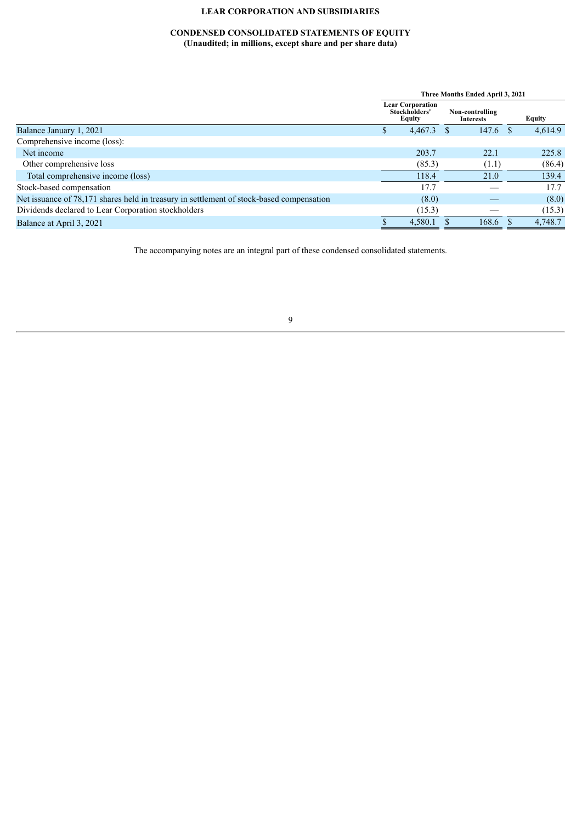## **CONDENSED CONSOLIDATED STATEMENTS OF EQUITY (Unaudited; in millions, except share and per share data)**

|                                                                                          |                                                    | Three Months Ended April 3, 2021    |         |
|------------------------------------------------------------------------------------------|----------------------------------------------------|-------------------------------------|---------|
|                                                                                          | <b>Lear Corporation</b><br>Stockholders'<br>Equity | Non-controlling<br><b>Interests</b> | Equity  |
| Balance January 1, 2021                                                                  | $4,467.3$ \$                                       | 147.6                               | 4,614.9 |
| Comprehensive income (loss):                                                             |                                                    |                                     |         |
| Net income                                                                               | 203.7                                              | 22.1                                | 225.8   |
| Other comprehensive loss                                                                 | (85.3)                                             | (1.1)                               | (86.4)  |
| Total comprehensive income (loss)                                                        | 118.4                                              | 21.0                                | 139.4   |
| Stock-based compensation                                                                 | 17.7                                               |                                     | 17.7    |
| Net issuance of 78,171 shares held in treasury in settlement of stock-based compensation | (8.0)                                              |                                     | (8.0)   |
| Dividends declared to Lear Corporation stockholders                                      | (15.3)                                             |                                     | (15.3)  |
| Balance at April 3, 2021                                                                 | 4,580.1                                            | 168.6                               | 4,748.7 |

<span id="page-8-0"></span>The accompanying notes are an integral part of these condensed consolidated statements.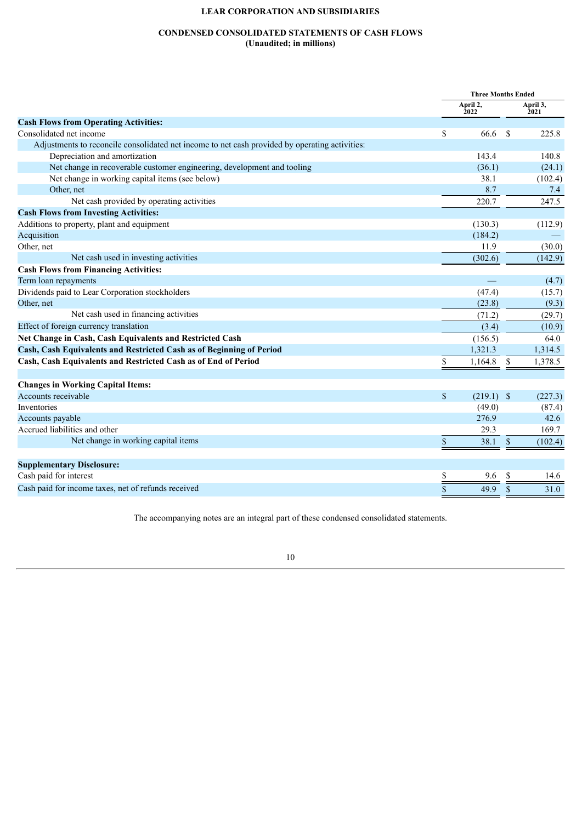### **CONDENSED CONSOLIDATED STATEMENTS OF CASH FLOWS (Unaudited; in millions)**

**Three Months Ended April 2, 2022 April 3, 2021 Cash Flows from Operating Activities:** Consolidated net income  $\frac{1}{25.8}$  66.6 \$ 225.8 Adjustments to reconcile consolidated net income to net cash provided by operating activities: Depreciation and amortization 140.8 143.4 140.8 Net change in recoverable customer engineering, development and tooling (36.1) (24.1) (24.1) Net change in working capital items (see below) 38.1 (102.4) Other, net  $8.7$  7.4 Net cash provided by operating activities  $\frac{220.7}{247.5}$ **Cash Flows from Investing Activities:** Additions to property, plant and equipment (130.3) (112.9)  $\alpha$  Acquisition (184.2) and the contract of the contract of the contract of the contract of the contract of the contract of the contract of the contract of the contract of the contract of the contract of the contract of Other, net  $11.9$  (30.0) Net cash used in investing activities  $(302.6)$  (142.9) **Cash Flows from Financing Activities:** Term loan repayments  $(4.7)$ Dividends paid to Lear Corporation stockholders (47.4) (15.7) Other, net  $(23.8)$  (9.3) (9.3) Net cash used in financing activities  $(71.2)$  (29.7) Effect of foreign currency translation  $(3.4)$  (10.9) **Net Change in Cash, Cash Equivalents and Restricted Cash** (156.5) 64.0 **Cash, Cash Equivalents and Restricted Cash as of Beginning of Period** 1,321.3 1,314.5 **Cash, Cash Equivalents and Restricted Cash as of End of Period**  $\frac{1}{8}$  **1,164.8**  $\frac{1}{8}$  **1,378.5 Changes in Working Capital Items:** Accounts receivable  $\qquad \qquad$  (219.1) \$ (227.3) Inventories  $(49.0)$   $(87.4)$ Accounts payable 276.9 42.6 Accrued liabilities and other 29.3 169.7 Net change in working capital items  $\frac{}{8}$   $\frac{38.1}{8}$  (102.4) **Supplementary Disclosure:** Cash paid for interest  $\frac{1}{2}$  14.6 Cash paid for income taxes, net of refunds received  $\frac{}{\$}$  49.9  $\frac{}{\$}$   $\frac{31.0}{\$}$ 

<span id="page-9-0"></span>The accompanying notes are an integral part of these condensed consolidated statements.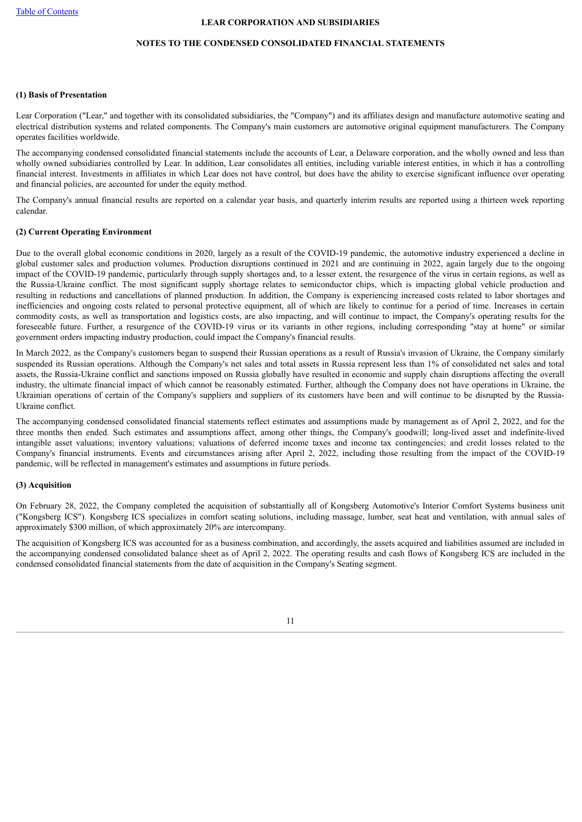#### **NOTES TO THE CONDENSED CONSOLIDATED FINANCIAL STATEMENTS**

#### **(1) Basis of Presentation**

Lear Corporation ("Lear," and together with its consolidated subsidiaries, the "Company") and its affiliates design and manufacture automotive seating and electrical distribution systems and related components. The Company's main customers are automotive original equipment manufacturers. The Company operates facilities worldwide.

The accompanying condensed consolidated financial statements include the accounts of Lear, a Delaware corporation, and the wholly owned and less than wholly owned subsidiaries controlled by Lear. In addition, Lear consolidates all entities, including variable interest entities, in which it has a controlling financial interest. Investments in affiliates in which Lear does not have control, but does have the ability to exercise significant influence over operating and financial policies, are accounted for under the equity method.

The Company's annual financial results are reported on a calendar year basis, and quarterly interim results are reported using a thirteen week reporting calendar.

## **(2) Current Operating Environment**

Due to the overall global economic conditions in 2020, largely as a result of the COVID-19 pandemic, the automotive industry experienced a decline in global customer sales and production volumes. Production disruptions continued in 2021 and are continuing in 2022, again largely due to the ongoing impact of the COVID-19 pandemic, particularly through supply shortages and, to a lesser extent, the resurgence of the virus in certain regions, as well as the Russia-Ukraine conflict. The most significant supply shortage relates to semiconductor chips, which is impacting global vehicle production and resulting in reductions and cancellations of planned production. In addition, the Company is experiencing increased costs related to labor shortages and inefficiencies and ongoing costs related to personal protective equipment, all of which are likely to continue for a period of time. Increases in certain commodity costs, as well as transportation and logistics costs, are also impacting, and will continue to impact, the Company's operating results for the foreseeable future. Further, a resurgence of the COVID-19 virus or its variants in other regions, including corresponding "stay at home" or similar government orders impacting industry production, could impact the Company's financial results.

In March 2022, as the Company's customers began to suspend their Russian operations as a result of Russia's invasion of Ukraine, the Company similarly suspended its Russian operations. Although the Company's net sales and total assets in Russia represent less than 1% of consolidated net sales and total assets, the Russia-Ukraine conflict and sanctions imposed on Russia globally have resulted in economic and supply chain disruptions affecting the overall industry, the ultimate financial impact of which cannot be reasonably estimated. Further, although the Company does not have operations in Ukraine, the Ukrainian operations of certain of the Company's suppliers and suppliers of its customers have been and will continue to be disrupted by the Russia-Ukraine conflict.

The accompanying condensed consolidated financial statements reflect estimates and assumptions made by management as of April 2, 2022, and for the three months then ended. Such estimates and assumptions affect, among other things, the Company's goodwill; long-lived asset and indefinite-lived intangible asset valuations; inventory valuations; valuations of deferred income taxes and income tax contingencies; and credit losses related to the Company's financial instruments. Events and circumstances arising after April 2, 2022, including those resulting from the impact of the COVID-19 pandemic, will be reflected in management's estimates and assumptions in future periods.

## **(3) Acquisition**

On February 28, 2022, the Company completed the acquisition of substantially all of Kongsberg Automotive's Interior Comfort Systems business unit ("Kongsberg ICS"). Kongsberg ICS specializes in comfort seating solutions, including massage, lumber, seat heat and ventilation, with annual sales of approximately \$300 million, of which approximately 20% are intercompany.

The acquisition of Kongsberg ICS was accounted for as a business combination, and accordingly, the assets acquired and liabilities assumed are included in the accompanying condensed consolidated balance sheet as of April 2, 2022. The operating results and cash flows of Kongsberg ICS are included in the condensed consolidated financial statements from the date of acquisition in the Company's Seating segment.

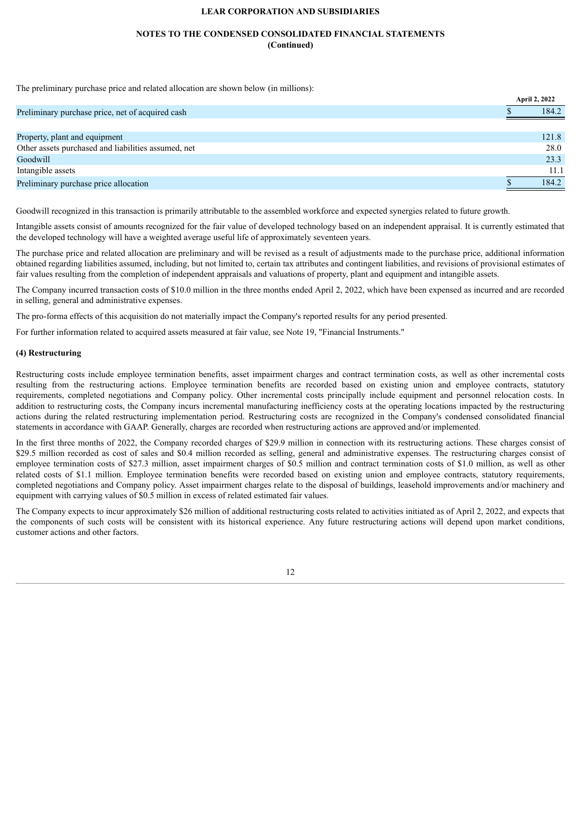## **NOTES TO THE CONDENSED CONSOLIDATED FINANCIAL STATEMENTS (Continued)**

The preliminary purchase price and related allocation are shown below (in millions):

|                                                     | <b>April 2, 2022</b> |
|-----------------------------------------------------|----------------------|
| Preliminary purchase price, net of acquired cash    | 184.2                |
|                                                     |                      |
| Property, plant and equipment                       | 121.8                |
| Other assets purchased and liabilities assumed, net | 28.0                 |
| Goodwill                                            | 23.3                 |
| Intangible assets                                   | 11.1                 |
| Preliminary purchase price allocation               | 184.2                |

Goodwill recognized in this transaction is primarily attributable to the assembled workforce and expected synergies related to future growth.

Intangible assets consist of amounts recognized for the fair value of developed technology based on an independent appraisal. It is currently estimated that the developed technology will have a weighted average useful life of approximately seventeen years.

The purchase price and related allocation are preliminary and will be revised as a result of adjustments made to the purchase price, additional information obtained regarding liabilities assumed, including, but not limited to, certain tax attributes and contingent liabilities, and revisions of provisional estimates of fair values resulting from the completion of independent appraisals and valuations of property, plant and equipment and intangible assets.

The Company incurred transaction costs of \$10.0 million in the three months ended April 2, 2022, which have been expensed as incurred and are recorded in selling, general and administrative expenses.

The pro-forma effects of this acquisition do not materially impact the Company's reported results for any period presented.

For further information related to acquired assets measured at fair value, see Note 19, "Financial Instruments."

#### **(4) Restructuring**

Restructuring costs include employee termination benefits, asset impairment charges and contract termination costs, as well as other incremental costs resulting from the restructuring actions. Employee termination benefits are recorded based on existing union and employee contracts, statutory requirements, completed negotiations and Company policy. Other incremental costs principally include equipment and personnel relocation costs. In addition to restructuring costs, the Company incurs incremental manufacturing inefficiency costs at the operating locations impacted by the restructuring actions during the related restructuring implementation period. Restructuring costs are recognized in the Company's condensed consolidated financial statements in accordance with GAAP. Generally, charges are recorded when restructuring actions are approved and/or implemented.

In the first three months of 2022, the Company recorded charges of \$29.9 million in connection with its restructuring actions. These charges consist of \$29.5 million recorded as cost of sales and \$0.4 million recorded as selling, general and administrative expenses. The restructuring charges consist of employee termination costs of \$27.3 million, asset impairment charges of \$0.5 million and contract termination costs of \$1.0 million, as well as other related costs of \$1.1 million. Employee termination benefits were recorded based on existing union and employee contracts, statutory requirements, completed negotiations and Company policy. Asset impairment charges relate to the disposal of buildings, leasehold improvements and/or machinery and equipment with carrying values of \$0.5 million in excess of related estimated fair values.

The Company expects to incur approximately \$26 million of additional restructuring costs related to activities initiated as of April 2, 2022, and expects that the components of such costs will be consistent with its historical experience. Any future restructuring actions will depend upon market conditions, customer actions and other factors.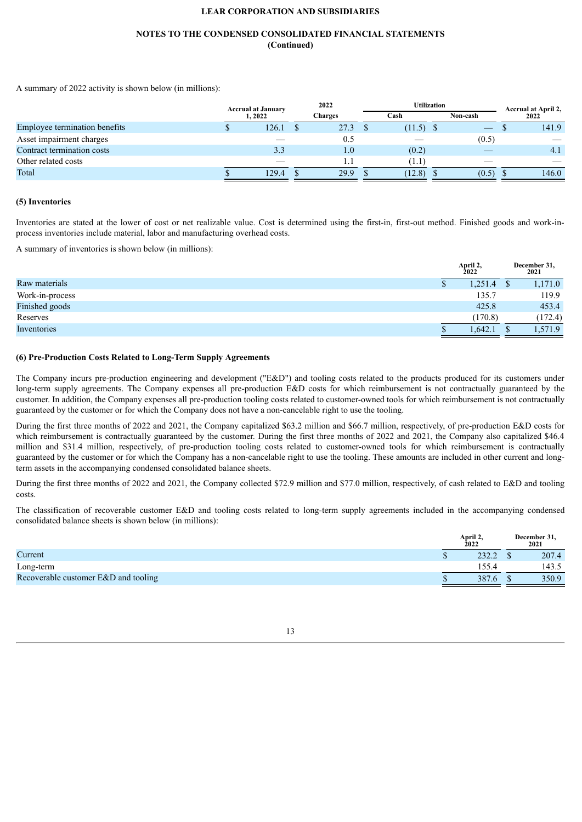## **NOTES TO THE CONDENSED CONSOLIDATED FINANCIAL STATEMENTS (Continued)**

A summary of 2022 activity is shown below (in millions):

|                               | <b>Accrual at January</b><br>1, 2022 |       | 2022    | <b>Utilization</b> |                          | <b>Accrual at April 2,</b> |
|-------------------------------|--------------------------------------|-------|---------|--------------------|--------------------------|----------------------------|
|                               |                                      |       | Charges | Cash               | Non-cash                 | 2022                       |
| Employee termination benefits |                                      | 126.1 | 27.3    | (11.5)             | $\overline{\phantom{0}}$ | 141.9                      |
| Asset impairment charges      |                                      |       | 0.5     |                    | (0.5)                    |                            |
| Contract termination costs    |                                      | 3.3   | $1.0\,$ | (0.2)              |                          | 4.1                        |
| Other related costs           |                                      |       |         | (1.1)              |                          |                            |
| Total                         |                                      | 129.4 | 29.9    | (12.8)             | (0.5)                    | 146.0                      |

#### **(5) Inventories**

Inventories are stated at the lower of cost or net realizable value. Cost is determined using the first-in, first-out method. Finished goods and work-inprocess inventories include material, labor and manufacturing overhead costs.

A summary of inventories is shown below (in millions):

|                 |   | April 2,<br>2022 | December 31,<br>2021 |
|-----------------|---|------------------|----------------------|
| Raw materials   | Φ | 1,251.4          | 1,171.0              |
| Work-in-process |   | 135.7            | 119.9                |
| Finished goods  |   | 425.8            | 453.4                |
| Reserves        |   | (170.8)          | (172.4)              |
| Inventories     |   | .642.1           | 1,571.9              |

## **(6) Pre-Production Costs Related to Long-Term Supply Agreements**

The Company incurs pre-production engineering and development ("E&D") and tooling costs related to the products produced for its customers under long-term supply agreements. The Company expenses all pre-production E&D costs for which reimbursement is not contractually guaranteed by the customer. In addition, the Company expenses all pre-production tooling costs related to customer-owned tools for which reimbursement is not contractually guaranteed by the customer or for which the Company does not have a non-cancelable right to use the tooling.

During the first three months of 2022 and 2021, the Company capitalized \$63.2 million and \$66.7 million, respectively, of pre-production E&D costs for which reimbursement is contractually guaranteed by the customer. During the first three months of 2022 and 2021, the Company also capitalized \$46.4 million and \$31.4 million, respectively, of pre-production tooling costs related to customer-owned tools for which reimbursement is contractually guaranteed by the customer or for which the Company has a non-cancelable right to use the tooling. These amounts are included in other current and longterm assets in the accompanying condensed consolidated balance sheets.

During the first three months of 2022 and 2021, the Company collected \$72.9 million and \$77.0 million, respectively, of cash related to E&D and tooling costs.

The classification of recoverable customer E&D and tooling costs related to long-term supply agreements included in the accompanying condensed consolidated balance sheets is shown below (in millions):

|                                      | April 2,<br>2022 | December 31,<br>2021 |
|--------------------------------------|------------------|----------------------|
| Current                              | 232.2            | 207.4                |
| Long-term                            | 155.4            | 143.5                |
| Recoverable customer E&D and tooling | 387.6            | 350.9                |
|                                      |                  |                      |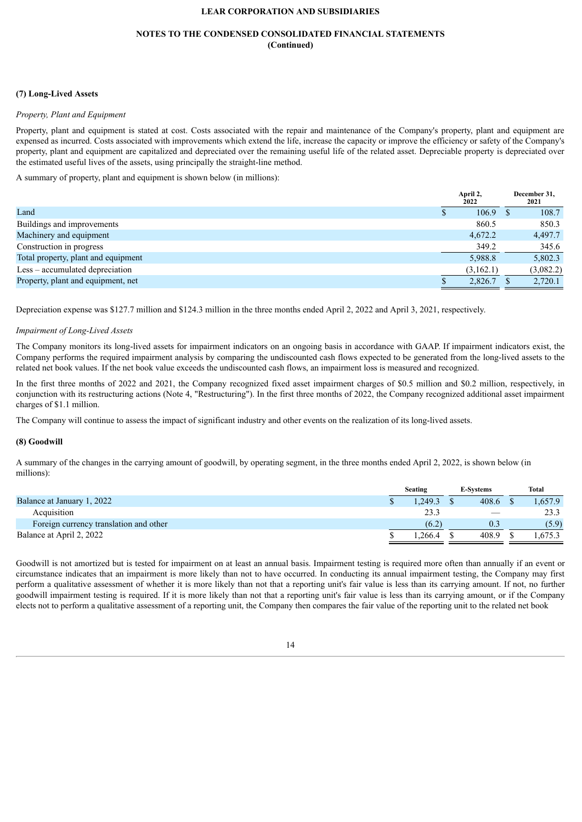## **NOTES TO THE CONDENSED CONSOLIDATED FINANCIAL STATEMENTS (Continued)**

## **(7) Long-Lived Assets**

#### *Property, Plant and Equipment*

Property, plant and equipment is stated at cost. Costs associated with the repair and maintenance of the Company's property, plant and equipment are expensed as incurred. Costs associated with improvements which extend the life, increase the capacity or improve the efficiency or safety of the Company's property, plant and equipment are capitalized and depreciated over the remaining useful life of the related asset. Depreciable property is depreciated over the estimated useful lives of the assets, using principally the straight-line method.

A summary of property, plant and equipment is shown below (in millions):

|                                     | April 2,<br>2022 |  | December 31.<br>2021 |
|-------------------------------------|------------------|--|----------------------|
| Land                                | 106.9            |  | 108.7                |
| Buildings and improvements          | 860.5            |  | 850.3                |
| Machinery and equipment             | 4.672.2          |  | 4,497.7              |
| Construction in progress            | 349.2            |  | 345.6                |
| Total property, plant and equipment | 5,988.8          |  | 5,802.3              |
| Less – accumulated depreciation     | (3,162,1)        |  | (3,082.2)            |
| Property, plant and equipment, net  | 2,826.7          |  | 2,720.1              |

Depreciation expense was \$127.7 million and \$124.3 million in the three months ended April 2, 2022 and April 3, 2021, respectively.

#### *Impairment of Long-Lived Assets*

The Company monitors its long-lived assets for impairment indicators on an ongoing basis in accordance with GAAP. If impairment indicators exist, the Company performs the required impairment analysis by comparing the undiscounted cash flows expected to be generated from the long-lived assets to the related net book values. If the net book value exceeds the undiscounted cash flows, an impairment loss is measured and recognized.

In the first three months of 2022 and 2021, the Company recognized fixed asset impairment charges of \$0.5 million and \$0.2 million, respectively, in conjunction with its restructuring actions (Note 4, "Restructuring"). In the first three months of 2022, the Company recognized additional asset impairment charges of \$1.1 million.

The Company will continue to assess the impact of significant industry and other events on the realization of its long-lived assets.

### **(8) Goodwill**

A summary of the changes in the carrying amount of goodwill, by operating segment, in the three months ended April 2, 2022, is shown below (in millions):

|                                        | <b>Seating</b> |  | <b>E-Systems</b> | Total  |
|----------------------------------------|----------------|--|------------------|--------|
| Balance at January 1, 2022             | .249.3         |  | 408.6            | .657.9 |
| Acquisition                            | 23.3           |  |                  | 23.3   |
| Foreign currency translation and other | (6.2)          |  | 0.3              | (5.9)  |
| Balance at April 2, 2022               | .266.4         |  | 408.9            | .675.3 |

Goodwill is not amortized but is tested for impairment on at least an annual basis. Impairment testing is required more often than annually if an event or circumstance indicates that an impairment is more likely than not to have occurred. In conducting its annual impairment testing, the Company may first perform a qualitative assessment of whether it is more likely than not that a reporting unit's fair value is less than its carrying amount. If not, no further goodwill impairment testing is required. If it is more likely than not that a reporting unit's fair value is less than its carrying amount, or if the Company elects not to perform a qualitative assessment of a reporting unit, the Company then compares the fair value of the reporting unit to the related net book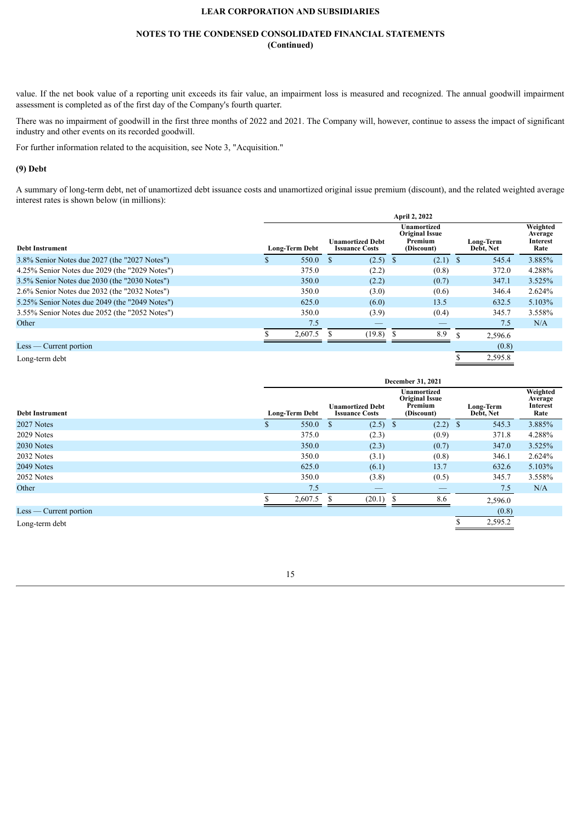## **NOTES TO THE CONDENSED CONSOLIDATED FINANCIAL STATEMENTS (Continued)**

value. If the net book value of a reporting unit exceeds its fair value, an impairment loss is measured and recognized. The annual goodwill impairment assessment is completed as of the first day of the Company's fourth quarter.

There was no impairment of goodwill in the first three months of 2022 and 2021. The Company will, however, continue to assess the impact of significant industry and other events on its recorded goodwill.

For further information related to the acquisition, see Note 3, "Acquisition."

## **(9) Debt**

A summary of long-term debt, net of unamortized debt issuance costs and unamortized original issue premium (discount), and the related weighted average interest rates is shown below (in millions):

|                                                | <b>April 2, 2022</b> |                                                                                                                                            |  |             |  |                        |                                         |         |        |  |
|------------------------------------------------|----------------------|--------------------------------------------------------------------------------------------------------------------------------------------|--|-------------|--|------------------------|-----------------------------------------|---------|--------|--|
| <b>Debt Instrument</b>                         |                      | Unamortized<br><b>Original Issue</b><br>Premium<br><b>Unamortized Debt</b><br><b>Long-Term Debt</b><br><b>Issuance Costs</b><br>(Discount) |  |             |  | Long-Term<br>Debt, Net | Weighted<br>Average<br>Interest<br>Rate |         |        |  |
| 3.8% Senior Notes due 2027 (the "2027 Notes")  | ж                    | 550.0                                                                                                                                      |  | $(2.5)$ \$  |  | $(2.1)$ \$             |                                         | 545.4   | 3.885% |  |
| 4.25% Senior Notes due 2029 (the "2029 Notes") |                      | 375.0                                                                                                                                      |  | (2.2)       |  | (0.8)                  |                                         | 372.0   | 4.288% |  |
| 3.5% Senior Notes due 2030 (the "2030 Notes")  |                      | 350.0                                                                                                                                      |  | (2.2)       |  | (0.7)                  |                                         | 347.1   | 3.525% |  |
| 2.6% Senior Notes due 2032 (the "2032 Notes")  |                      | 350.0                                                                                                                                      |  | (3.0)       |  | (0.6)                  |                                         | 346.4   | 2.624% |  |
| 5.25% Senior Notes due 2049 (the "2049 Notes") |                      | 625.0                                                                                                                                      |  | (6.0)       |  | 13.5                   |                                         | 632.5   | 5.103% |  |
| 3.55% Senior Notes due 2052 (the "2052 Notes") |                      | 350.0                                                                                                                                      |  | (3.9)       |  | (0.4)                  |                                         | 345.7   | 3.558% |  |
| Other                                          |                      | 7.5                                                                                                                                        |  |             |  |                        |                                         | 7.5     | N/A    |  |
|                                                |                      | 2,607.5                                                                                                                                    |  | $(19.8)$ \$ |  | 8.9                    | -S                                      | 2,596.6 |        |  |
| $Less - Current portion$                       |                      |                                                                                                                                            |  |             |  |                        |                                         | (0.8)   |        |  |
| Long-term debt                                 |                      |                                                                                                                                            |  |             |  |                        |                                         | 2,595.8 |        |  |

|                          | December 31, 2021 |                       |               |                                                  |     |                                                               |      |                        |                                         |  |
|--------------------------|-------------------|-----------------------|---------------|--------------------------------------------------|-----|---------------------------------------------------------------|------|------------------------|-----------------------------------------|--|
| <b>Debt Instrument</b>   |                   | <b>Long-Term Debt</b> |               | <b>Unamortized Debt</b><br><b>Issuance Costs</b> |     | Unamortized<br><b>Original Issue</b><br>Premium<br>(Discount) |      | Long-Term<br>Debt, Net | Weighted<br>Average<br>Interest<br>Rate |  |
| 2027 Notes               | \$                | 550.0                 | <sup>\$</sup> | $(2.5)$ \$                                       |     | (2.2)                                                         | - \$ | 545.3                  | 3.885%                                  |  |
| 2029 Notes               |                   | 375.0                 |               | (2.3)                                            |     | (0.9)                                                         |      | 371.8                  | 4.288%                                  |  |
| 2030 Notes               |                   | 350.0                 |               | (2.3)                                            |     | (0.7)                                                         |      | 347.0                  | 3.525%                                  |  |
| 2032 Notes               |                   | 350.0                 |               | (3.1)                                            |     | (0.8)                                                         |      | 346.1                  | 2.624%                                  |  |
| 2049 Notes               |                   | 625.0                 |               | (6.1)                                            |     | 13.7                                                          |      | 632.6                  | 5.103%                                  |  |
| 2052 Notes               |                   | 350.0                 |               | (3.8)                                            |     | (0.5)                                                         |      | 345.7                  | 3.558%                                  |  |
| Other                    |                   | 7.5                   |               | __                                               |     |                                                               |      | 7.5                    | N/A                                     |  |
|                          |                   | 2,607.5               | -S            | (20.1)                                           | - S | 8.6                                                           |      | 2,596.0                |                                         |  |
| $Less - Current portion$ |                   |                       |               |                                                  |     |                                                               |      | (0.8)                  |                                         |  |
| Long-term debt           |                   |                       |               |                                                  |     |                                                               |      | 2,595.2                |                                         |  |

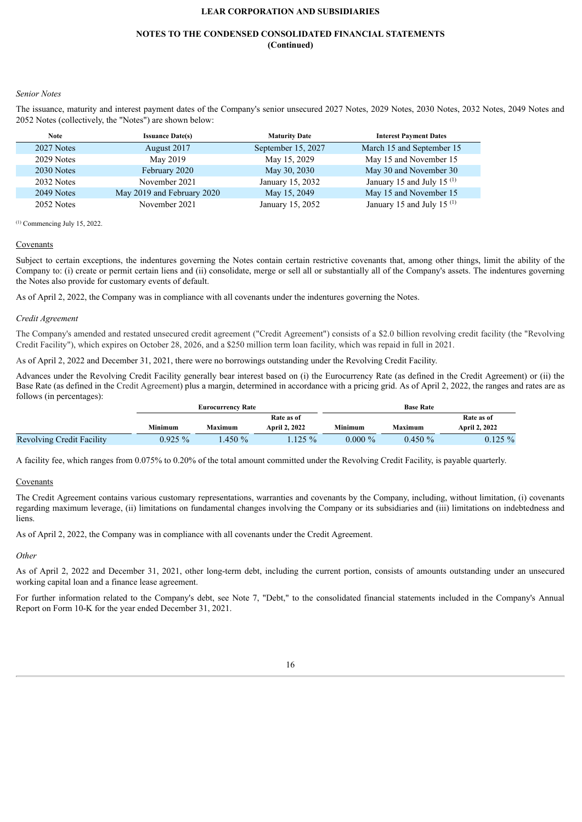## **NOTES TO THE CONDENSED CONSOLIDATED FINANCIAL STATEMENTS (Continued)**

### *Senior Notes*

The issuance, maturity and interest payment dates of the Company's senior unsecured 2027 Notes, 2029 Notes, 2030 Notes, 2032 Notes, 2049 Notes and 2052 Notes (collectively, the "Notes") are shown below:

| <b>Note</b> | <b>Issuance Date(s)</b>    | <b>Maturity Date</b> | <b>Interest Payment Dates</b> |
|-------------|----------------------------|----------------------|-------------------------------|
| 2027 Notes  | August 2017                | September 15, 2027   | March 15 and September 15     |
| 2029 Notes  | May 2019                   | May 15, 2029         | May 15 and November 15        |
| 2030 Notes  | February 2020              | May 30, 2030         | May 30 and November 30        |
| 2032 Notes  | November 2021              | January 15, 2032     | January 15 and July 15 $(1)$  |
| 2049 Notes  | May 2019 and February 2020 | May 15, 2049         | May 15 and November 15        |
| 2052 Notes  | November 2021              | January 15, 2052     | January 15 and July 15 $(1)$  |

 $(1)$  Commencing July 15, 2022.

#### **Covenants**

Subject to certain exceptions, the indentures governing the Notes contain certain restrictive covenants that, among other things, limit the ability of the Company to: (i) create or permit certain liens and (ii) consolidate, merge or sell all or substantially all of the Company's assets. The indentures governing the Notes also provide for customary events of default.

As of April 2, 2022, the Company was in compliance with all covenants under the indentures governing the Notes.

#### *Credit Agreement*

The Company's amended and restated unsecured credit agreement ("Credit Agreement") consists of a \$2.0 billion revolving credit facility (the "Revolving Credit Facility"), which expires on October 28, 2026, and a \$250 million term loan facility, which was repaid in full in 2021.

As of April 2, 2022 and December 31, 2021, there were no borrowings outstanding under the Revolving Credit Facility.

Advances under the Revolving Credit Facility generally bear interest based on (i) the Eurocurrency Rate (as defined in the Credit Agreement) or (ii) the Base Rate (as defined in the Credit Agreement) plus a margin, determined in accordance with a pricing grid. As of April 2, 2022, the ranges and rates are as follows (in percentages):

|                                  |                | <b>Eurocurrency Rate</b> |                      | <b>Base Rate</b> |            |                      |  |  |  |
|----------------------------------|----------------|--------------------------|----------------------|------------------|------------|----------------------|--|--|--|
|                                  |                |                          | Rate as of           |                  |            | Rate as of           |  |  |  |
|                                  | <b>Minimum</b> | Maximum                  | <b>April 2, 2022</b> | Minimum          | Maximum    | <b>April 2, 2022</b> |  |  |  |
| <b>Revolving Credit Facility</b> | $0.925 \%$     | .450 $%$                 | $.125\%$             | $0.000 \%$       | $0.450 \%$ | $0.125 \%$           |  |  |  |

A facility fee, which ranges from 0.075% to 0.20% of the total amount committed under the Revolving Credit Facility, is payable quarterly.

## **Covenants**

The Credit Agreement contains various customary representations, warranties and covenants by the Company, including, without limitation, (i) covenants regarding maximum leverage, (ii) limitations on fundamental changes involving the Company or its subsidiaries and (iii) limitations on indebtedness and liens

As of April 2, 2022, the Company was in compliance with all covenants under the Credit Agreement.

#### *Other*

As of April 2, 2022 and December 31, 2021, other long-term debt, including the current portion, consists of amounts outstanding under an unsecured working capital loan and a finance lease agreement.

For further information related to the Company's debt, see Note 7, "Debt," to the consolidated financial statements included in the Company's Annual Report on Form 10-K for the year ended December 31, 2021.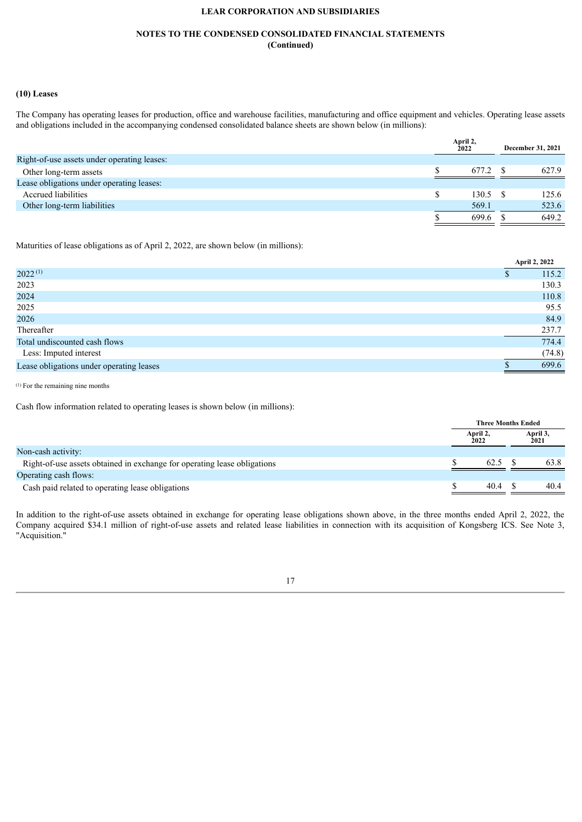## **NOTES TO THE CONDENSED CONSOLIDATED FINANCIAL STATEMENTS (Continued)**

## **(10) Leases**

The Company has operating leases for production, office and warehouse facilities, manufacturing and office equipment and vehicles. Operating lease assets and obligations included in the accompanying condensed consolidated balance sheets are shown below (in millions):

|                                             | April 2,<br>2022 | December 31, 2021 |
|---------------------------------------------|------------------|-------------------|
| Right-of-use assets under operating leases: |                  |                   |
| Other long-term assets                      | 677.2            | 627.9             |
| Lease obligations under operating leases:   |                  |                   |
| Accrued liabilities                         | 130.5            | 125.6             |
| Other long-term liabilities                 | 569.1            | 523.6             |
|                                             | 699.6            | 649.2             |
|                                             |                  |                   |

Maturities of lease obligations as of April 2, 2022, are shown below (in millions):

|                                          | April 2, 2022 |
|------------------------------------------|---------------|
| $2022^{(1)}$                             | 115.2         |
| 2023                                     | 130.3         |
| 2024                                     | 110.8         |
| 2025                                     | 95.5          |
| 2026                                     | 84.9          |
| Thereafter                               | 237.7         |
| Total undiscounted cash flows            | 774.4         |
| Less: Imputed interest                   | (74.8)        |
| Lease obligations under operating leases | 699.6         |

 $(1)$  For the remaining nine months

Cash flow information related to operating leases is shown below (in millions):

|                                                                          |  | <b>Three Months Ended</b> |                  |
|--------------------------------------------------------------------------|--|---------------------------|------------------|
|                                                                          |  | April 2,<br>2022          | April 3,<br>2021 |
| Non-cash activity:                                                       |  |                           |                  |
| Right-of-use assets obtained in exchange for operating lease obligations |  | 62.5                      | 63.8             |
| Operating cash flows:                                                    |  |                           |                  |
| Cash paid related to operating lease obligations                         |  | 40.4                      | 40.4             |

In addition to the right-of-use assets obtained in exchange for operating lease obligations shown above, in the three months ended April 2, 2022, the Company acquired \$34.1 million of right-of-use assets and related lease liabilities in connection with its acquisition of Kongsberg ICS. See Note 3, "Acquisition."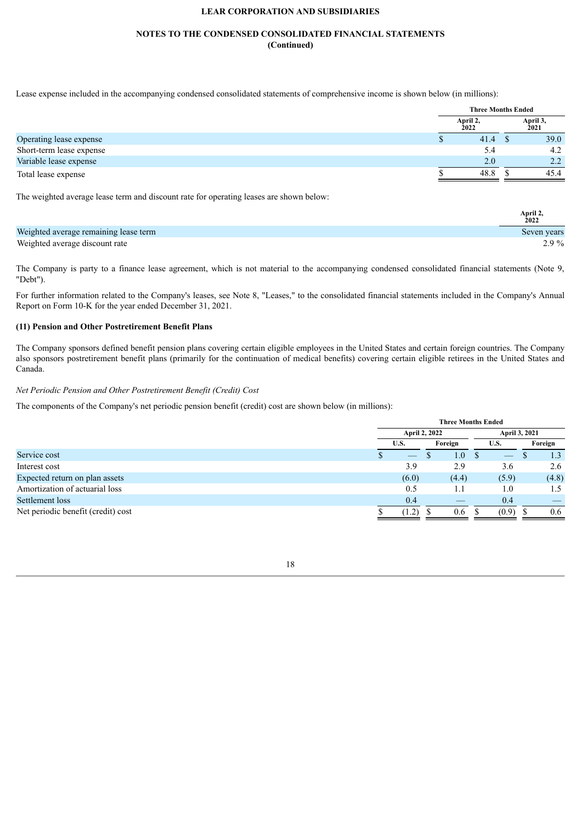## **NOTES TO THE CONDENSED CONSOLIDATED FINANCIAL STATEMENTS (Continued)**

Lease expense included in the accompanying condensed consolidated statements of comprehensive income is shown below (in millions):

|                          |  | <b>Three Months Ended</b> |                  |
|--------------------------|--|---------------------------|------------------|
|                          |  | April 2,<br>2022          | April 3,<br>2021 |
| Operating lease expense  |  | 41.4                      | <b>39.0</b>      |
| Short-term lease expense |  | 5.4                       | 4.2              |
| Variable lease expense   |  | 2.0                       | 2.2              |
| Total lease expense      |  | 48.8                      | 45.4             |
|                          |  |                           |                  |

The weighted average lease term and discount rate for operating leases are shown below:

|                                       | April 2,<br>2022 |
|---------------------------------------|------------------|
| Weighted average remaining lease term | Seven years      |
| Weighted average discount rate        | $2.9\%$          |

The Company is party to a finance lease agreement, which is not material to the accompanying condensed consolidated financial statements (Note 9, "Debt").

For further information related to the Company's leases, see Note 8, "Leases," to the consolidated financial statements included in the Company's Annual Report on Form 10-K for the year ended December 31, 2021.

## **(11) Pension and Other Postretirement Benefit Plans**

The Company sponsors defined benefit pension plans covering certain eligible employees in the United States and certain foreign countries. The Company also sponsors postretirement benefit plans (primarily for the continuation of medical benefits) covering certain eligible retirees in the United States and Canada.

## *Net Periodic Pension and Other Postretirement Benefit (Credit) Cost*

The components of the Company's net periodic pension benefit (credit) cost are shown below (in millions):

|                                    | <b>Three Months Ended</b> |                                |  |       |  |                  |  |       |  |      |  |         |
|------------------------------------|---------------------------|--------------------------------|--|-------|--|------------------|--|-------|--|------|--|---------|
|                                    |                           | <b>April 2, 2022</b>           |  |       |  | April 3, 2021    |  |       |  |      |  |         |
|                                    |                           | U.S.                           |  |       |  | Foreign          |  |       |  | U.S. |  | Foreign |
| Service cost                       |                           | $\qquad \qquad \longleftarrow$ |  | 1.0   |  | $\hspace{0.1cm}$ |  | 1.3   |  |      |  |         |
| Interest cost                      |                           | 3.9                            |  | 2.9   |  | 3.6              |  | 2.6   |  |      |  |         |
| Expected return on plan assets     |                           | (6.0)                          |  | (4.4) |  | (5.9)            |  | (4.8) |  |      |  |         |
| Amortization of actuarial loss     |                           | 0.5                            |  | 1.1   |  | 1.O              |  | 1.5   |  |      |  |         |
| Settlement loss                    |                           | 0.4                            |  | __    |  | 0.4              |  |       |  |      |  |         |
| Net periodic benefit (credit) cost |                           | (1.2)                          |  | 0.6   |  | (0.9)            |  | 0.6   |  |      |  |         |

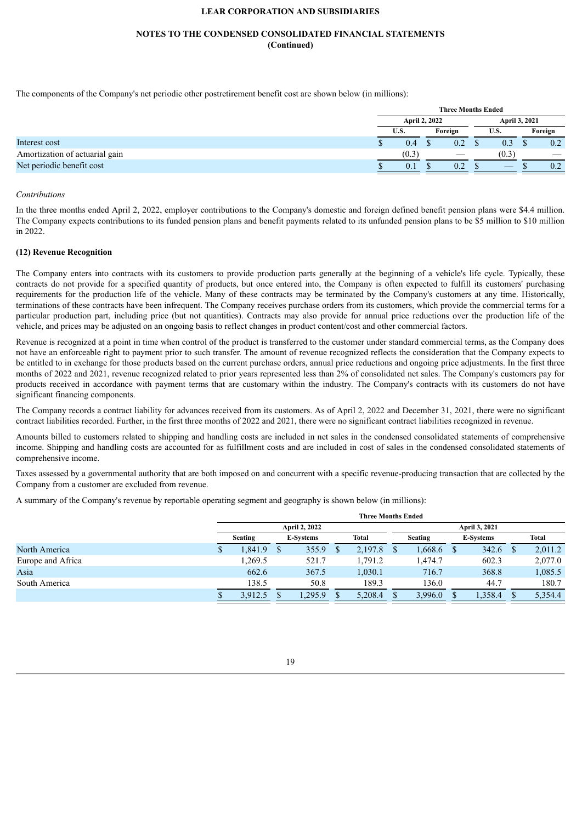## **NOTES TO THE CONDENSED CONSOLIDATED FINANCIAL STATEMENTS (Continued)**

The components of the Company's net periodic other postretirement benefit cost are shown below (in millions):

|                                | <b>Three Months Ended</b> |                 |  |                      |  |         |  |     |  |
|--------------------------------|---------------------------|-----------------|--|----------------------|--|---------|--|-----|--|
|                                | <b>April 2, 2022</b>      |                 |  | <b>April 3, 2021</b> |  |         |  |     |  |
|                                |                           | U.S.<br>Foreign |  | U.S.                 |  | Foreign |  |     |  |
| Interest cost                  |                           | 0.4             |  | 0.2                  |  | 0.3     |  | 0.2 |  |
| Amortization of actuarial gain |                           | (0.3)           |  |                      |  | (0.3)   |  | __  |  |
| Net periodic benefit cost      |                           | 0.1             |  | 0.2                  |  |         |  | 0.2 |  |

#### *Contributions*

In the three months ended April 2, 2022, employer contributions to the Company's domestic and foreign defined benefit pension plans were \$4.4 million. The Company expects contributions to its funded pension plans and benefit payments related to its unfunded pension plans to be \$5 million to \$10 million in 2022.

### **(12) Revenue Recognition**

The Company enters into contracts with its customers to provide production parts generally at the beginning of a vehicle's life cycle. Typically, these contracts do not provide for a specified quantity of products, but once entered into, the Company is often expected to fulfill its customers' purchasing requirements for the production life of the vehicle. Many of these contracts may be terminated by the Company's customers at any time. Historically, terminations of these contracts have been infrequent. The Company receives purchase orders from its customers, which provide the commercial terms for a particular production part, including price (but not quantities). Contracts may also provide for annual price reductions over the production life of the vehicle, and prices may be adjusted on an ongoing basis to reflect changes in product content/cost and other commercial factors.

Revenue is recognized at a point in time when control of the product is transferred to the customer under standard commercial terms, as the Company does not have an enforceable right to payment prior to such transfer. The amount of revenue recognized reflects the consideration that the Company expects to be entitled to in exchange for those products based on the current purchase orders, annual price reductions and ongoing price adjustments. In the first three months of 2022 and 2021, revenue recognized related to prior years represented less than 2% of consolidated net sales. The Company's customers pay for products received in accordance with payment terms that are customary within the industry. The Company's contracts with its customers do not have significant financing components.

The Company records a contract liability for advances received from its customers. As of April 2, 2022 and December 31, 2021, there were no significant contract liabilities recorded. Further, in the first three months of 2022 and 2021, there were no significant contract liabilities recognized in revenue.

Amounts billed to customers related to shipping and handling costs are included in net sales in the condensed consolidated statements of comprehensive income. Shipping and handling costs are accounted for as fulfillment costs and are included in cost of sales in the condensed consolidated statements of comprehensive income.

Taxes assessed by a governmental authority that are both imposed on and concurrent with a specific revenue-producing transaction that are collected by the Company from a customer are excluded from revenue.

A summary of the Company's revenue by reportable operating segment and geography is shown below (in millions):

|                   |                      |                |  |                  | <b>Three Months Ended</b> |  |                |  |           |  |         |
|-------------------|----------------------|----------------|--|------------------|---------------------------|--|----------------|--|-----------|--|---------|
|                   | <b>April 2, 2022</b> |                |  |                  | <b>April 3, 2021</b>      |  |                |  |           |  |         |
|                   |                      | <b>Seating</b> |  | <b>E-Systems</b> | <b>Total</b>              |  | <b>Seating</b> |  | E-Systems |  | Total   |
| North America     |                      | 1,841.9        |  | 355.9            | $2,197.8$ \$              |  | 1,668.6        |  | 342.6     |  | 2,011.2 |
| Europe and Africa |                      | 1,269.5        |  | 521.7            | 1,791.2                   |  | 1,474.7        |  | 602.3     |  | 2,077.0 |
| Asia              |                      | 662.6          |  | 367.5            | 1,030.1                   |  | 716.7          |  | 368.8     |  | 1,085.5 |
| South America     |                      | 138.5          |  | 50.8             | 189.3                     |  | 136.0          |  | 44.7      |  | 180.7   |
|                   |                      | 3,912.5        |  | 1,295.9          | 5,208.4                   |  | 3,996.0        |  | 1,358.4   |  | 5,354.4 |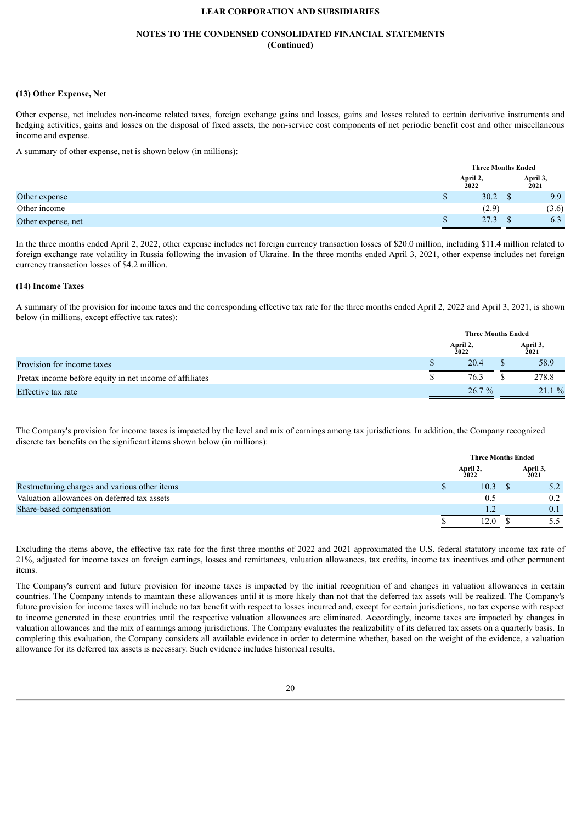## **NOTES TO THE CONDENSED CONSOLIDATED FINANCIAL STATEMENTS (Continued)**

### **(13) Other Expense, Net**

Other expense, net includes non-income related taxes, foreign exchange gains and losses, gains and losses related to certain derivative instruments and hedging activities, gains and losses on the disposal of fixed assets, the non-service cost components of net periodic benefit cost and other miscellaneous income and expense.

A summary of other expense, net is shown below (in millions):

|                    |   | <b>Three Months Ended</b> |                  |
|--------------------|---|---------------------------|------------------|
|                    |   | April 2,<br>2022          | April 3,<br>2021 |
| Other expense      | w | 30.2                      | 9.9              |
| Other income       |   | (2.9)                     | (3.6)            |
| Other expense, net |   | 27.3                      | 6.3              |

In the three months ended April 2, 2022, other expense includes net foreign currency transaction losses of \$20.0 million, including \$11.4 million related to foreign exchange rate volatility in Russia following the invasion of Ukraine. In the three months ended April 3, 2021, other expense includes net foreign currency transaction losses of \$4.2 million.

#### **(14) Income Taxes**

A summary of the provision for income taxes and the corresponding effective tax rate for the three months ended April 2, 2022 and April 3, 2021, is shown below (in millions, except effective tax rates):

|                                                         |                  | <b>Three Months Ended</b> |  |                  |  |  |
|---------------------------------------------------------|------------------|---------------------------|--|------------------|--|--|
|                                                         | April 2.<br>2022 |                           |  | April 3,<br>2021 |  |  |
| Provision for income taxes                              | 20.4             |                           |  | 58.9             |  |  |
| Pretax income before equity in net income of affiliates | 76.3             |                           |  | 278.8            |  |  |
| Effective tax rate                                      |                  | $26.7\%$                  |  | $21.1\%$         |  |  |

The Company's provision for income taxes is impacted by the level and mix of earnings among tax jurisdictions. In addition, the Company recognized discrete tax benefits on the significant items shown below (in millions):

|                                               |                  | <b>Three Months Ended</b> |
|-----------------------------------------------|------------------|---------------------------|
|                                               | April 2,<br>2022 | April 3,<br>2021          |
| Restructuring charges and various other items | 10.3             | 5.2                       |
| Valuation allowances on deferred tax assets   | 0.5              | 0.2                       |
| Share-based compensation                      |                  | 0.1                       |
|                                               | 12.0             |                           |

Excluding the items above, the effective tax rate for the first three months of 2022 and 2021 approximated the U.S. federal statutory income tax rate of 21%, adjusted for income taxes on foreign earnings, losses and remittances, valuation allowances, tax credits, income tax incentives and other permanent items.

The Company's current and future provision for income taxes is impacted by the initial recognition of and changes in valuation allowances in certain countries. The Company intends to maintain these allowances until it is more likely than not that the deferred tax assets will be realized. The Company's future provision for income taxes will include no tax benefit with respect to losses incurred and, except for certain jurisdictions, no tax expense with respect to income generated in these countries until the respective valuation allowances are eliminated. Accordingly, income taxes are impacted by changes in valuation allowances and the mix of earnings among jurisdictions. The Company evaluates the realizability of its deferred tax assets on a quarterly basis. In completing this evaluation, the Company considers all available evidence in order to determine whether, based on the weight of the evidence, a valuation allowance for its deferred tax assets is necessary. Such evidence includes historical results,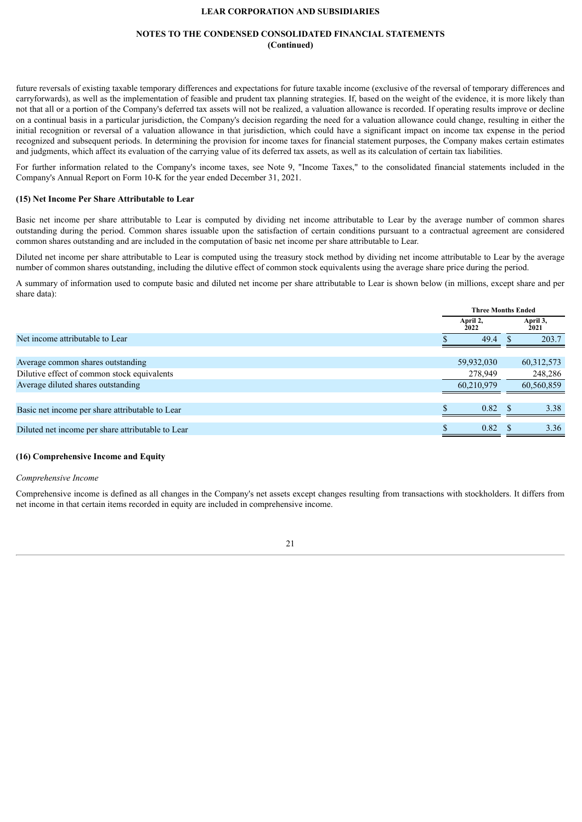### **NOTES TO THE CONDENSED CONSOLIDATED FINANCIAL STATEMENTS (Continued)**

future reversals of existing taxable temporary differences and expectations for future taxable income (exclusive of the reversal of temporary differences and carryforwards), as well as the implementation of feasible and prudent tax planning strategies. If, based on the weight of the evidence, it is more likely than not that all or a portion of the Company's deferred tax assets will not be realized, a valuation allowance is recorded. If operating results improve or decline on a continual basis in a particular jurisdiction, the Company's decision regarding the need for a valuation allowance could change, resulting in either the initial recognition or reversal of a valuation allowance in that jurisdiction, which could have a significant impact on income tax expense in the period recognized and subsequent periods. In determining the provision for income taxes for financial statement purposes, the Company makes certain estimates and judgments, which affect its evaluation of the carrying value of its deferred tax assets, as well as its calculation of certain tax liabilities.

For further information related to the Company's income taxes, see Note 9, "Income Taxes," to the consolidated financial statements included in the Company's Annual Report on Form 10-K for the year ended December 31, 2021.

## **(15) Net Income Per Share Attributable to Lear**

Basic net income per share attributable to Lear is computed by dividing net income attributable to Lear by the average number of common shares outstanding during the period. Common shares issuable upon the satisfaction of certain conditions pursuant to a contractual agreement are considered common shares outstanding and are included in the computation of basic net income per share attributable to Lear.

Diluted net income per share attributable to Lear is computed using the treasury stock method by dividing net income attributable to Lear by the average number of common shares outstanding, including the dilutive effect of common stock equivalents using the average share price during the period.

A summary of information used to compute basic and diluted net income per share attributable to Lear is shown below (in millions, except share and per share data):

|                                                   |                  | <b>Three Months Ended</b> |                  |  |
|---------------------------------------------------|------------------|---------------------------|------------------|--|
|                                                   | April 2,<br>2022 |                           | April 3,<br>2021 |  |
| Net income attributable to Lear                   |                  | 49.4                      | 203.7            |  |
|                                                   |                  |                           |                  |  |
| Average common shares outstanding                 | 59,932,030       |                           | 60,312,573       |  |
| Dilutive effect of common stock equivalents       |                  | 278,949                   | 248,286          |  |
| Average diluted shares outstanding                | 60,210,979       |                           | 60,560,859       |  |
|                                                   |                  |                           |                  |  |
| Basic net income per share attributable to Lear   |                  | 0.82                      | 3.38             |  |
|                                                   |                  |                           |                  |  |
| Diluted net income per share attributable to Lear |                  | 0.82                      | 3.36             |  |

#### **(16) Comprehensive Income and Equity**

#### *Comprehensive Income*

Comprehensive income is defined as all changes in the Company's net assets except changes resulting from transactions with stockholders. It differs from net income in that certain items recorded in equity are included in comprehensive income.

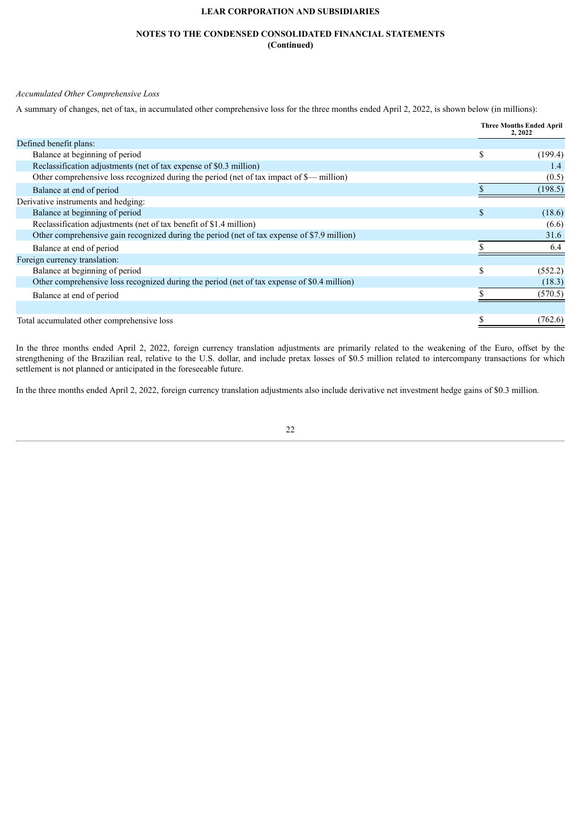## **NOTES TO THE CONDENSED CONSOLIDATED FINANCIAL STATEMENTS (Continued)**

## *Accumulated Other Comprehensive Loss*

A summary of changes, net of tax, in accumulated other comprehensive loss for the three months ended April 2, 2022, is shown below (in millions):

|                                                                                             |    | <b>Three Months Ended April</b><br>2, 2022 |
|---------------------------------------------------------------------------------------------|----|--------------------------------------------|
| Defined benefit plans:                                                                      |    |                                            |
| Balance at beginning of period                                                              | \$ | (199.4)                                    |
| Reclassification adjustments (net of tax expense of \$0.3 million)                          |    | 1.4                                        |
| Other comprehensive loss recognized during the period (net of tax impact of \$— million)    |    | (0.5)                                      |
| Balance at end of period                                                                    |    | (198.5)                                    |
| Derivative instruments and hedging:                                                         |    |                                            |
| Balance at beginning of period                                                              | S  | (18.6)                                     |
| Reclassification adjustments (net of tax benefit of \$1.4 million)                          |    | (6.6)                                      |
| Other comprehensive gain recognized during the period (net of tax expense of \$7.9 million) |    | 31.6                                       |
| Balance at end of period                                                                    |    | 6.4                                        |
| Foreign currency translation:                                                               |    |                                            |
| Balance at beginning of period                                                              | \$ | (552.2)                                    |
| Other comprehensive loss recognized during the period (net of tax expense of \$0.4 million) |    | (18.3)                                     |
| Balance at end of period                                                                    |    | (570.5)                                    |
|                                                                                             |    |                                            |
| Total accumulated other comprehensive loss                                                  | S  | (762.6)                                    |

In the three months ended April 2, 2022, foreign currency translation adjustments are primarily related to the weakening of the Euro, offset by the strengthening of the Brazilian real, relative to the U.S. dollar, and include pretax losses of \$0.5 million related to intercompany transactions for which settlement is not planned or anticipated in the foreseeable future.

In the three months ended April 2, 2022, foreign currency translation adjustments also include derivative net investment hedge gains of \$0.3 million.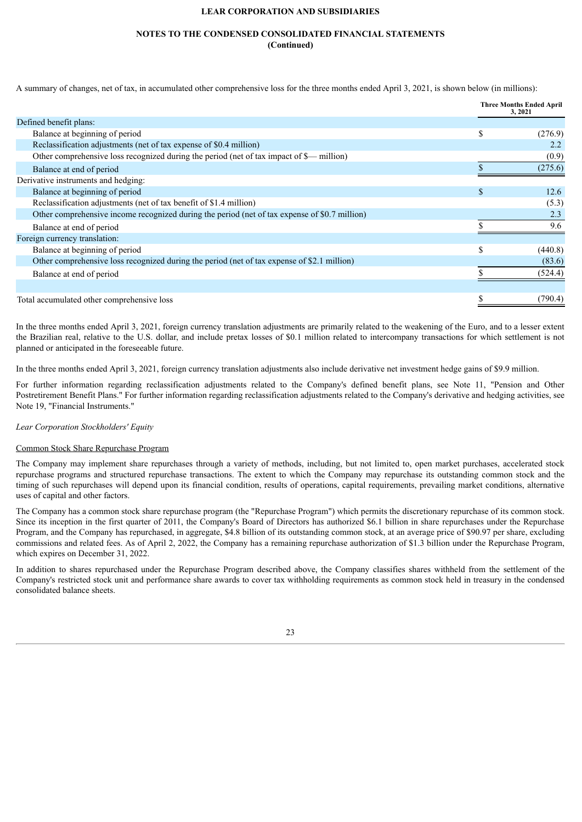## **NOTES TO THE CONDENSED CONSOLIDATED FINANCIAL STATEMENTS (Continued)**

A summary of changes, net of tax, in accumulated other comprehensive loss for the three months ended April 3, 2021, is shown below (in millions):

|                                                                                               |     | <b>Three Months Ended April</b><br>3, 2021 |
|-----------------------------------------------------------------------------------------------|-----|--------------------------------------------|
| Defined benefit plans:                                                                        |     |                                            |
| Balance at beginning of period                                                                | \$  | (276.9)                                    |
| Reclassification adjustments (net of tax expense of \$0.4 million)                            |     | 2.2                                        |
| Other comprehensive loss recognized during the period (net of tax impact of \$— million)      |     | (0.9)                                      |
| Balance at end of period                                                                      |     | (275.6)                                    |
| Derivative instruments and hedging:                                                           |     |                                            |
| Balance at beginning of period                                                                | \$. | 12.6                                       |
| Reclassification adjustments (net of tax benefit of \$1.4 million)                            |     | (5.3)                                      |
| Other comprehensive income recognized during the period (net of tax expense of \$0.7 million) |     | 2.3                                        |
| Balance at end of period                                                                      |     | 9.6                                        |
| Foreign currency translation:                                                                 |     |                                            |
| Balance at beginning of period                                                                | \$  | (440.8)                                    |
| Other comprehensive loss recognized during the period (net of tax expense of \$2.1 million)   |     | (83.6)                                     |
| Balance at end of period                                                                      |     | (524.4)                                    |
|                                                                                               |     |                                            |
| Total accumulated other comprehensive loss                                                    |     | (790.4)                                    |

In the three months ended April 3, 2021, foreign currency translation adjustments are primarily related to the weakening of the Euro, and to a lesser extent the Brazilian real, relative to the U.S. dollar, and include pretax losses of \$0.1 million related to intercompany transactions for which settlement is not planned or anticipated in the foreseeable future.

In the three months ended April 3, 2021, foreign currency translation adjustments also include derivative net investment hedge gains of \$9.9 million.

For further information regarding reclassification adjustments related to the Company's defined benefit plans, see Note 11, "Pension and Other Postretirement Benefit Plans." For further information regarding reclassification adjustments related to the Company's derivative and hedging activities, see Note 19, "Financial Instruments."

*Lear Corporation Stockholders' Equity*

#### Common Stock Share Repurchase Program

The Company may implement share repurchases through a variety of methods, including, but not limited to, open market purchases, accelerated stock repurchase programs and structured repurchase transactions. The extent to which the Company may repurchase its outstanding common stock and the timing of such repurchases will depend upon its financial condition, results of operations, capital requirements, prevailing market conditions, alternative uses of capital and other factors.

The Company has a common stock share repurchase program (the "Repurchase Program") which permits the discretionary repurchase of its common stock. Since its inception in the first quarter of 2011, the Company's Board of Directors has authorized \$6.1 billion in share repurchases under the Repurchase Program, and the Company has repurchased, in aggregate, \$4.8 billion of its outstanding common stock, at an average price of \$90.97 per share, excluding commissions and related fees. As of April 2, 2022, the Company has a remaining repurchase authorization of \$1.3 billion under the Repurchase Program, which expires on December 31, 2022.

In addition to shares repurchased under the Repurchase Program described above, the Company classifies shares withheld from the settlement of the Company's restricted stock unit and performance share awards to cover tax withholding requirements as common stock held in treasury in the condensed consolidated balance sheets.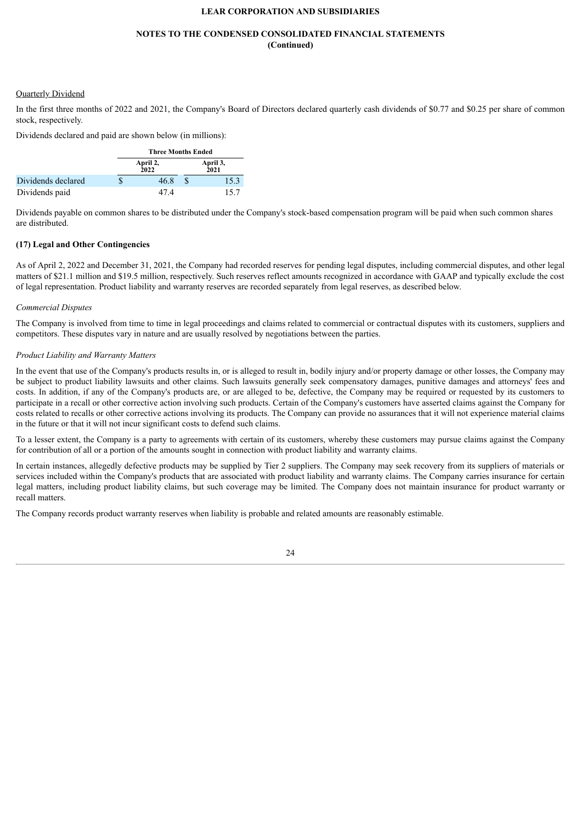## **NOTES TO THE CONDENSED CONSOLIDATED FINANCIAL STATEMENTS (Continued)**

## Quarterly Dividend

In the first three months of 2022 and 2021, the Company's Board of Directors declared quarterly cash dividends of \$0.77 and \$0.25 per share of common stock, respectively.

Dividends declared and paid are shown below (in millions):

|                    |  | <b>Three Months Ended</b> |  |                  |  |  |  |  |
|--------------------|--|---------------------------|--|------------------|--|--|--|--|
| April 2,<br>2022   |  |                           |  | April 3,<br>2021 |  |  |  |  |
| Dividends declared |  | 46.8                      |  | 15.3             |  |  |  |  |
| Dividends paid     |  | 47 4                      |  | 157              |  |  |  |  |

Dividends payable on common shares to be distributed under the Company's stock-based compensation program will be paid when such common shares are distributed.

### **(17) Legal and Other Contingencies**

As of April 2, 2022 and December 31, 2021, the Company had recorded reserves for pending legal disputes, including commercial disputes, and other legal matters of \$21.1 million and \$19.5 million, respectively. Such reserves reflect amounts recognized in accordance with GAAP and typically exclude the cost of legal representation. Product liability and warranty reserves are recorded separately from legal reserves, as described below.

#### *Commercial Disputes*

The Company is involved from time to time in legal proceedings and claims related to commercial or contractual disputes with its customers, suppliers and competitors. These disputes vary in nature and are usually resolved by negotiations between the parties.

#### *Product Liability and Warranty Matters*

In the event that use of the Company's products results in, or is alleged to result in, bodily injury and/or property damage or other losses, the Company may be subject to product liability lawsuits and other claims. Such lawsuits generally seek compensatory damages, punitive damages and attorneys' fees and costs. In addition, if any of the Company's products are, or are alleged to be, defective, the Company may be required or requested by its customers to participate in a recall or other corrective action involving such products. Certain of the Company's customers have asserted claims against the Company for costs related to recalls or other corrective actions involving its products. The Company can provide no assurances that it will not experience material claims in the future or that it will not incur significant costs to defend such claims.

To a lesser extent, the Company is a party to agreements with certain of its customers, whereby these customers may pursue claims against the Company for contribution of all or a portion of the amounts sought in connection with product liability and warranty claims.

In certain instances, allegedly defective products may be supplied by Tier 2 suppliers. The Company may seek recovery from its suppliers of materials or services included within the Company's products that are associated with product liability and warranty claims. The Company carries insurance for certain legal matters, including product liability claims, but such coverage may be limited. The Company does not maintain insurance for product warranty or recall matters.

The Company records product warranty reserves when liability is probable and related amounts are reasonably estimable.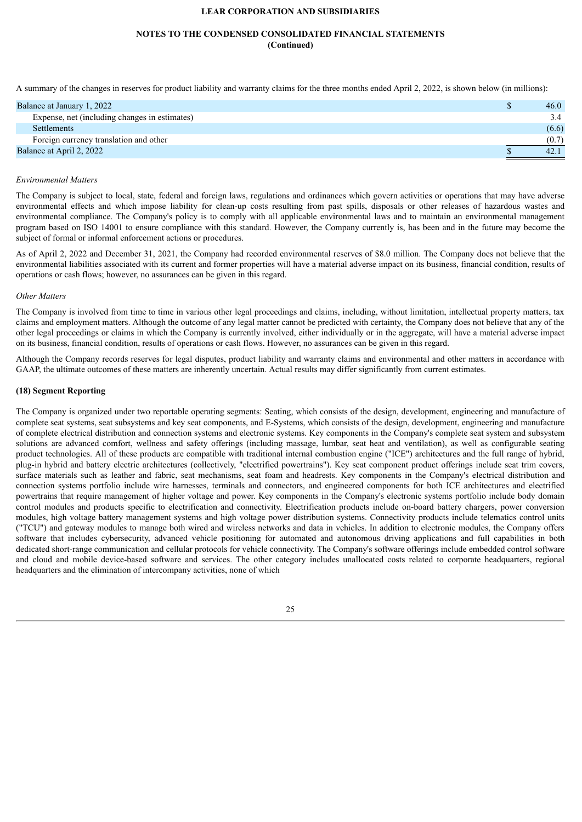#### **NOTES TO THE CONDENSED CONSOLIDATED FINANCIAL STATEMENTS (Continued)**

A summary of the changes in reserves for product liability and warranty claims for the three months ended April 2, 2022, is shown below (in millions):

| Balance at January 1, 2022                    | 46.0  |
|-----------------------------------------------|-------|
| Expense, net (including changes in estimates) | 34    |
| <b>Settlements</b>                            | (6.6) |
| Foreign currency translation and other        | (0.7) |
| Balance at April 2, 2022                      | 42.   |

#### *Environmental Matters*

The Company is subject to local, state, federal and foreign laws, regulations and ordinances which govern activities or operations that may have adverse environmental effects and which impose liability for clean-up costs resulting from past spills, disposals or other releases of hazardous wastes and environmental compliance. The Company's policy is to comply with all applicable environmental laws and to maintain an environmental management program based on ISO 14001 to ensure compliance with this standard. However, the Company currently is, has been and in the future may become the subject of formal or informal enforcement actions or procedures.

As of April 2, 2022 and December 31, 2021, the Company had recorded environmental reserves of \$8.0 million. The Company does not believe that the environmental liabilities associated with its current and former properties will have a material adverse impact on its business, financial condition, results of operations or cash flows; however, no assurances can be given in this regard.

### *Other Matters*

The Company is involved from time to time in various other legal proceedings and claims, including, without limitation, intellectual property matters, tax claims and employment matters. Although the outcome of any legal matter cannot be predicted with certainty, the Company does not believe that any of the other legal proceedings or claims in which the Company is currently involved, either individually or in the aggregate, will have a material adverse impact on its business, financial condition, results of operations or cash flows. However, no assurances can be given in this regard.

Although the Company records reserves for legal disputes, product liability and warranty claims and environmental and other matters in accordance with GAAP, the ultimate outcomes of these matters are inherently uncertain. Actual results may differ significantly from current estimates.

### **(18) Segment Reporting**

The Company is organized under two reportable operating segments: Seating, which consists of the design, development, engineering and manufacture of complete seat systems, seat subsystems and key seat components, and E-Systems, which consists of the design, development, engineering and manufacture of complete electrical distribution and connection systems and electronic systems. Key components in the Company's complete seat system and subsystem solutions are advanced comfort, wellness and safety offerings (including massage, lumbar, seat heat and ventilation), as well as configurable seating product technologies. All of these products are compatible with traditional internal combustion engine ("ICE") architectures and the full range of hybrid, plug-in hybrid and battery electric architectures (collectively, "electrified powertrains"). Key seat component product offerings include seat trim covers, surface materials such as leather and fabric, seat mechanisms, seat foam and headrests. Key components in the Company's electrical distribution and connection systems portfolio include wire harnesses, terminals and connectors, and engineered components for both ICE architectures and electrified powertrains that require management of higher voltage and power. Key components in the Company's electronic systems portfolio include body domain control modules and products specific to electrification and connectivity. Electrification products include on-board battery chargers, power conversion modules, high voltage battery management systems and high voltage power distribution systems. Connectivity products include telematics control units ("TCU") and gateway modules to manage both wired and wireless networks and data in vehicles. In addition to electronic modules, the Company offers software that includes cybersecurity, advanced vehicle positioning for automated and autonomous driving applications and full capabilities in both dedicated short-range communication and cellular protocols for vehicle connectivity. The Company's software offerings include embedded control software and cloud and mobile device-based software and services. The other category includes unallocated costs related to corporate headquarters, regional headquarters and the elimination of intercompany activities, none of which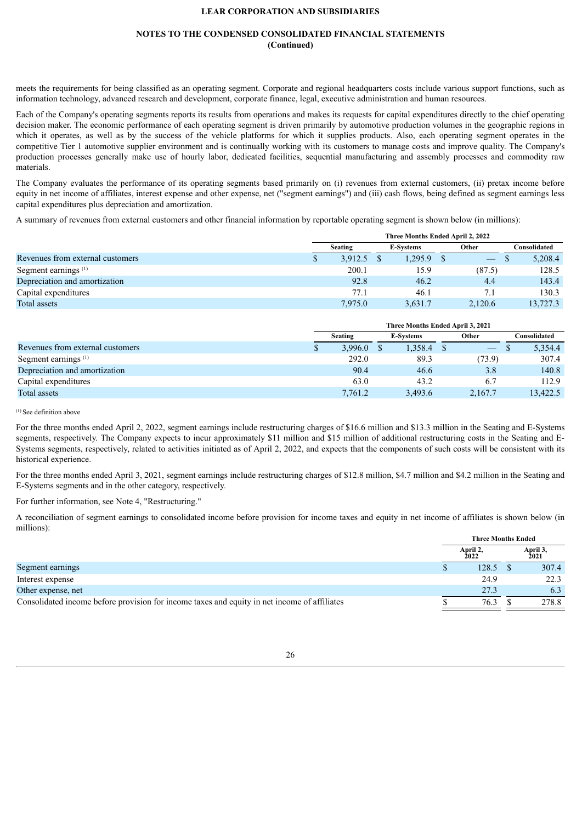### **NOTES TO THE CONDENSED CONSOLIDATED FINANCIAL STATEMENTS (Continued)**

meets the requirements for being classified as an operating segment. Corporate and regional headquarters costs include various support functions, such as information technology, advanced research and development, corporate finance, legal, executive administration and human resources.

Each of the Company's operating segments reports its results from operations and makes its requests for capital expenditures directly to the chief operating decision maker. The economic performance of each operating segment is driven primarily by automotive production volumes in the geographic regions in which it operates, as well as by the success of the vehicle platforms for which it supplies products. Also, each operating segment operates in the competitive Tier 1 automotive supplier environment and is continually working with its customers to manage costs and improve quality. The Company's production processes generally make use of hourly labor, dedicated facilities, sequential manufacturing and assembly processes and commodity raw materials.

The Company evaluates the performance of its operating segments based primarily on (i) revenues from external customers, (ii) pretax income before equity in net income of affiliates, interest expense and other expense, net ("segment earnings") and (iii) cash flows, being defined as segment earnings less capital expenditures plus depreciation and amortization.

A summary of revenues from external customers and other financial information by reportable operating segment is shown below (in millions):

|                                  | Three Months Ended April 2, 2022 |         |  |         |                  |                          |       |          |              |  |
|----------------------------------|----------------------------------|---------|--|---------|------------------|--------------------------|-------|----------|--------------|--|
|                                  | Seating                          |         |  |         | <b>E-Systems</b> |                          | Other |          | Consolidated |  |
| Revenues from external customers |                                  | 3,912.5 |  | 1,295.9 |                  | $\overline{\phantom{0}}$ |       | 5,208.4  |              |  |
| Segment earnings <sup>(1)</sup>  |                                  | 200.1   |  | 15.9    |                  | (87.5)                   |       | 128.5    |              |  |
| Depreciation and amortization    |                                  | 92.8    |  | 46.2    |                  | 4.4                      |       | 143.4    |              |  |
| Capital expenditures             |                                  | 77.1    |  | 46.1    |                  |                          |       | 130.3    |              |  |
| Total assets                     |                                  | 7.975.0 |  | 3.631.7 |                  | 2,120.6                  |       | 13.727.3 |              |  |

|                                  | Three Months Ended April 3, 2021 |  |           |  |                          |  |              |  |  |
|----------------------------------|----------------------------------|--|-----------|--|--------------------------|--|--------------|--|--|
|                                  | <b>Seating</b>                   |  | E-Systems |  | Other                    |  | Consolidated |  |  |
| Revenues from external customers | 3.996.0                          |  | 1,358.4   |  | $\overline{\phantom{m}}$ |  | 5,354.4      |  |  |
| Segment earnings <sup>(1)</sup>  | 292.0                            |  | 89.3      |  | (73.9)                   |  | 307.4        |  |  |
| Depreciation and amortization    | 90.4                             |  | 46.6      |  | 3.8                      |  | 140.8        |  |  |
| Capital expenditures             | 63.0                             |  | 43.2      |  | 6.7                      |  | 112.9        |  |  |
| Total assets                     | 7,761.2                          |  | 3.493.6   |  | 2.167.7                  |  | 13.422.5     |  |  |

<sup>(1)</sup> See definition above

For the three months ended April 2, 2022, segment earnings include restructuring charges of \$16.6 million and \$13.3 million in the Seating and E-Systems segments, respectively. The Company expects to incur approximately \$11 million and \$15 million of additional restructuring costs in the Seating and E-Systems segments, respectively, related to activities initiated as of April 2, 2022, and expects that the components of such costs will be consistent with its historical experience.

For the three months ended April 3, 2021, segment earnings include restructuring charges of \$12.8 million, \$4.7 million and \$4.2 million in the Seating and E-Systems segments and in the other category, respectively.

For further information, see Note 4, "Restructuring."

A reconciliation of segment earnings to consolidated income before provision for income taxes and equity in net income of affiliates is shown below (in millions):

|                                                                                              | <b>Three Months Ended</b> |                  |  |                  |
|----------------------------------------------------------------------------------------------|---------------------------|------------------|--|------------------|
|                                                                                              |                           | April 2,<br>2022 |  | April 3,<br>2021 |
| Segment earnings                                                                             |                           | 128.5            |  | 307.4            |
| Interest expense                                                                             |                           | 24.9             |  | 22.3             |
| Other expense, net                                                                           |                           | 27.3             |  | 6.3              |
| Consolidated income before provision for income taxes and equity in net income of affiliates |                           | 76.3             |  | 278.8            |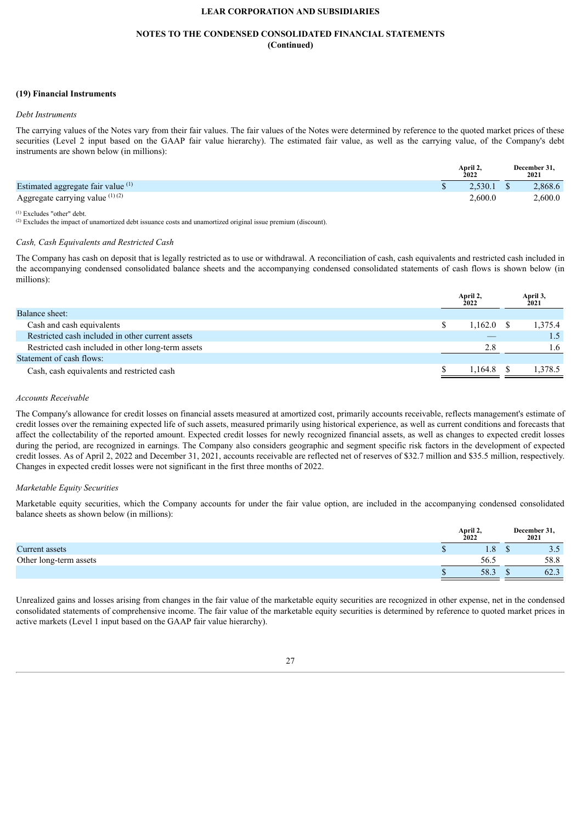## **NOTES TO THE CONDENSED CONSOLIDATED FINANCIAL STATEMENTS (Continued)**

### **(19) Financial Instruments**

#### *Debt Instruments*

The carrying values of the Notes vary from their fair values. The fair values of the Notes were determined by reference to the quoted market prices of these securities (Level 2 input based on the GAAP fair value hierarchy). The estimated fair value, as well as the carrying value, of the Company's debt instruments are shown below (in millions):

|                                    | April 2,<br>2022 | December 31,<br>2021 |         |  |
|------------------------------------|------------------|----------------------|---------|--|
| Estimated aggregate fair value (1) | 2,530.1          |                      | 2,868.6 |  |
| Aggregate carrying value $(1)(2)$  | 2.600.0          |                      | 2,600.0 |  |

Excludes "other" debt. (1)

 $(2)$  Excludes the impact of unamortized debt issuance costs and unamortized original issue premium (discount).

#### *Cash, Cash Equivalents and Restricted Cash*

The Company has cash on deposit that is legally restricted as to use or withdrawal. A reconciliation of cash, cash equivalents and restricted cash included in the accompanying condensed consolidated balance sheets and the accompanying condensed consolidated statements of cash flows is shown below (in millions):

|                                                    | April 2,<br>2022 |         | April 3,<br>2021 |  |
|----------------------------------------------------|------------------|---------|------------------|--|
| Balance sheet:                                     |                  |         |                  |  |
| Cash and cash equivalents                          |                  | 1.162.0 | 1.375.4          |  |
| Restricted cash included in other current assets   |                  |         | 1.5              |  |
| Restricted cash included in other long-term assets |                  | 2.8     | 1.6              |  |
| Statement of cash flows:                           |                  |         |                  |  |
| Cash, cash equivalents and restricted cash         |                  | 1,164.8 | 1,378.5          |  |
|                                                    |                  |         |                  |  |

#### *Accounts Receivable*

The Company's allowance for credit losses on financial assets measured at amortized cost, primarily accounts receivable, reflects management's estimate of credit losses over the remaining expected life of such assets, measured primarily using historical experience, as well as current conditions and forecasts that affect the collectability of the reported amount. Expected credit losses for newly recognized financial assets, as well as changes to expected credit losses during the period, are recognized in earnings. The Company also considers geographic and segment specific risk factors in the development of expected credit losses. As of April 2, 2022 and December 31, 2021, accounts receivable are reflected net of reserves of \$32.7 million and \$35.5 million, respectively. Changes in expected credit losses were not significant in the first three months of 2022.

### *Marketable Equity Securities*

Marketable equity securities, which the Company accounts for under the fair value option, are included in the accompanying condensed consolidated balance sheets as shown below (in millions):

|                        |     | April 2,<br><b>2022</b> | December 31.<br>2021 |
|------------------------|-----|-------------------------|----------------------|
| Current assets         | ω   | .8 <sub>1</sub>         | $\sim\,$             |
| Other long-term assets |     | 56.5                    | 58.8                 |
|                        | . . | 58.3                    | $\sim$<br>02.3       |

Unrealized gains and losses arising from changes in the fair value of the marketable equity securities are recognized in other expense, net in the condensed consolidated statements of comprehensive income. The fair value of the marketable equity securities is determined by reference to quoted market prices in active markets (Level 1 input based on the GAAP fair value hierarchy).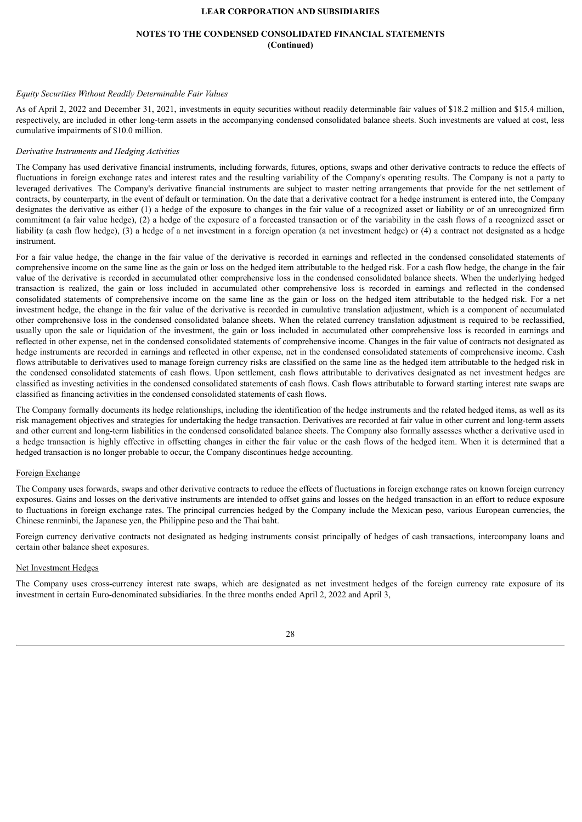## **NOTES TO THE CONDENSED CONSOLIDATED FINANCIAL STATEMENTS (Continued)**

#### *Equity Securities Without Readily Determinable Fair Values*

As of April 2, 2022 and December 31, 2021, investments in equity securities without readily determinable fair values of \$18.2 million and \$15.4 million, respectively, are included in other long-term assets in the accompanying condensed consolidated balance sheets. Such investments are valued at cost, less cumulative impairments of \$10.0 million.

#### *Derivative Instruments and Hedging Activities*

The Company has used derivative financial instruments, including forwards, futures, options, swaps and other derivative contracts to reduce the effects of fluctuations in foreign exchange rates and interest rates and the resulting variability of the Company's operating results. The Company is not a party to leveraged derivatives. The Company's derivative financial instruments are subject to master netting arrangements that provide for the net settlement of contracts, by counterparty, in the event of default or termination. On the date that a derivative contract for a hedge instrument is entered into, the Company designates the derivative as either (1) a hedge of the exposure to changes in the fair value of a recognized asset or liability or of an unrecognized firm commitment (a fair value hedge), (2) a hedge of the exposure of a forecasted transaction or of the variability in the cash flows of a recognized asset or liability (a cash flow hedge), (3) a hedge of a net investment in a foreign operation (a net investment hedge) or (4) a contract not designated as a hedge instrument.

For a fair value hedge, the change in the fair value of the derivative is recorded in earnings and reflected in the condensed consolidated statements of comprehensive income on the same line as the gain or loss on the hedged item attributable to the hedged risk. For a cash flow hedge, the change in the fair value of the derivative is recorded in accumulated other comprehensive loss in the condensed consolidated balance sheets. When the underlying hedged transaction is realized, the gain or loss included in accumulated other comprehensive loss is recorded in earnings and reflected in the condensed consolidated statements of comprehensive income on the same line as the gain or loss on the hedged item attributable to the hedged risk. For a net investment hedge, the change in the fair value of the derivative is recorded in cumulative translation adjustment, which is a component of accumulated other comprehensive loss in the condensed consolidated balance sheets. When the related currency translation adjustment is required to be reclassified, usually upon the sale or liquidation of the investment, the gain or loss included in accumulated other comprehensive loss is recorded in earnings and reflected in other expense, net in the condensed consolidated statements of comprehensive income. Changes in the fair value of contracts not designated as hedge instruments are recorded in earnings and reflected in other expense, net in the condensed consolidated statements of comprehensive income. Cash flows attributable to derivatives used to manage foreign currency risks are classified on the same line as the hedged item attributable to the hedged risk in the condensed consolidated statements of cash flows. Upon settlement, cash flows attributable to derivatives designated as net investment hedges are classified as investing activities in the condensed consolidated statements of cash flows. Cash flows attributable to forward starting interest rate swaps are classified as financing activities in the condensed consolidated statements of cash flows.

The Company formally documents its hedge relationships, including the identification of the hedge instruments and the related hedged items, as well as its risk management objectives and strategies for undertaking the hedge transaction. Derivatives are recorded at fair value in other current and long-term assets and other current and long-term liabilities in the condensed consolidated balance sheets. The Company also formally assesses whether a derivative used in a hedge transaction is highly effective in offsetting changes in either the fair value or the cash flows of the hedged item. When it is determined that a hedged transaction is no longer probable to occur, the Company discontinues hedge accounting.

#### Foreign Exchange

The Company uses forwards, swaps and other derivative contracts to reduce the effects of fluctuations in foreign exchange rates on known foreign currency exposures. Gains and losses on the derivative instruments are intended to offset gains and losses on the hedged transaction in an effort to reduce exposure to fluctuations in foreign exchange rates. The principal currencies hedged by the Company include the Mexican peso, various European currencies, the Chinese renminbi, the Japanese yen, the Philippine peso and the Thai baht.

Foreign currency derivative contracts not designated as hedging instruments consist principally of hedges of cash transactions, intercompany loans and certain other balance sheet exposures.

### Net Investment Hedges

The Company uses cross-currency interest rate swaps, which are designated as net investment hedges of the foreign currency rate exposure of its investment in certain Euro-denominated subsidiaries. In the three months ended April 2, 2022 and April 3,

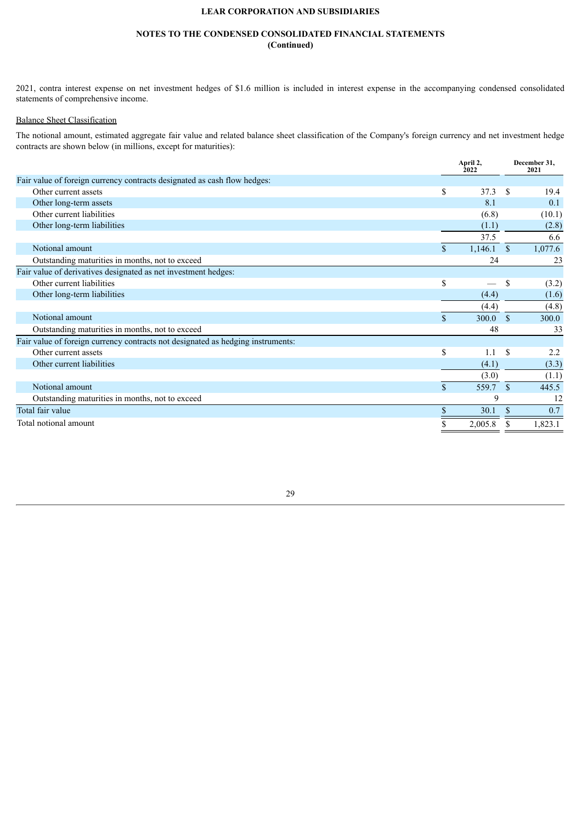## **NOTES TO THE CONDENSED CONSOLIDATED FINANCIAL STATEMENTS (Continued)**

2021, contra interest expense on net investment hedges of \$1.6 million is included in interest expense in the accompanying condensed consolidated statements of comprehensive income.

## Balance Sheet Classification

The notional amount, estimated aggregate fair value and related balance sheet classification of the Company's foreign currency and net investment hedge contracts are shown below (in millions, except for maturities):

|                                                                                 | April 2,<br>2022 |         |               | December 31,<br>2021 |  |
|---------------------------------------------------------------------------------|------------------|---------|---------------|----------------------|--|
| Fair value of foreign currency contracts designated as cash flow hedges:        |                  |         |               |                      |  |
| Other current assets                                                            | \$               | 37.3    | -S            | 19.4                 |  |
| Other long-term assets                                                          |                  | 8.1     |               | 0.1                  |  |
| Other current liabilities                                                       |                  | (6.8)   |               | (10.1)               |  |
| Other long-term liabilities                                                     |                  | (1.1)   |               | (2.8)                |  |
|                                                                                 |                  | 37.5    |               | 6.6                  |  |
| Notional amount                                                                 | \$.              | 1,146.1 | $\mathbf{s}$  | 1,077.6              |  |
| Outstanding maturities in months, not to exceed                                 |                  | 24      |               | 23                   |  |
| Fair value of derivatives designated as net investment hedges:                  |                  |         |               |                      |  |
| Other current liabilities                                                       | \$               |         | S             | (3.2)                |  |
| Other long-term liabilities                                                     |                  | (4.4)   |               | (1.6)                |  |
|                                                                                 |                  | (4.4)   |               | (4.8)                |  |
| Notional amount                                                                 | \$               | 300.0   | $\mathbf{\$}$ | 300.0                |  |
| Outstanding maturities in months, not to exceed                                 |                  | 48      |               | 33                   |  |
| Fair value of foreign currency contracts not designated as hedging instruments: |                  |         |               |                      |  |
| Other current assets                                                            | \$               | 1.1     | \$            | 2.2                  |  |
| Other current liabilities                                                       |                  | (4.1)   |               | (3.3)                |  |
|                                                                                 |                  | (3.0)   |               | (1.1)                |  |
| Notional amount                                                                 | $\mathcal{S}$    | 559.7   | <sup>S</sup>  | 445.5                |  |
| Outstanding maturities in months, not to exceed                                 |                  | 9       |               | 12                   |  |
| Total fair value                                                                |                  | 30.1    | S             | 0.7                  |  |
| Total notional amount                                                           |                  | 2,005.8 |               | 1,823.1              |  |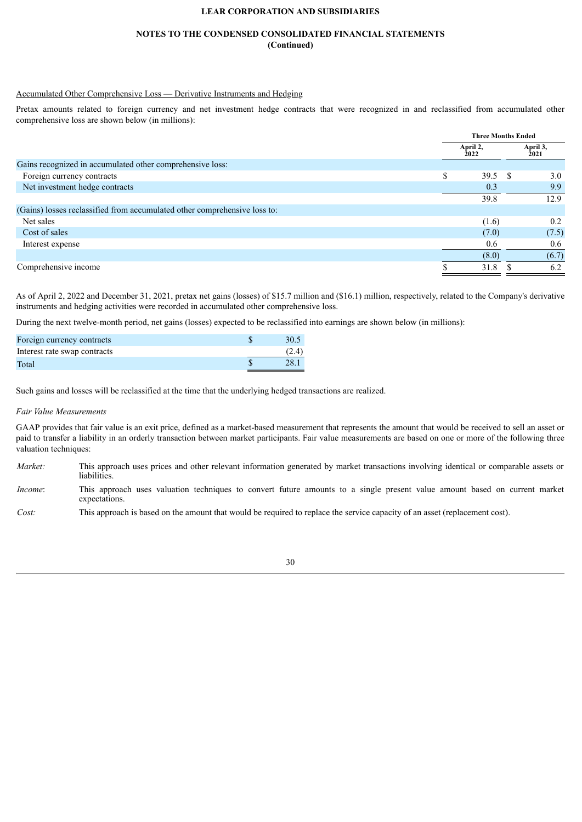## **NOTES TO THE CONDENSED CONSOLIDATED FINANCIAL STATEMENTS (Continued)**

## Accumulated Other Comprehensive Loss — Derivative Instruments and Hedging

Pretax amounts related to foreign currency and net investment hedge contracts that were recognized in and reclassified from accumulated other comprehensive loss are shown below (in millions):

|                                                                           |    | <b>Three Months Ended</b> |                  |       |  |
|---------------------------------------------------------------------------|----|---------------------------|------------------|-------|--|
|                                                                           |    | April 2,<br>2022          | April 3,<br>2021 |       |  |
| Gains recognized in accumulated other comprehensive loss:                 |    |                           |                  |       |  |
| Foreign currency contracts                                                | \$ | 39.5                      | -S               | 3.0   |  |
| Net investment hedge contracts                                            |    | 0.3                       |                  | 9.9   |  |
|                                                                           |    | 39.8                      |                  | 12.9  |  |
| (Gains) losses reclassified from accumulated other comprehensive loss to: |    |                           |                  |       |  |
| Net sales                                                                 |    | (1.6)                     |                  | 0.2   |  |
| Cost of sales                                                             |    | (7.0)                     |                  | (7.5) |  |
| Interest expense                                                          |    | 0.6                       |                  | 0.6   |  |
|                                                                           |    | (8.0)                     |                  | (6.7) |  |
| Comprehensive income                                                      |    | 31.8                      |                  | 6.2   |  |
|                                                                           |    |                           |                  |       |  |

As of April 2, 2022 and December 31, 2021, pretax net gains (losses) of \$15.7 million and (\$16.1) million, respectively, related to the Company's derivative instruments and hedging activities were recorded in accumulated other comprehensive loss.

During the next twelve-month period, net gains (losses) expected to be reclassified into earnings are shown below (in millions):

| Foreign currency contracts   | 30.5  |
|------------------------------|-------|
| Interest rate swap contracts | (2.4) |
| Total                        | 28.   |

Such gains and losses will be reclassified at the time that the underlying hedged transactions are realized.

## *Fair Value Measurements*

GAAP provides that fair value is an exit price, defined as a market-based measurement that represents the amount that would be received to sell an asset or paid to transfer a liability in an orderly transaction between market participants. Fair value measurements are based on one or more of the following three valuation techniques:

- *Market:* This approach uses prices and other relevant information generated by market transactions involving identical or comparable assets or liabilities.
- *Income*: This approach uses valuation techniques to convert future amounts to a single present value amount based on current market expectations.
- *Cost:* This approach is based on the amount that would be required to replace the service capacity of an asset (replacement cost).

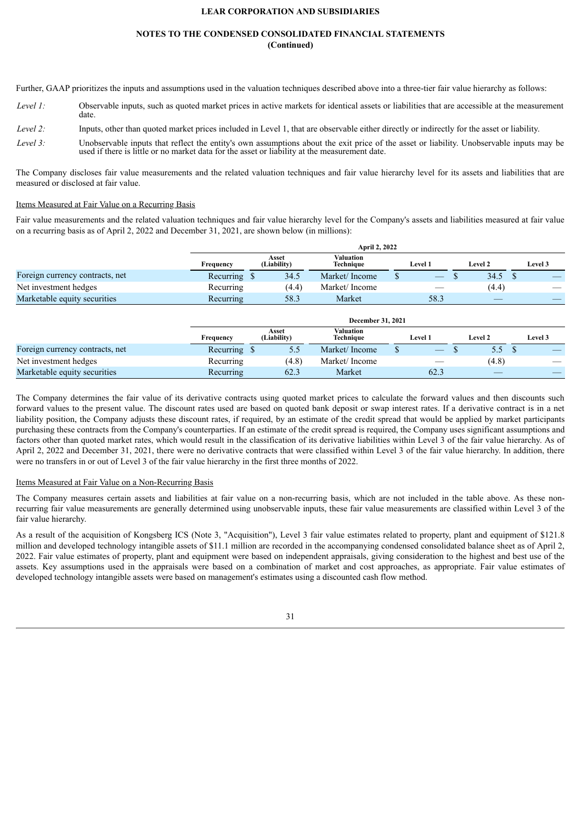## **NOTES TO THE CONDENSED CONSOLIDATED FINANCIAL STATEMENTS (Continued)**

Further, GAAP prioritizes the inputs and assumptions used in the valuation techniques described above into a three-tier fair value hierarchy as follows:

- *Level 1*: Observable inputs, such as quoted market prices in active markets for identical assets or liabilities that are accessible at the measurement date.
- *Level 2:* Inputs, other than quoted market prices included in Level 1, that are observable either directly or indirectly for the asset or liability.
- *Level* 3: Unobservable inputs that reflect the entity's own assumptions about the exit price of the asset or liability. Unobservable inputs may be used if there is little or no market data for the asset or liability at the measurement date.

The Company discloses fair value measurements and the related valuation techniques and fair value hierarchy level for its assets and liabilities that are measured or disclosed at fair value.

#### Items Measured at Fair Value on a Recurring Basis

Fair value measurements and the related valuation techniques and fair value hierarchy level for the Company's assets and liabilities measured at fair value on a recurring basis as of April 2, 2022 and December 31, 2021, are shown below (in millions):

|                                 |           | <b>April 2, 2022</b> |                        |  |                |  |                |  |                |
|---------------------------------|-----------|----------------------|------------------------|--|----------------|--|----------------|--|----------------|
|                                 | Frequency | Asset<br>(Liability) | Valuation<br>Technique |  | <b>Level 1</b> |  | <b>Level 2</b> |  | <b>Level 3</b> |
| Foreign currency contracts, net | Recurring | 34.5                 | Market/Income          |  |                |  | 34.5           |  |                |
| Net investment hedges           | Recurring | (4.4)                | Market/Income          |  |                |  | (4.4)          |  |                |
| Marketable equity securities    | Recurring | 58.3                 | Market                 |  | 58.3           |  |                |  |                |

|                                 |           | <b>December 31, 2021</b> |                        |  |                |  |                |  |         |
|---------------------------------|-----------|--------------------------|------------------------|--|----------------|--|----------------|--|---------|
|                                 | Frequency | Asset<br>(Liability)     | Valuation<br>Technique |  | <b>Level 1</b> |  | <b>Level 2</b> |  | Level 3 |
| Foreign currency contracts, net | Recurring | 5.5                      | Market/Income          |  |                |  | 5.5.           |  |         |
| Net investment hedges           | Recurring | (4.8)                    | Market/Income          |  |                |  | (4.8)          |  |         |
| Marketable equity securities    | Recurring | 62.3                     | Market                 |  | 62.3           |  |                |  |         |

The Company determines the fair value of its derivative contracts using quoted market prices to calculate the forward values and then discounts such forward values to the present value. The discount rates used are based on quoted bank deposit or swap interest rates. If a derivative contract is in a net liability position, the Company adjusts these discount rates, if required, by an estimate of the credit spread that would be applied by market participants purchasing these contracts from the Company's counterparties. If an estimate of the credit spread is required, the Company uses significant assumptions and factors other than quoted market rates, which would result in the classification of its derivative liabilities within Level 3 of the fair value hierarchy. As of April 2, 2022 and December 31, 2021, there were no derivative contracts that were classified within Level 3 of the fair value hierarchy. In addition, there were no transfers in or out of Level 3 of the fair value hierarchy in the first three months of 2022.

#### Items Measured at Fair Value on a Non-Recurring Basis

The Company measures certain assets and liabilities at fair value on a non-recurring basis, which are not included in the table above. As these nonrecurring fair value measurements are generally determined using unobservable inputs, these fair value measurements are classified within Level 3 of the fair value hierarchy.

As a result of the acquisition of Kongsberg ICS (Note 3, "Acquisition"), Level 3 fair value estimates related to property, plant and equipment of \$121.8 million and developed technology intangible assets of \$11.1 million are recorded in the accompanying condensed consolidated balance sheet as of April 2, 2022. Fair value estimates of property, plant and equipment were based on independent appraisals, giving consideration to the highest and best use of the assets. Key assumptions used in the appraisals were based on a combination of market and cost approaches, as appropriate. Fair value estimates of developed technology intangible assets were based on management's estimates using a discounted cash flow method.

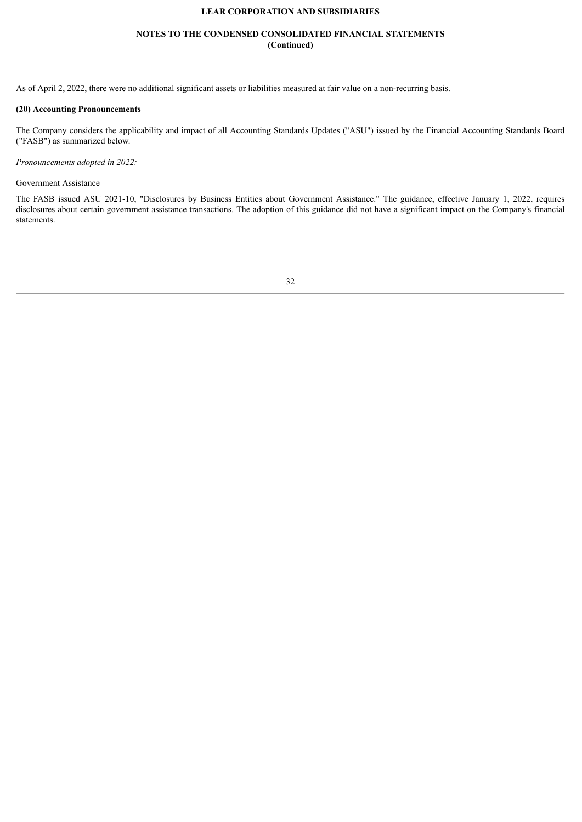## **NOTES TO THE CONDENSED CONSOLIDATED FINANCIAL STATEMENTS (Continued)**

As of April 2, 2022, there were no additional significant assets or liabilities measured at fair value on a non-recurring basis.

### **(20) Accounting Pronouncements**

The Company considers the applicability and impact of all Accounting Standards Updates ("ASU") issued by the Financial Accounting Standards Board ("FASB") as summarized below.

*Pronouncements adopted in 2022:*

## Government Assistance

<span id="page-31-0"></span>The FASB issued ASU 2021-10, "Disclosures by Business Entities about Government Assistance." The guidance, effective January 1, 2022, requires disclosures about certain government assistance transactions. The adoption of this guidance did not have a significant impact on the Company's financial statements.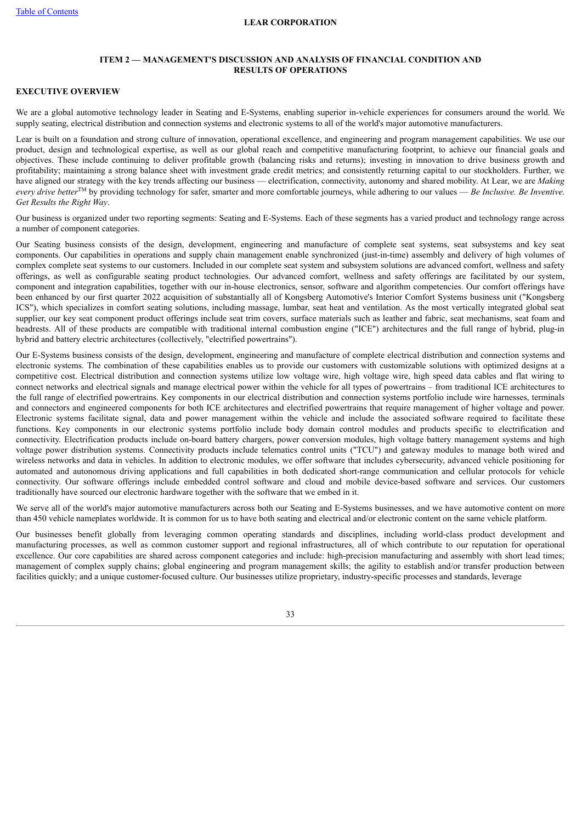### **ITEM 2 — MANAGEMENT'S DISCUSSION AND ANALYSIS OF FINANCIAL CONDITION AND RESULTS OF OPERATIONS**

## <span id="page-32-0"></span>**EXECUTIVE OVERVIEW**

We are a global automotive technology leader in Seating and E-Systems, enabling superior in-vehicle experiences for consumers around the world. We supply seating, electrical distribution and connection systems and electronic systems to all of the world's major automotive manufacturers.

Lear is built on a foundation and strong culture of innovation, operational excellence, and engineering and program management capabilities. We use our product, design and technological expertise, as well as our global reach and competitive manufacturing footprint, to achieve our financial goals and objectives. These include continuing to deliver profitable growth (balancing risks and returns); investing in innovation to drive business growth and profitability; maintaining a strong balance sheet with investment grade credit metrics; and consistently returning capital to our stockholders. Further, we have aligned our strategy with the key trends affecting our business — electrification, connectivity, autonomy and shared mobility. At Lear, we are *Making every drive better*<sup>TM</sup> by providing technology for safer, smarter and more comfortable journeys, while adhering to our values — *Be Inclusive. Be Inventive*. *Get Results the Right Way*.

Our business is organized under two reporting segments: Seating and E-Systems. Each of these segments has a varied product and technology range across a number of component categories.

Our Seating business consists of the design, development, engineering and manufacture of complete seat systems, seat subsystems and key seat components. Our capabilities in operations and supply chain management enable synchronized (just-in-time) assembly and delivery of high volumes of complex complete seat systems to our customers. Included in our complete seat system and subsystem solutions are advanced comfort, wellness and safety offerings, as well as configurable seating product technologies. Our advanced comfort, wellness and safety offerings are facilitated by our system, component and integration capabilities, together with our in-house electronics, sensor, software and algorithm competencies. Our comfort offerings have been enhanced by our first quarter 2022 acquisition of substantially all of Kongsberg Automotive's Interior Comfort Systems business unit ("Kongsberg ICS"), which specializes in comfort seating solutions, including massage, lumbar, seat heat and ventilation. As the most vertically integrated global seat supplier, our key seat component product offerings include seat trim covers, surface materials such as leather and fabric, seat mechanisms, seat foam and headrests. All of these products are compatible with traditional internal combustion engine ("ICE") architectures and the full range of hybrid, plug-in hybrid and battery electric architectures (collectively, "electrified powertrains").

Our E-Systems business consists of the design, development, engineering and manufacture of complete electrical distribution and connection systems and electronic systems. The combination of these capabilities enables us to provide our customers with customizable solutions with optimized designs at a competitive cost. Electrical distribution and connection systems utilize low voltage wire, high voltage wire, high speed data cables and flat wiring to connect networks and electrical signals and manage electrical power within the vehicle for all types of powertrains – from traditional ICE architectures to the full range of electrified powertrains. Key components in our electrical distribution and connection systems portfolio include wire harnesses, terminals and connectors and engineered components for both ICE architectures and electrified powertrains that require management of higher voltage and power. Electronic systems facilitate signal, data and power management within the vehicle and include the associated software required to facilitate these functions. Key components in our electronic systems portfolio include body domain control modules and products specific to electrification and connectivity. Electrification products include on-board battery chargers, power conversion modules, high voltage battery management systems and high voltage power distribution systems. Connectivity products include telematics control units ("TCU") and gateway modules to manage both wired and wireless networks and data in vehicles. In addition to electronic modules, we offer software that includes cybersecurity, advanced vehicle positioning for automated and autonomous driving applications and full capabilities in both dedicated short-range communication and cellular protocols for vehicle connectivity. Our software offerings include embedded control software and cloud and mobile device-based software and services. Our customers traditionally have sourced our electronic hardware together with the software that we embed in it.

We serve all of the world's major automotive manufacturers across both our Seating and E-Systems businesses, and we have automotive content on more than 450 vehicle nameplates worldwide. It is common for us to have both seating and electrical and/or electronic content on the same vehicle platform.

Our businesses benefit globally from leveraging common operating standards and disciplines, including world-class product development and manufacturing processes, as well as common customer support and regional infrastructures, all of which contribute to our reputation for operational excellence. Our core capabilities are shared across component categories and include: high-precision manufacturing and assembly with short lead times; management of complex supply chains; global engineering and program management skills; the agility to establish and/or transfer production between facilities quickly; and a unique customer-focused culture. Our businesses utilize proprietary, industry-specific processes and standards, leverage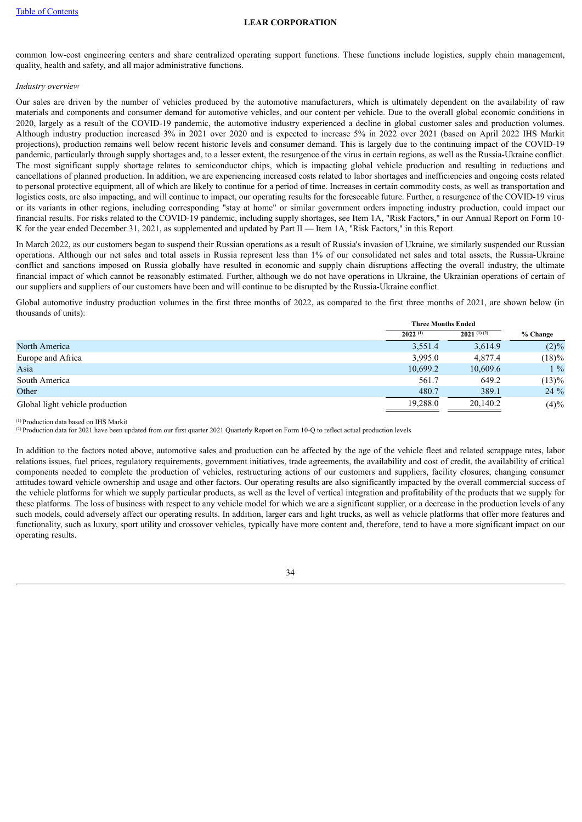common low-cost engineering centers and share centralized operating support functions. These functions include logistics, supply chain management, quality, health and safety, and all major administrative functions.

#### *Industry overview*

Our sales are driven by the number of vehicles produced by the automotive manufacturers, which is ultimately dependent on the availability of raw materials and components and consumer demand for automotive vehicles, and our content per vehicle. Due to the overall global economic conditions in 2020, largely as a result of the COVID-19 pandemic, the automotive industry experienced a decline in global customer sales and production volumes. Although industry production increased 3% in 2021 over 2020 and is expected to increase 5% in 2022 over 2021 (based on April 2022 IHS Markit projections), production remains well below recent historic levels and consumer demand. This is largely due to the continuing impact of the COVID-19 pandemic, particularly through supply shortages and, to a lesser extent, the resurgence of the virus in certain regions, as well as the Russia-Ukraine conflict. The most significant supply shortage relates to semiconductor chips, which is impacting global vehicle production and resulting in reductions and cancellations of planned production. In addition, we are experiencing increased costs related to labor shortages and inefficiencies and ongoing costs related to personal protective equipment, all of which are likely to continue for a period of time. Increases in certain commodity costs, as well as transportation and logistics costs, are also impacting, and will continue to impact, our operating results for the foreseeable future. Further, a resurgence of the COVID-19 virus or its variants in other regions, including corresponding "stay at home" or similar government orders impacting industry production, could impact our financial results. For risks related to the COVID-19 pandemic, including supply shortages, see Item 1A, "Risk Factors," in our Annual Report on Form 10- K for the year ended December 31, 2021, as supplemented and updated by Part II — Item 1A, "Risk Factors," in this Report.

In March 2022, as our customers began to suspend their Russian operations as a result of Russia's invasion of Ukraine, we similarly suspended our Russian operations. Although our net sales and total assets in Russia represent less than 1% of our consolidated net sales and total assets, the Russia-Ukraine conflict and sanctions imposed on Russia globally have resulted in economic and supply chain disruptions affecting the overall industry, the ultimate financial impact of which cannot be reasonably estimated. Further, although we do not have operations in Ukraine, the Ukrainian operations of certain of our suppliers and suppliers of our customers have been and will continue to be disrupted by the Russia-Ukraine conflict.

Global automotive industry production volumes in the first three months of 2022, as compared to the first three months of 2021, are shown below (in thousands of units):

|                                 | <b>Three Months Ended</b> |                 |          |
|---------------------------------|---------------------------|-----------------|----------|
|                                 | $2022^{(1)}$              | $2021^{(1)(2)}$ | % Change |
| North America                   | 3,551.4                   | 3,614.9         | $(2)\%$  |
| Europe and Africa               | 3,995.0                   | 4,877.4         | $(18)\%$ |
| Asia                            | 10,699.2                  | 10,609.6        | $1\%$    |
| South America                   | 561.7                     | 649.2           | $(13)\%$ |
| Other                           | 480.7                     | 389.1           | 24 %     |
| Global light vehicle production | 19,288.0                  | 20,140.2        | $(4)\%$  |

<sup>(1)</sup> Production data based on IHS Markit

Production data for 2021 have been updated from our first quarter 2021 Quarterly Report on Form 10-Q to reflect actual production levels (2)

In addition to the factors noted above, automotive sales and production can be affected by the age of the vehicle fleet and related scrappage rates, labor relations issues, fuel prices, regulatory requirements, government initiatives, trade agreements, the availability and cost of credit, the availability of critical components needed to complete the production of vehicles, restructuring actions of our customers and suppliers, facility closures, changing consumer attitudes toward vehicle ownership and usage and other factors. Our operating results are also significantly impacted by the overall commercial success of the vehicle platforms for which we supply particular products, as well as the level of vertical integration and profitability of the products that we supply for these platforms. The loss of business with respect to any vehicle model for which we are a significant supplier, or a decrease in the production levels of any such models, could adversely affect our operating results. In addition, larger cars and light trucks, as well as vehicle platforms that offer more features and functionality, such as luxury, sport utility and crossover vehicles, typically have more content and, therefore, tend to have a more significant impact on our operating results.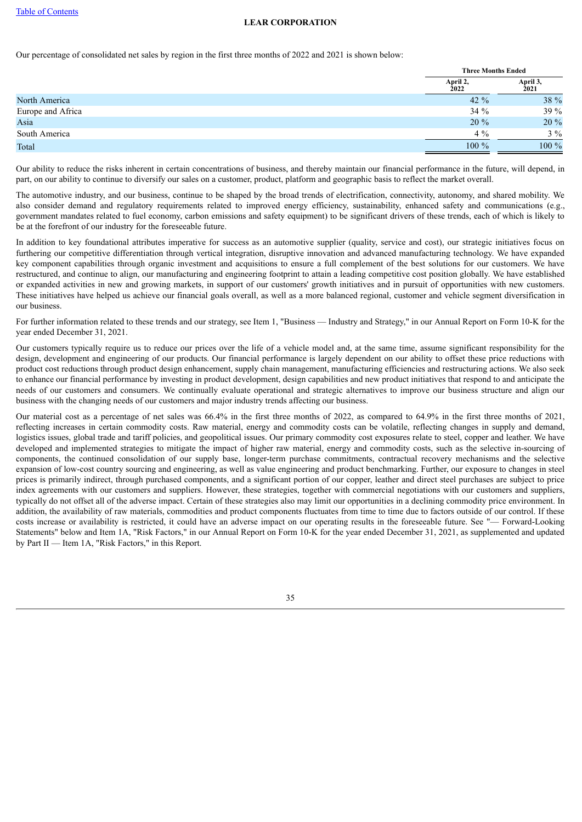Our percentage of consolidated net sales by region in the first three months of 2022 and 2021 is shown below:

|                   | <b>Three Months Ended</b> |                  |
|-------------------|---------------------------|------------------|
|                   | April 2,<br>2022          | April 3,<br>2021 |
| North America     | 42 $\%$                   | <b>38</b> %      |
| Europe and Africa | 34%                       | 39%              |
| Asia              | $20\%$                    | 20 %             |
| South America     | $4\%$                     | $3\%$            |
| Total             | 100 %                     | $100 \%$         |

Our ability to reduce the risks inherent in certain concentrations of business, and thereby maintain our financial performance in the future, will depend, in part, on our ability to continue to diversify our sales on a customer, product, platform and geographic basis to reflect the market overall.

The automotive industry, and our business, continue to be shaped by the broad trends of electrification, connectivity, autonomy, and shared mobility. We also consider demand and regulatory requirements related to improved energy efficiency, sustainability, enhanced safety and communications (e.g., government mandates related to fuel economy, carbon emissions and safety equipment) to be significant drivers of these trends, each of which is likely to be at the forefront of our industry for the foreseeable future.

In addition to key foundational attributes imperative for success as an automotive supplier (quality, service and cost), our strategic initiatives focus on furthering our competitive differentiation through vertical integration, disruptive innovation and advanced manufacturing technology. We have expanded key component capabilities through organic investment and acquisitions to ensure a full complement of the best solutions for our customers. We have restructured, and continue to align, our manufacturing and engineering footprint to attain a leading competitive cost position globally. We have established or expanded activities in new and growing markets, in support of our customers' growth initiatives and in pursuit of opportunities with new customers. These initiatives have helped us achieve our financial goals overall, as well as a more balanced regional, customer and vehicle segment diversification in our business.

For further information related to these trends and our strategy, see Item 1, "Business — Industry and Strategy," in our Annual Report on Form 10-K for the year ended December 31, 2021.

Our customers typically require us to reduce our prices over the life of a vehicle model and, at the same time, assume significant responsibility for the design, development and engineering of our products. Our financial performance is largely dependent on our ability to offset these price reductions with product cost reductions through product design enhancement, supply chain management, manufacturing efficiencies and restructuring actions. We also seek to enhance our financial performance by investing in product development, design capabilities and new product initiatives that respond to and anticipate the needs of our customers and consumers. We continually evaluate operational and strategic alternatives to improve our business structure and align our business with the changing needs of our customers and major industry trends affecting our business.

Our material cost as a percentage of net sales was 66.4% in the first three months of 2022, as compared to 64.9% in the first three months of 2021, reflecting increases in certain commodity costs. Raw material, energy and commodity costs can be volatile, reflecting changes in supply and demand, logistics issues, global trade and tariff policies, and geopolitical issues. Our primary commodity cost exposures relate to steel, copper and leather. We have developed and implemented strategies to mitigate the impact of higher raw material, energy and commodity costs, such as the selective in-sourcing of components, the continued consolidation of our supply base, longer-term purchase commitments, contractual recovery mechanisms and the selective expansion of low-cost country sourcing and engineering, as well as value engineering and product benchmarking. Further, our exposure to changes in steel prices is primarily indirect, through purchased components, and a significant portion of our copper, leather and direct steel purchases are subject to price index agreements with our customers and suppliers. However, these strategies, together with commercial negotiations with our customers and suppliers, typically do not offset all of the adverse impact. Certain of these strategies also may limit our opportunities in a declining commodity price environment. In addition, the availability of raw materials, commodities and product components fluctuates from time to time due to factors outside of our control. If these costs increase or availability is restricted, it could have an adverse impact on our operating results in the foreseeable future. See "— Forward-Looking Statements" below and Item 1A, "Risk Factors," in our Annual Report on Form 10-K for the year ended December 31, 2021, as supplemented and updated by Part II — Item 1A, "Risk Factors," in this Report.

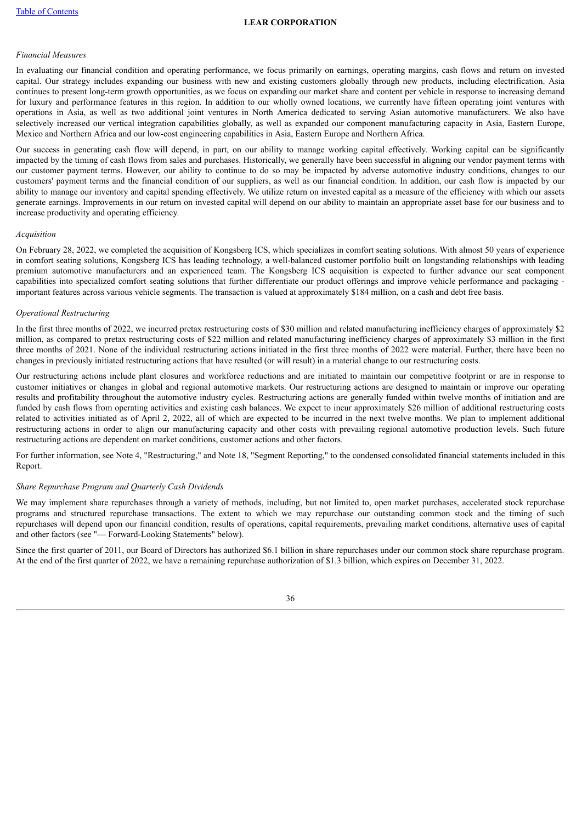### *Financial Measures*

In evaluating our financial condition and operating performance, we focus primarily on earnings, operating margins, cash flows and return on invested capital. Our strategy includes expanding our business with new and existing customers globally through new products, including electrification. Asia continues to present long-term growth opportunities, as we focus on expanding our market share and content per vehicle in response to increasing demand for luxury and performance features in this region. In addition to our wholly owned locations, we currently have fifteen operating joint ventures with operations in Asia, as well as two additional joint ventures in North America dedicated to serving Asian automotive manufacturers. We also have selectively increased our vertical integration capabilities globally, as well as expanded our component manufacturing capacity in Asia, Eastern Europe, Mexico and Northern Africa and our low-cost engineering capabilities in Asia, Eastern Europe and Northern Africa.

Our success in generating cash flow will depend, in part, on our ability to manage working capital effectively. Working capital can be significantly impacted by the timing of cash flows from sales and purchases. Historically, we generally have been successful in aligning our vendor payment terms with our customer payment terms. However, our ability to continue to do so may be impacted by adverse automotive industry conditions, changes to our customers' payment terms and the financial condition of our suppliers, as well as our financial condition. In addition, our cash flow is impacted by our ability to manage our inventory and capital spending effectively. We utilize return on invested capital as a measure of the efficiency with which our assets generate earnings. Improvements in our return on invested capital will depend on our ability to maintain an appropriate asset base for our business and to increase productivity and operating efficiency.

#### *Acquisition*

On February 28, 2022, we completed the acquisition of Kongsberg ICS, which specializes in comfort seating solutions. With almost 50 years of experience in comfort seating solutions, Kongsberg ICS has leading technology, a well-balanced customer portfolio built on longstanding relationships with leading premium automotive manufacturers and an experienced team. The Kongsberg ICS acquisition is expected to further advance our seat component capabilities into specialized comfort seating solutions that further differentiate our product offerings and improve vehicle performance and packaging important features across various vehicle segments. The transaction is valued at approximately \$184 million, on a cash and debt free basis.

### *Operational Restructuring*

In the first three months of 2022, we incurred pretax restructuring costs of \$30 million and related manufacturing inefficiency charges of approximately \$2 million, as compared to pretax restructuring costs of \$22 million and related manufacturing inefficiency charges of approximately \$3 million in the first three months of 2021. None of the individual restructuring actions initiated in the first three months of 2022 were material. Further, there have been no changes in previously initiated restructuring actions that have resulted (or will result) in a material change to our restructuring costs.

Our restructuring actions include plant closures and workforce reductions and are initiated to maintain our competitive footprint or are in response to customer initiatives or changes in global and regional automotive markets. Our restructuring actions are designed to maintain or improve our operating results and profitability throughout the automotive industry cycles. Restructuring actions are generally funded within twelve months of initiation and are funded by cash flows from operating activities and existing cash balances. We expect to incur approximately \$26 million of additional restructuring costs related to activities initiated as of April 2, 2022, all of which are expected to be incurred in the next twelve months. We plan to implement additional restructuring actions in order to align our manufacturing capacity and other costs with prevailing regional automotive production levels. Such future restructuring actions are dependent on market conditions, customer actions and other factors.

For further information, see Note 4, "Restructuring," and Note 18, "Segment Reporting," to the condensed consolidated financial statements included in this Report.

#### *Share Repurchase Program and Quarterly Cash Dividends*

We may implement share repurchases through a variety of methods, including, but not limited to, open market purchases, accelerated stock repurchase programs and structured repurchase transactions. The extent to which we may repurchase our outstanding common stock and the timing of such repurchases will depend upon our financial condition, results of operations, capital requirements, prevailing market conditions, alternative uses of capital and other factors (see "— Forward-Looking Statements" below).

Since the first quarter of 2011, our Board of Directors has authorized \$6.1 billion in share repurchases under our common stock share repurchase program. At the end of the first quarter of 2022, we have a remaining repurchase authorization of \$1.3 billion, which expires on December 31, 2022.

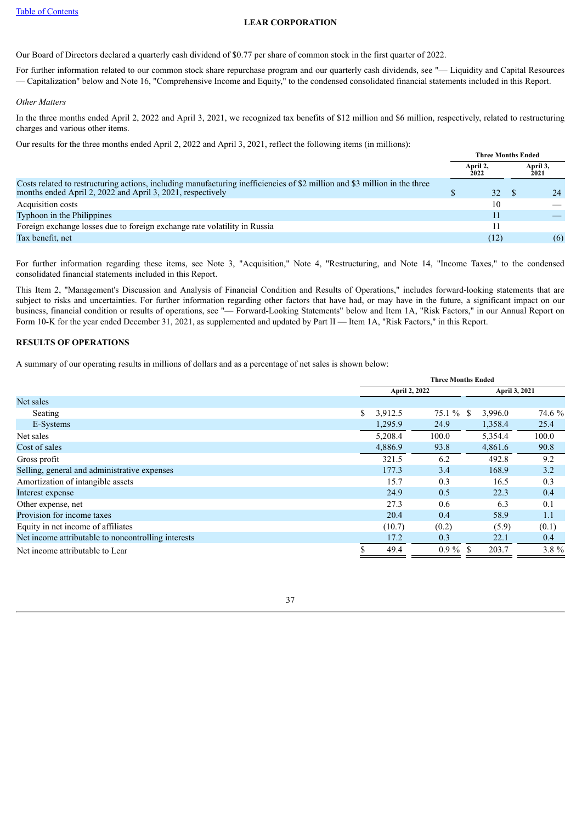Our Board of Directors declared a quarterly cash dividend of \$0.77 per share of common stock in the first quarter of 2022.

For further information related to our common stock share repurchase program and our quarterly cash dividends, see "— Liquidity and Capital Resources — Capitalization" below and Note 16, "Comprehensive Income and Equity," to the condensed consolidated financial statements included in this Report.

## *Other Matters*

In the three months ended April 2, 2022 and April 3, 2021, we recognized tax benefits of \$12 million and \$6 million, respectively, related to restructuring charges and various other items.

Our results for the three months ended April 2, 2022 and April 3, 2021, reflect the following items (in millions):

|                                                                                                                                                                                          |  | <b>Three Months Ended</b> |                  |     |  |
|------------------------------------------------------------------------------------------------------------------------------------------------------------------------------------------|--|---------------------------|------------------|-----|--|
|                                                                                                                                                                                          |  | April 2,<br>2022          | April 3,<br>2021 |     |  |
| Costs related to restructuring actions, including manufacturing inefficiencies of \$2 million and \$3 million in the three<br>months ended April 2, 2022 and April 3, 2021, respectively |  | 32                        |                  | 24  |  |
| Acquisition costs                                                                                                                                                                        |  | 10                        |                  |     |  |
| Typhoon in the Philippines                                                                                                                                                               |  |                           |                  |     |  |
| Foreign exchange losses due to foreign exchange rate volatility in Russia                                                                                                                |  |                           |                  |     |  |
| Tax benefit, net                                                                                                                                                                         |  | (12)                      |                  | (6) |  |

For further information regarding these items, see Note 3, "Acquisition," Note 4, "Restructuring, and Note 14, "Income Taxes," to the condensed consolidated financial statements included in this Report.

This Item 2, "Management's Discussion and Analysis of Financial Condition and Results of Operations," includes forward-looking statements that are subject to risks and uncertainties. For further information regarding other factors that have had, or may have in the future, a significant impact on our business, financial condition or results of operations, see "— Forward-Looking Statements" below and Item 1A, "Risk Factors," in our Annual Report on Form 10-K for the year ended December 31, 2021, as supplemented and updated by Part II — Item 1A, "Risk Factors," in this Report.

## **RESULTS OF OPERATIONS**

A summary of our operating results in millions of dollars and as a percentage of net sales is shown below:

|                                                     |    | <b>Three Months Ended</b> |            |               |               |  |  |
|-----------------------------------------------------|----|---------------------------|------------|---------------|---------------|--|--|
|                                                     |    | April 2, 2022             |            |               | April 3, 2021 |  |  |
| Net sales                                           |    |                           |            |               |               |  |  |
| Seating                                             | S. | 3,912.5                   | 75.1 %     | 3,996.0<br>-S | 74.6 %        |  |  |
| E-Systems                                           |    | 1,295.9                   | 24.9       | 1,358.4       | 25.4          |  |  |
| Net sales                                           |    | 5,208.4                   | 100.0      | 5,354.4       | 100.0         |  |  |
| Cost of sales                                       |    | 4,886.9                   | 93.8       | 4,861.6       | 90.8          |  |  |
| Gross profit                                        |    | 321.5                     | 6.2        | 492.8         | 9.2           |  |  |
| Selling, general and administrative expenses        |    | 177.3                     | 3.4        | 168.9         | 3.2           |  |  |
| Amortization of intangible assets                   |    | 15.7                      | 0.3        | 16.5          | 0.3           |  |  |
| Interest expense                                    |    | 24.9                      | 0.5        | 22.3          | 0.4           |  |  |
| Other expense, net                                  |    | 27.3                      | 0.6        | 6.3           | 0.1           |  |  |
| Provision for income taxes                          |    | 20.4                      | 0.4        | 58.9          | 1.1           |  |  |
| Equity in net income of affiliates                  |    | (10.7)                    | (0.2)      | (5.9)         | (0.1)         |  |  |
| Net income attributable to noncontrolling interests |    | 17.2                      | 0.3        | 22.1          | 0.4           |  |  |
| Net income attributable to Lear                     |    | 49.4                      | $0.9\%$ \$ | 203.7         | $3.8\%$       |  |  |

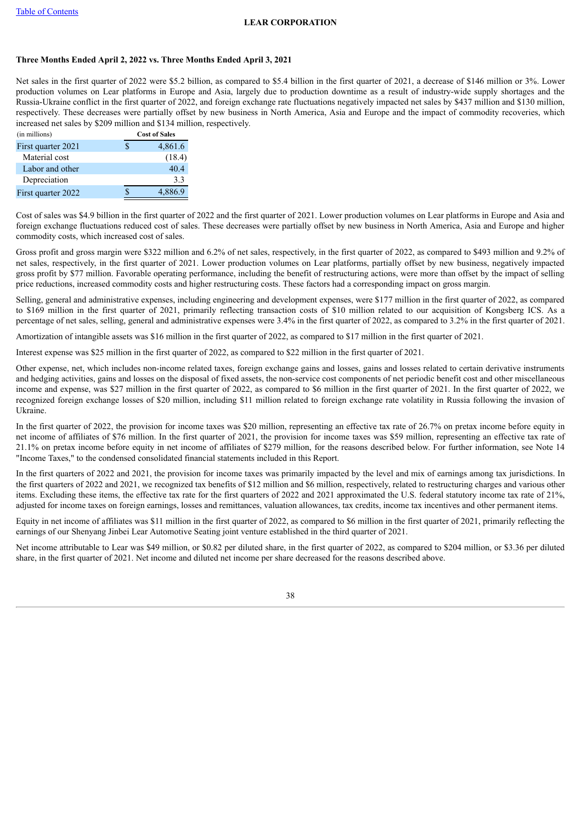## **Three Months Ended April 2, 2022 vs. Three Months Ended April 3, 2021**

Net sales in the first quarter of 2022 were \$5.2 billion, as compared to \$5.4 billion in the first quarter of 2021, a decrease of \$146 million or 3%. Lower production volumes on Lear platforms in Europe and Asia, largely due to production downtime as a result of industry-wide supply shortages and the Russia-Ukraine conflict in the first quarter of 2022, and foreign exchange rate fluctuations negatively impacted net sales by \$437 million and \$130 million, respectively. These decreases were partially offset by new business in North America, Asia and Europe and the impact of commodity recoveries, which increased net sales by \$209 million and \$134 million, respectively.

| (in millions)      | <b>Cost of Sales</b> |
|--------------------|----------------------|
| First quarter 2021 | 4,861.6              |
| Material cost      | (18.4)               |
| Labor and other    | 40.4                 |
| Depreciation       | 33                   |
| First quarter 2022 | 4,886.9              |

Cost of sales was \$4.9 billion in the first quarter of 2022 and the first quarter of 2021. Lower production volumes on Lear platforms in Europe and Asia and foreign exchange fluctuations reduced cost of sales. These decreases were partially offset by new business in North America, Asia and Europe and higher commodity costs, which increased cost of sales.

Gross profit and gross margin were \$322 million and 6.2% of net sales, respectively, in the first quarter of 2022, as compared to \$493 million and 9.2% of net sales, respectively, in the first quarter of 2021. Lower production volumes on Lear platforms, partially offset by new business, negatively impacted gross profit by \$77 million. Favorable operating performance, including the benefit of restructuring actions, were more than offset by the impact of selling price reductions, increased commodity costs and higher restructuring costs. These factors had a corresponding impact on gross margin.

Selling, general and administrative expenses, including engineering and development expenses, were \$177 million in the first quarter of 2022, as compared to \$169 million in the first quarter of 2021, primarily reflecting transaction costs of \$10 million related to our acquisition of Kongsberg ICS. As a percentage of net sales, selling, general and administrative expenses were 3.4% in the first quarter of 2022, as compared to 3.2% in the first quarter of 2021.

Amortization of intangible assets was \$16 million in the first quarter of 2022, as compared to \$17 million in the first quarter of 2021.

Interest expense was \$25 million in the first quarter of 2022, as compared to \$22 million in the first quarter of 2021.

Other expense, net, which includes non-income related taxes, foreign exchange gains and losses, gains and losses related to certain derivative instruments and hedging activities, gains and losses on the disposal of fixed assets, the non-service cost components of net periodic benefit cost and other miscellaneous income and expense, was \$27 million in the first quarter of 2022, as compared to \$6 million in the first quarter of 2021. In the first quarter of 2022, we recognized foreign exchange losses of \$20 million, including \$11 million related to foreign exchange rate volatility in Russia following the invasion of Ukraine.

In the first quarter of 2022, the provision for income taxes was \$20 million, representing an effective tax rate of 26.7% on pretax income before equity in net income of affiliates of \$76 million. In the first quarter of 2021, the provision for income taxes was \$59 million, representing an effective tax rate of 21.1% on pretax income before equity in net income of affiliates of \$279 million, for the reasons described below. For further information, see Note 14 "Income Taxes," to the condensed consolidated financial statements included in this Report.

In the first quarters of 2022 and 2021, the provision for income taxes was primarily impacted by the level and mix of earnings among tax jurisdictions. In the first quarters of 2022 and 2021, we recognized tax benefits of \$12 million and \$6 million, respectively, related to restructuring charges and various other items. Excluding these items, the effective tax rate for the first quarters of 2022 and 2021 approximated the U.S. federal statutory income tax rate of 21%, adjusted for income taxes on foreign earnings, losses and remittances, valuation allowances, tax credits, income tax incentives and other permanent items.

Equity in net income of affiliates was \$11 million in the first quarter of 2022, as compared to \$6 million in the first quarter of 2021, primarily reflecting the earnings of our Shenyang Jinbei Lear Automotive Seating joint venture established in the third quarter of 2021.

Net income attributable to Lear was \$49 million, or \$0.82 per diluted share, in the first quarter of 2022, as compared to \$204 million, or \$3.36 per diluted share, in the first quarter of 2021. Net income and diluted net income per share decreased for the reasons described above.

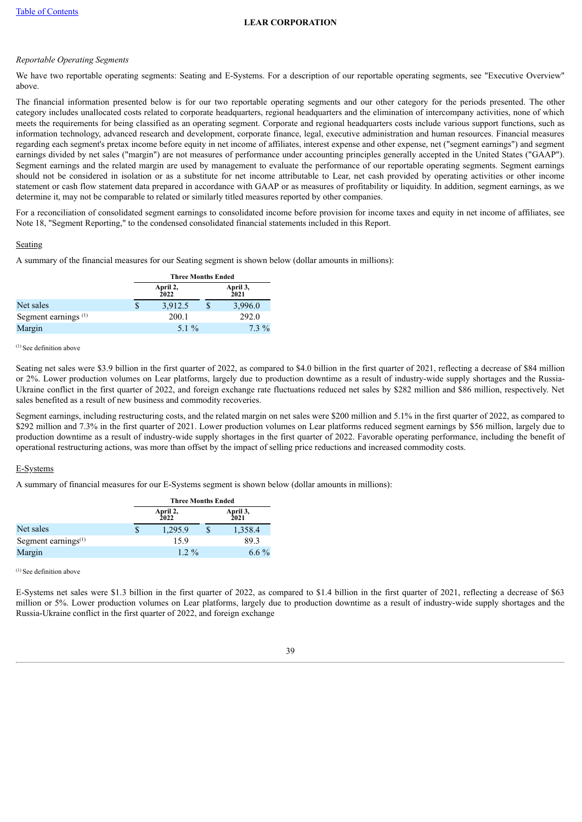## *Reportable Operating Segments*

We have two reportable operating segments: Seating and E-Systems. For a description of our reportable operating segments, see "Executive Overview" above.

The financial information presented below is for our two reportable operating segments and our other category for the periods presented. The other category includes unallocated costs related to corporate headquarters, regional headquarters and the elimination of intercompany activities, none of which meets the requirements for being classified as an operating segment. Corporate and regional headquarters costs include various support functions, such as information technology, advanced research and development, corporate finance, legal, executive administration and human resources. Financial measures regarding each segment's pretax income before equity in net income of affiliates, interest expense and other expense, net ("segment earnings") and segment earnings divided by net sales ("margin") are not measures of performance under accounting principles generally accepted in the United States ("GAAP"). Segment earnings and the related margin are used by management to evaluate the performance of our reportable operating segments. Segment earnings should not be considered in isolation or as a substitute for net income attributable to Lear, net cash provided by operating activities or other income statement or cash flow statement data prepared in accordance with GAAP or as measures of profitability or liquidity. In addition, segment earnings, as we determine it, may not be comparable to related or similarly titled measures reported by other companies.

For a reconciliation of consolidated segment earnings to consolidated income before provision for income taxes and equity in net income of affiliates, see Note 18, "Segment Reporting," to the condensed consolidated financial statements included in this Report.

#### Seating

A summary of the financial measures for our Seating segment is shown below (dollar amounts in millions):

|                        | <b>Three Months Ended</b> |  |                  |  |  |
|------------------------|---------------------------|--|------------------|--|--|
|                        | April 2,<br>2022          |  | April 3,<br>2021 |  |  |
| Net sales              | 3.912.5                   |  | 3,996.0          |  |  |
| Segment earnings $(1)$ | 200.1                     |  | 292.0            |  |  |
| Margin                 | 5.1 $%$                   |  | $7.3\%$          |  |  |

#### $(1)$  See definition above

Seating net sales were \$3.9 billion in the first quarter of 2022, as compared to \$4.0 billion in the first quarter of 2021, reflecting a decrease of \$84 million or 2%. Lower production volumes on Lear platforms, largely due to production downtime as a result of industry-wide supply shortages and the Russia-Ukraine conflict in the first quarter of 2022, and foreign exchange rate fluctuations reduced net sales by \$282 million and \$86 million, respectively. Net sales benefited as a result of new business and commodity recoveries.

Segment earnings, including restructuring costs, and the related margin on net sales were \$200 million and 5.1% in the first quarter of 2022, as compared to \$292 million and 7.3% in the first quarter of 2021. Lower production volumes on Lear platforms reduced segment earnings by \$56 million, largely due to production downtime as a result of industry-wide supply shortages in the first quarter of 2022. Favorable operating performance, including the benefit of operational restructuring actions, was more than offset by the impact of selling price reductions and increased commodity costs.

### E-Systems

A summary of financial measures for our E-Systems segment is shown below (dollar amounts in millions):

|                        | <b>Three Months Ended</b> |  |                  |  |  |
|------------------------|---------------------------|--|------------------|--|--|
|                        | April 2,<br>2022          |  | April 3,<br>2021 |  |  |
| Net sales              | 1,295.9                   |  | 1,358.4          |  |  |
| Segment earnings $(1)$ | 159                       |  | 893              |  |  |
| Margin                 | $1.2 \%$                  |  | $6.6\%$          |  |  |

 $(1)$  See definition above

E-Systems net sales were \$1.3 billion in the first quarter of 2022, as compared to \$1.4 billion in the first quarter of 2021, reflecting a decrease of \$63 million or 5%. Lower production volumes on Lear platforms, largely due to production downtime as a result of industry-wide supply shortages and the Russia-Ukraine conflict in the first quarter of 2022, and foreign exchange

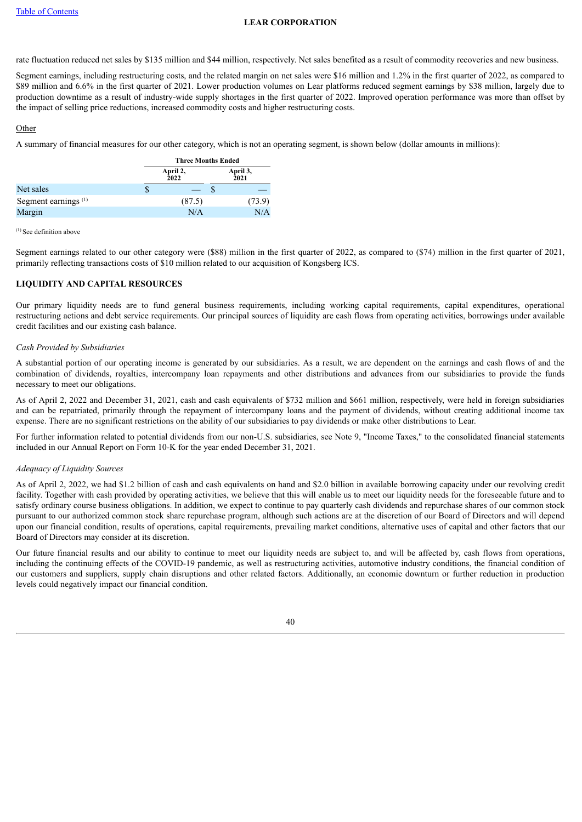rate fluctuation reduced net sales by \$135 million and \$44 million, respectively. Net sales benefited as a result of commodity recoveries and new business.

Segment earnings, including restructuring costs, and the related margin on net sales were \$16 million and 1.2% in the first quarter of 2022, as compared to \$89 million and 6.6% in the first quarter of 2021. Lower production volumes on Lear platforms reduced segment earnings by \$38 million, largely due to production downtime as a result of industry-wide supply shortages in the first quarter of 2022. Improved operation performance was more than offset by the impact of selling price reductions, increased commodity costs and higher restructuring costs.

#### **Other**

A summary of financial measures for our other category, which is not an operating segment, is shown below (dollar amounts in millions):

|                        | <b>Three Months Ended</b> |  |                  |  |
|------------------------|---------------------------|--|------------------|--|
|                        | April 2,<br>2022          |  | April 3,<br>2021 |  |
| Net sales              |                           |  |                  |  |
| Segment earnings $(1)$ | (87.5)                    |  | (73.9)           |  |
| Margin                 | N/A                       |  | N/A              |  |

 $(1)$  See definition above

Segment earnings related to our other category were (\$88) million in the first quarter of 2022, as compared to (\$74) million in the first quarter of 2021, primarily reflecting transactions costs of \$10 million related to our acquisition of Kongsberg ICS.

## **LIQUIDITY AND CAPITAL RESOURCES**

Our primary liquidity needs are to fund general business requirements, including working capital requirements, capital expenditures, operational restructuring actions and debt service requirements. Our principal sources of liquidity are cash flows from operating activities, borrowings under available credit facilities and our existing cash balance.

### *Cash Provided by Subsidiaries*

A substantial portion of our operating income is generated by our subsidiaries. As a result, we are dependent on the earnings and cash flows of and the combination of dividends, royalties, intercompany loan repayments and other distributions and advances from our subsidiaries to provide the funds necessary to meet our obligations.

As of April 2, 2022 and December 31, 2021, cash and cash equivalents of \$732 million and \$661 million, respectively, were held in foreign subsidiaries and can be repatriated, primarily through the repayment of intercompany loans and the payment of dividends, without creating additional income tax expense. There are no significant restrictions on the ability of our subsidiaries to pay dividends or make other distributions to Lear.

For further information related to potential dividends from our non-U.S. subsidiaries, see Note 9, "Income Taxes," to the consolidated financial statements included in our Annual Report on Form 10-K for the year ended December 31, 2021.

## *Adequacy of Liquidity Sources*

As of April 2, 2022, we had \$1.2 billion of cash and cash equivalents on hand and \$2.0 billion in available borrowing capacity under our revolving credit facility. Together with cash provided by operating activities, we believe that this will enable us to meet our liquidity needs for the foreseeable future and to satisfy ordinary course business obligations. In addition, we expect to continue to pay quarterly cash dividends and repurchase shares of our common stock pursuant to our authorized common stock share repurchase program, although such actions are at the discretion of our Board of Directors and will depend upon our financial condition, results of operations, capital requirements, prevailing market conditions, alternative uses of capital and other factors that our Board of Directors may consider at its discretion.

Our future financial results and our ability to continue to meet our liquidity needs are subject to, and will be affected by, cash flows from operations, including the continuing effects of the COVID-19 pandemic, as well as restructuring activities, automotive industry conditions, the financial condition of our customers and suppliers, supply chain disruptions and other related factors. Additionally, an economic downturn or further reduction in production levels could negatively impact our financial condition.

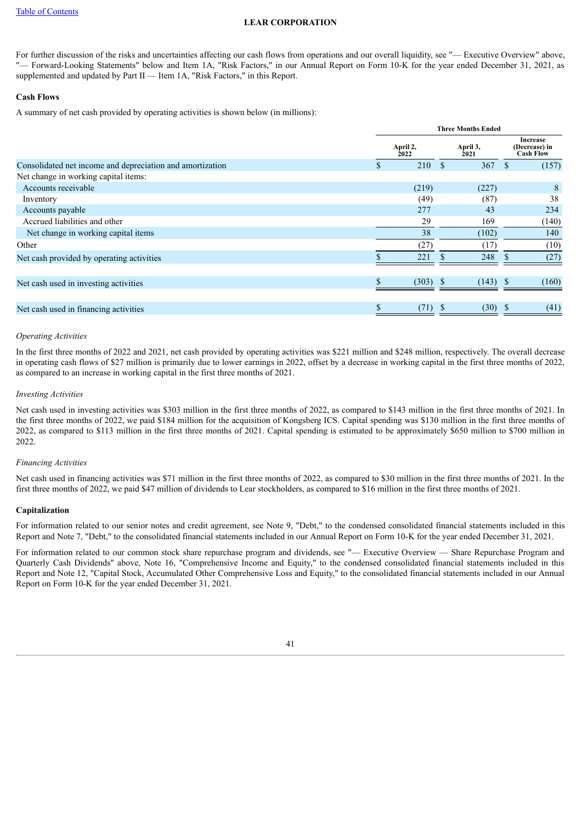For further discussion of the risks and uncertainties affecting our cash flows from operations and our overall liquidity, see "— Executive Overview" above, "— Forward-Looking Statements" below and Item 1A, "Risk Factors," in our Annual Report on Form 10-K for the year ended December 31, 2021, as supplemented and updated by Part II — Item 1A, "Risk Factors," in this Report.

### **Cash Flows**

A summary of net cash provided by operating activities is shown below (in millions):

|                                                           | <b>Three Months Ended</b> |                  |    |                  |               |                                               |
|-----------------------------------------------------------|---------------------------|------------------|----|------------------|---------------|-----------------------------------------------|
|                                                           |                           | April 2,<br>2022 |    | April 3,<br>2021 |               | Increase<br>(Decrease) in<br><b>Cash Flow</b> |
| Consolidated net income and depreciation and amortization |                           | 210              | -S | 367              | <sup>\$</sup> | (157)                                         |
| Net change in working capital items:                      |                           |                  |    |                  |               |                                               |
| Accounts receivable                                       |                           | (219)            |    | (227)            |               | 8                                             |
| Inventory                                                 |                           | (49)             |    | (87)             |               | 38                                            |
| Accounts payable                                          |                           | 277              |    | 43               |               | 234                                           |
| Accrued liabilities and other                             |                           | 29               |    | 169              |               | (140)                                         |
| Net change in working capital items                       |                           | 38               |    | (102)            |               | 140                                           |
| Other                                                     |                           | (27)             |    | (17)             |               | (10)                                          |
| Net cash provided by operating activities                 |                           | 221              |    | 248              |               | (27)                                          |
| Net cash used in investing activities                     |                           | $(303)$ \$       |    | $(143)$ \$       |               | (160)                                         |
|                                                           |                           |                  |    |                  |               |                                               |
| Net cash used in financing activities                     |                           | (71)             | S  | (30)             | -S            | (41)                                          |

## *Operating Activities*

In the first three months of 2022 and 2021, net cash provided by operating activities was \$221 million and \$248 million, respectively. The overall decrease in operating cash flows of \$27 million is primarily due to lower earnings in 2022, offset by a decrease in working capital in the first three months of 2022, as compared to an increase in working capital in the first three months of 2021.

### *Investing Activities*

Net cash used in investing activities was \$303 million in the first three months of 2022, as compared to \$143 million in the first three months of 2021. In the first three months of 2022, we paid \$184 million for the acquisition of Kongsberg ICS. Capital spending was \$130 million in the first three months of 2022, as compared to \$113 million in the first three months of 2021. Capital spending is estimated to be approximately \$650 million to \$700 million in 2022.

#### *Financing Activities*

Net cash used in financing activities was \$71 million in the first three months of 2022, as compared to \$30 million in the first three months of 2021. In the first three months of 2022, we paid \$47 million of dividends to Lear stockholders, as compared to \$16 million in the first three months of 2021.

## **Capitalization**

For information related to our senior notes and credit agreement, see Note 9, "Debt," to the condensed consolidated financial statements included in this Report and Note 7, "Debt," to the consolidated financial statements included in our Annual Report on Form 10-K for the year ended December 31, 2021.

For information related to our common stock share repurchase program and dividends, see "— Executive Overview — Share Repurchase Program and Quarterly Cash Dividends" above, Note 16, "Comprehensive Income and Equity," to the condensed consolidated financial statements included in this Report and Note 12, "Capital Stock, Accumulated Other Comprehensive Loss and Equity," to the consolidated financial statements included in our Annual Report on Form 10-K for the year ended December 31, 2021.

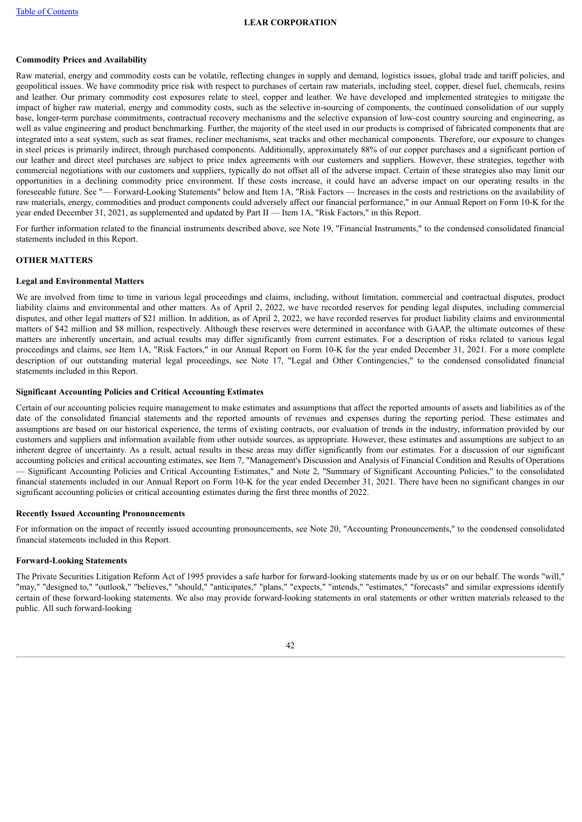#### **Commodity Prices and Availability**

Raw material, energy and commodity costs can be volatile, reflecting changes in supply and demand, logistics issues, global trade and tariff policies, and geopolitical issues. We have commodity price risk with respect to purchases of certain raw materials, including steel, copper, diesel fuel, chemicals, resins and leather. Our primary commodity cost exposures relate to steel, copper and leather. We have developed and implemented strategies to mitigate the impact of higher raw material, energy and commodity costs, such as the selective in-sourcing of components, the continued consolidation of our supply base, longer-term purchase commitments, contractual recovery mechanisms and the selective expansion of low-cost country sourcing and engineering, as well as value engineering and product benchmarking. Further, the majority of the steel used in our products is comprised of fabricated components that are integrated into a seat system, such as seat frames, recliner mechanisms, seat tracks and other mechanical components. Therefore, our exposure to changes in steel prices is primarily indirect, through purchased components. Additionally, approximately 88% of our copper purchases and a significant portion of our leather and direct steel purchases are subject to price index agreements with our customers and suppliers. However, these strategies, together with commercial negotiations with our customers and suppliers, typically do not offset all of the adverse impact. Certain of these strategies also may limit our opportunities in a declining commodity price environment. If these costs increase, it could have an adverse impact on our operating results in the foreseeable future. See "— Forward-Looking Statements" below and Item 1A, "Risk Factors — Increases in the costs and restrictions on the availability of raw materials, energy, commodities and product components could adversely affect our financial performance," in our Annual Report on Form 10-K for the year ended December 31, 2021, as supplemented and updated by Part II — Item 1A, "Risk Factors," in this Report.

For further information related to the financial instruments described above, see Note 19, "Financial Instruments," to the condensed consolidated financial statements included in this Report.

### **OTHER MATTERS**

#### **Legal and Environmental Matters**

We are involved from time to time in various legal proceedings and claims, including, without limitation, commercial and contractual disputes, product liability claims and environmental and other matters. As of April 2, 2022, we have recorded reserves for pending legal disputes, including commercial disputes, and other legal matters of \$21 million. In addition, as of April 2, 2022, we have recorded reserves for product liability claims and environmental matters of \$42 million and \$8 million, respectively. Although these reserves were determined in accordance with GAAP, the ultimate outcomes of these matters are inherently uncertain, and actual results may differ significantly from current estimates. For a description of risks related to various legal proceedings and claims, see Item 1A, "Risk Factors," in our Annual Report on Form 10-K for the year ended December 31, 2021. For a more complete description of our outstanding material legal proceedings, see Note 17, "Legal and Other Contingencies," to the condensed consolidated financial statements included in this Report.

### **Significant Accounting Policies and Critical Accounting Estimates**

Certain of our accounting policies require management to make estimates and assumptions that affect the reported amounts of assets and liabilities as of the date of the consolidated financial statements and the reported amounts of revenues and expenses during the reporting period. These estimates and assumptions are based on our historical experience, the terms of existing contracts, our evaluation of trends in the industry, information provided by our customers and suppliers and information available from other outside sources, as appropriate. However, these estimates and assumptions are subject to an inherent degree of uncertainty. As a result, actual results in these areas may differ significantly from our estimates. For a discussion of our significant accounting policies and critical accounting estimates, see Item 7, "Management's Discussion and Analysis of Financial Condition and Results of Operations — Significant Accounting Policies and Critical Accounting Estimates," and Note 2, "Summary of Significant Accounting Policies," to the consolidated financial statements included in our Annual Report on Form 10-K for the year ended December 31, 2021. There have been no significant changes in our significant accounting policies or critical accounting estimates during the first three months of 2022.

#### **Recently Issued Accounting Pronouncements**

For information on the impact of recently issued accounting pronouncements, see Note 20, "Accounting Pronouncements," to the condensed consolidated financial statements included in this Report.

#### **Forward-Looking Statements**

The Private Securities Litigation Reform Act of 1995 provides a safe harbor for forward-looking statements made by us or on our behalf. The words "will," "may," "designed to," "outlook," "believes," "should," "anticipates," "plans," "expects," "intends," "estimates," "forecasts" and similar expressions identify certain of these forward-looking statements. We also may provide forward-looking statements in oral statements or other written materials released to the public. All such forward-looking

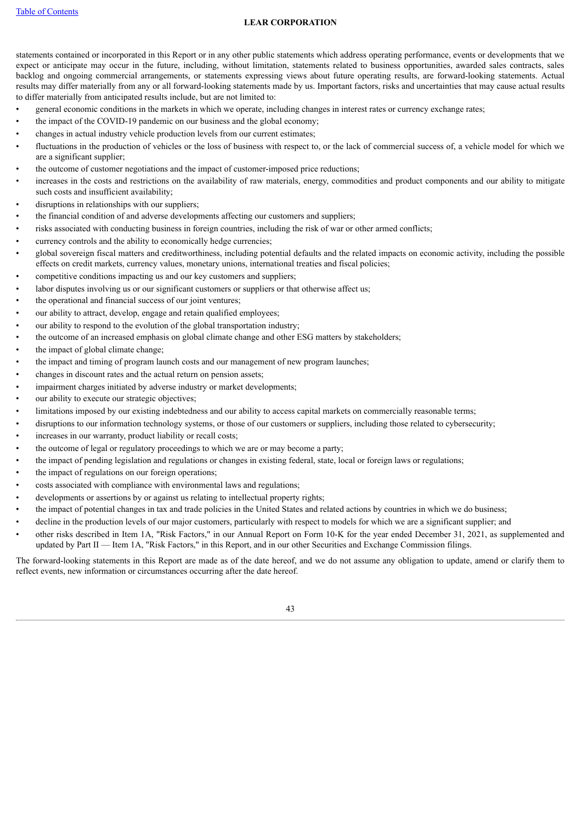statements contained or incorporated in this Report or in any other public statements which address operating performance, events or developments that we expect or anticipate may occur in the future, including, without limitation, statements related to business opportunities, awarded sales contracts, sales backlog and ongoing commercial arrangements, or statements expressing views about future operating results, are forward-looking statements. Actual results may differ materially from any or all forward-looking statements made by us. Important factors, risks and uncertainties that may cause actual results to differ materially from anticipated results include, but are not limited to:

- general economic conditions in the markets in which we operate, including changes in interest rates or currency exchange rates;
- the impact of the COVID-19 pandemic on our business and the global economy;
- changes in actual industry vehicle production levels from our current estimates;
- fluctuations in the production of vehicles or the loss of business with respect to, or the lack of commercial success of, a vehicle model for which we are a significant supplier;
- the outcome of customer negotiations and the impact of customer-imposed price reductions;
- increases in the costs and restrictions on the availability of raw materials, energy, commodities and product components and our ability to mitigate such costs and insufficient availability;
- disruptions in relationships with our suppliers;
- the financial condition of and adverse developments affecting our customers and suppliers;
- risks associated with conducting business in foreign countries, including the risk of war or other armed conflicts;
- currency controls and the ability to economically hedge currencies;
- global sovereign fiscal matters and creditworthiness, including potential defaults and the related impacts on economic activity, including the possible effects on credit markets, currency values, monetary unions, international treaties and fiscal policies;
- competitive conditions impacting us and our key customers and suppliers;
- labor disputes involving us or our significant customers or suppliers or that otherwise affect us;
- the operational and financial success of our joint ventures;
- our ability to attract, develop, engage and retain qualified employees;
- our ability to respond to the evolution of the global transportation industry;
- the outcome of an increased emphasis on global climate change and other ESG matters by stakeholders;
- the impact of global climate change;
- the impact and timing of program launch costs and our management of new program launches;
- changes in discount rates and the actual return on pension assets;
- impairment charges initiated by adverse industry or market developments;
- our ability to execute our strategic objectives;
- limitations imposed by our existing indebtedness and our ability to access capital markets on commercially reasonable terms;
- disruptions to our information technology systems, or those of our customers or suppliers, including those related to cybersecurity;
- increases in our warranty, product liability or recall costs;
- the outcome of legal or regulatory proceedings to which we are or may become a party;
- the impact of pending legislation and regulations or changes in existing federal, state, local or foreign laws or regulations;
- the impact of regulations on our foreign operations;
- costs associated with compliance with environmental laws and regulations;
- developments or assertions by or against us relating to intellectual property rights;
- the impact of potential changes in tax and trade policies in the United States and related actions by countries in which we do business;
- decline in the production levels of our major customers, particularly with respect to models for which we are a significant supplier; and
- other risks described in Item 1A, "Risk Factors," in our Annual Report on Form 10-K for the year ended December 31, 2021, as supplemented and updated by Part II — Item 1A, "Risk Factors," in this Report, and in our other Securities and Exchange Commission filings.

<span id="page-42-0"></span>The forward-looking statements in this Report are made as of the date hereof, and we do not assume any obligation to update, amend or clarify them to reflect events, new information or circumstances occurring after the date hereof.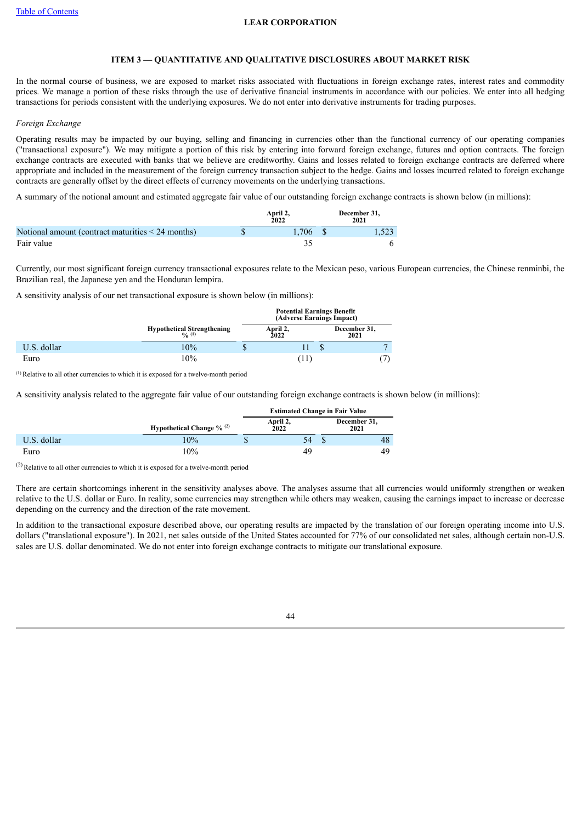## **ITEM 3 — QUANTITATIVE AND QUALITATIVE DISCLOSURES ABOUT MARKET RISK**

In the normal course of business, we are exposed to market risks associated with fluctuations in foreign exchange rates, interest rates and commodity prices. We manage a portion of these risks through the use of derivative financial instruments in accordance with our policies. We enter into all hedging transactions for periods consistent with the underlying exposures. We do not enter into derivative instruments for trading purposes.

## *Foreign Exchange*

Operating results may be impacted by our buying, selling and financing in currencies other than the functional currency of our operating companies ("transactional exposure"). We may mitigate a portion of this risk by entering into forward foreign exchange, futures and option contracts. The foreign exchange contracts are executed with banks that we believe are creditworthy. Gains and losses related to foreign exchange contracts are deferred where appropriate and included in the measurement of the foreign currency transaction subject to the hedge. Gains and losses incurred related to foreign exchange contracts are generally offset by the direct effects of currency movements on the underlying transactions.

A summary of the notional amount and estimated aggregate fair value of our outstanding foreign exchange contracts is shown below (in millions):

|                                                        | April 2.<br>2022 | December 31.<br>2021 |
|--------------------------------------------------------|------------------|----------------------|
| Notional amount (contract maturities $\leq$ 24 months) | $1.706$ \$       |                      |
| Fair value                                             |                  |                      |

Currently, our most significant foreign currency transactional exposures relate to the Mexican peso, various European currencies, the Chinese renminbi, the Brazilian real, the Japanese yen and the Honduran lempira.

A sensitivity analysis of our net transactional exposure is shown below (in millions):

|             |                                                     | <b>Potential Earnings Benefit</b><br>(Adverse Earnings Impact) |                      |
|-------------|-----------------------------------------------------|----------------------------------------------------------------|----------------------|
|             | Hypothetical Strengthening<br>$\frac{\phi_0(1)}{2}$ | April 2,<br>2022                                               | December 31,<br>2021 |
| U.S. dollar | 10%                                                 |                                                                |                      |
| Euro        | 10%                                                 | Ί1                                                             |                      |

 $(1)$  Relative to all other currencies to which it is exposed for a twelve-month period

A sensitivity analysis related to the aggregate fair value of our outstanding foreign exchange contracts is shown below (in millions):

|             |                                         | <b>Estimated Change in Fair Value</b> |                      |
|-------------|-----------------------------------------|---------------------------------------|----------------------|
|             | Hypothetical Change $\%$ <sup>(2)</sup> | April 2,<br>2022                      | December 31,<br>2021 |
| U.S. dollar | 10%                                     | 54                                    | 48                   |
| Euro        | 10%                                     | 49                                    | 49                   |

 $^{(2)}$  Relative to all other currencies to which it is exposed for a twelve-month period

There are certain shortcomings inherent in the sensitivity analyses above. The analyses assume that all currencies would uniformly strengthen or weaken relative to the U.S. dollar or Euro. In reality, some currencies may strengthen while others may weaken, causing the earnings impact to increase or decrease depending on the currency and the direction of the rate movement.

<span id="page-43-0"></span>In addition to the transactional exposure described above, our operating results are impacted by the translation of our foreign operating income into U.S. dollars ("translational exposure"). In 2021, net sales outside of the United States accounted for 77% of our consolidated net sales, although certain non-U.S. sales are U.S. dollar denominated. We do not enter into foreign exchange contracts to mitigate our translational exposure.

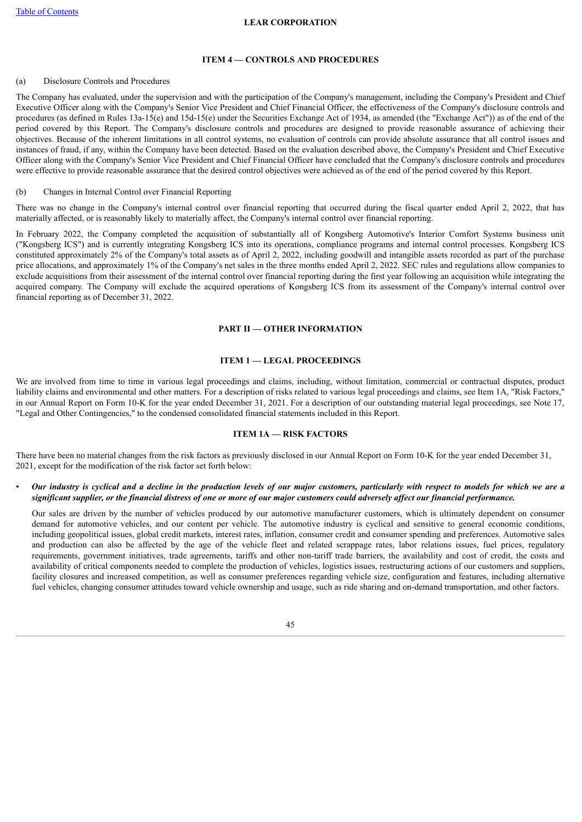#### **ITEM 4 — CONTROLS AND PROCEDURES**

### (a) Disclosure Controls and Procedures

The Company has evaluated, under the supervision and with the participation of the Company's management, including the Company's President and Chief Executive Officer along with the Company's Senior Vice President and Chief Financial Officer, the effectiveness of the Company's disclosure controls and procedures (as defined in Rules 13a-15(e) and 15d-15(e) under the Securities Exchange Act of 1934, as amended (the "Exchange Act")) as of the end of the period covered by this Report. The Company's disclosure controls and procedures are designed to provide reasonable assurance of achieving their objectives. Because of the inherent limitations in all control systems, no evaluation of controls can provide absolute assurance that all control issues and instances of fraud, if any, within the Company have been detected. Based on the evaluation described above, the Company's President and Chief Executive Officer along with the Company's Senior Vice President and Chief Financial Officer have concluded that the Company's disclosure controls and procedures were effective to provide reasonable assurance that the desired control objectives were achieved as of the end of the period covered by this Report.

#### (b) Changes in Internal Control over Financial Reporting

There was no change in the Company's internal control over financial reporting that occurred during the fiscal quarter ended April 2, 2022, that has materially affected, or is reasonably likely to materially affect, the Company's internal control over financial reporting.

<span id="page-44-0"></span>In February 2022, the Company completed the acquisition of substantially all of Kongsberg Automotive's Interior Comfort Systems business unit ("Kongsberg ICS") and is currently integrating Kongsberg ICS into its operations, compliance programs and internal control processes. Kongsberg ICS constituted approximately 2% of the Company's total assets as of April 2, 2022, including goodwill and intangible assets recorded as part of the purchase price allocations, and approximately 1% of the Company's net sales in the three months ended April 2, 2022. SEC rules and regulations allow companies to exclude acquisitions from their assessment of the internal control over financial reporting during the first year following an acquisition while integrating the acquired company. The Company will exclude the acquired operations of Kongsberg ICS from its assessment of the Company's internal control over financial reporting as of December 31, 2022.

## **PART II — OTHER INFORMATION**

## **ITEM 1 — LEGAL PROCEEDINGS**

<span id="page-44-1"></span>We are involved from time to time in various legal proceedings and claims, including, without limitation, commercial or contractual disputes, product liability claims and environmental and other matters. For a description of risks related to various legal proceedings and claims, see Item 1A, "Risk Factors," in our Annual Report on Form 10-K for the year ended December 31, 2021. For a description of our outstanding material legal proceedings, see Note 17, "Legal and Other Contingencies," to the condensed consolidated financial statements included in this Report.

## **ITEM 1A — RISK FACTORS**

<span id="page-44-2"></span>There have been no material changes from the risk factors as previously disclosed in our Annual Report on Form 10-K for the year ended December 31, 2021, except for the modification of the risk factor set forth below:

## Our industry is cyclical and a decline in the production levels of our major customers, particularly with respect to models for which we are a significant supplier, or the financial distress of one or more of our major customers could adversely affect our financial performance.

Our sales are driven by the number of vehicles produced by our automotive manufacturer customers, which is ultimately dependent on consumer demand for automotive vehicles, and our content per vehicle. The automotive industry is cyclical and sensitive to general economic conditions, including geopolitical issues, global credit markets, interest rates, inflation, consumer credit and consumer spending and preferences. Automotive sales and production can also be affected by the age of the vehicle fleet and related scrappage rates, labor relations issues, fuel prices, regulatory requirements, government initiatives, trade agreements, tariffs and other non-tariff trade barriers, the availability and cost of credit, the costs and availability of critical components needed to complete the production of vehicles, logistics issues, restructuring actions of our customers and suppliers, facility closures and increased competition, as well as consumer preferences regarding vehicle size, configuration and features, including alternative fuel vehicles, changing consumer attitudes toward vehicle ownership and usage, such as ride sharing and on-demand transportation, and other factors.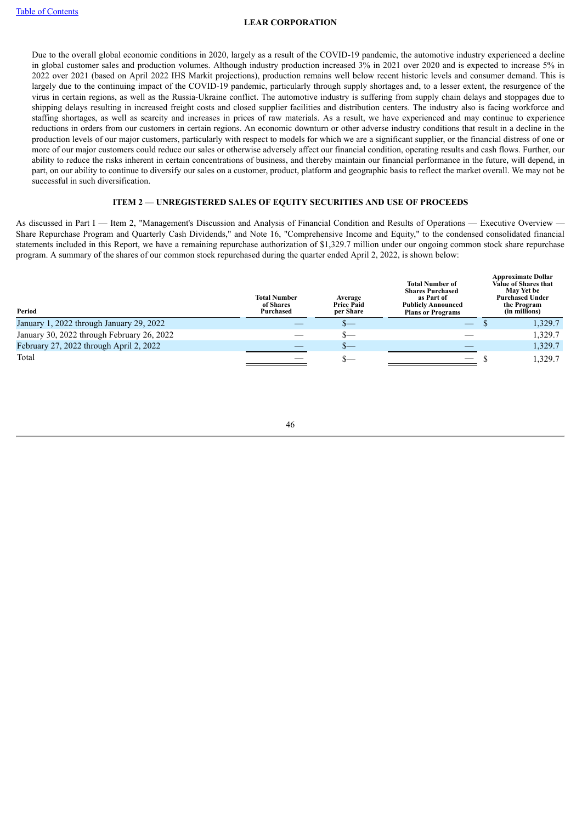Due to the overall global economic conditions in 2020, largely as a result of the COVID-19 pandemic, the automotive industry experienced a decline in global customer sales and production volumes. Although industry production increased 3% in 2021 over 2020 and is expected to increase 5% in 2022 over 2021 (based on April 2022 IHS Markit projections), production remains well below recent historic levels and consumer demand. This is largely due to the continuing impact of the COVID-19 pandemic, particularly through supply shortages and, to a lesser extent, the resurgence of the virus in certain regions, as well as the Russia-Ukraine conflict. The automotive industry is suffering from supply chain delays and stoppages due to shipping delays resulting in increased freight costs and closed supplier facilities and distribution centers. The industry also is facing workforce and staffing shortages, as well as scarcity and increases in prices of raw materials. As a result, we have experienced and may continue to experience reductions in orders from our customers in certain regions. An economic downturn or other adverse industry conditions that result in a decline in the production levels of our major customers, particularly with respect to models for which we are a significant supplier, or the financial distress of one or more of our major customers could reduce our sales or otherwise adversely affect our financial condition, operating results and cash flows. Further, our ability to reduce the risks inherent in certain concentrations of business, and thereby maintain our financial performance in the future, will depend, in part, on our ability to continue to diversify our sales on a customer, product, platform and geographic basis to reflect the market overall. We may not be successful in such diversification.

## **ITEM 2 — UNREGISTERED SALES OF EQUITY SECURITIES AND USE OF PROCEEDS**

<span id="page-45-0"></span>As discussed in Part I — Item 2, "Management's Discussion and Analysis of Financial Condition and Results of Operations — Executive Overview — Share Repurchase Program and Quarterly Cash Dividends," and Note 16, "Comprehensive Income and Equity," to the condensed consolidated financial statements included in this Report, we have a remaining repurchase authorization of \$1,329.7 million under our ongoing common stock share repurchase program. A summary of the shares of our common stock repurchased during the quarter ended April 2, 2022, is shown below:

<span id="page-45-1"></span>

| Period                                     | <b>Total Number</b><br>of Shares<br>Purchased | Average<br><b>Price Paid</b><br>per Share | <b>Total Number of</b><br><b>Shares Purchased</b><br>as Part of<br><b>Publicly Announced</b><br><b>Plans or Programs</b> | <b>Approximate Dollar</b><br><b>Value of Shares that</b><br>May Yet be<br><b>Purchased Under</b><br>the Program<br>(in millions) |
|--------------------------------------------|-----------------------------------------------|-------------------------------------------|--------------------------------------------------------------------------------------------------------------------------|----------------------------------------------------------------------------------------------------------------------------------|
| January 1, 2022 through January 29, 2022   |                                               |                                           |                                                                                                                          | 1,329.7                                                                                                                          |
| January 30, 2022 through February 26, 2022 |                                               | $\sim$                                    |                                                                                                                          | 1,329.7                                                                                                                          |
| February 27, 2022 through April 2, 2022    |                                               | .s—                                       |                                                                                                                          | 1,329.7                                                                                                                          |
| Total                                      |                                               | $\sim$                                    |                                                                                                                          | 1,329.7                                                                                                                          |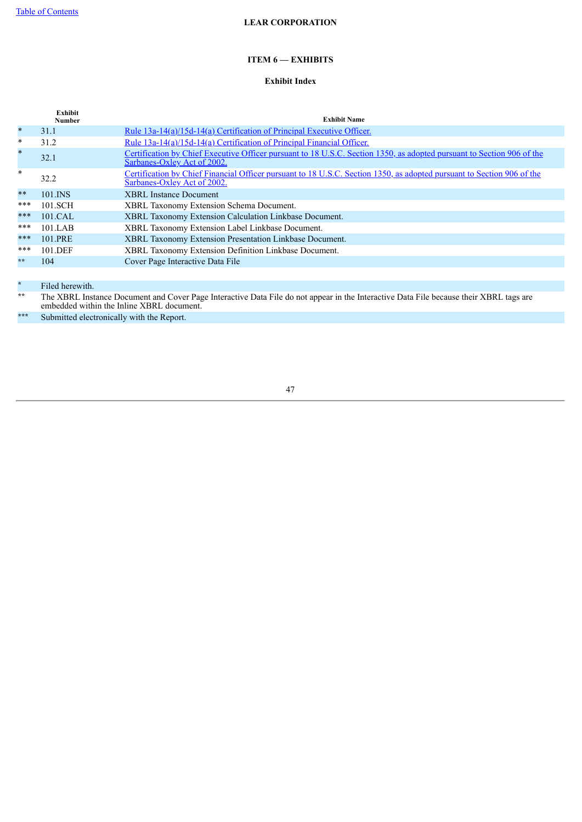## **ITEM 6 — EXHIBITS**

## **Exhibit Index**

| Exhibit<br><b>Number</b> | <b>Exhibit Name</b>                                                                                                                                   |
|--------------------------|-------------------------------------------------------------------------------------------------------------------------------------------------------|
| 31.1                     | <u>Rule 13a-14(a)/15d-14(a) Certification of Principal Executive Officer.</u>                                                                         |
| 31.2                     | Rule 13a-14(a)/15d-14(a) Certification of Principal Financial Officer.                                                                                |
| 32.1                     | Certification by Chief Executive Officer pursuant to 18 U.S.C. Section 1350, as adopted pursuant to Section 906 of the<br>Sarbanes-Oxley Act of 2002. |
| 32.2                     | Certification by Chief Financial Officer pursuant to 18 U.S.C. Section 1350, as adopted pursuant to Section 906 of the<br>Sarbanes-Oxley Act of 2002. |
| 101.INS                  | <b>XBRL</b> Instance Document                                                                                                                         |
| 101.SCH                  | <b>XBRL Taxonomy Extension Schema Document.</b>                                                                                                       |
| $101$ .CAL               | XBRL Taxonomy Extension Calculation Linkbase Document.                                                                                                |
| 101.LAB                  | XBRL Taxonomy Extension Label Linkbase Document.                                                                                                      |
| 101.PRE                  | XBRL Taxonomy Extension Presentation Linkbase Document.                                                                                               |
| 101.DEF                  | XBRL Taxonomy Extension Definition Linkbase Document.                                                                                                 |
| 104                      | Cover Page Interactive Data File                                                                                                                      |
|                          |                                                                                                                                                       |

# **\*** Filed herewith.

**\*\*** The XBRL Instance Document and Cover Page Interactive Data File do not appear in the Interactive Data File because their XBRL tags are embedded within the Inline XBRL document.

<span id="page-46-0"></span>**\*\*\*** Submitted electronically with the Report.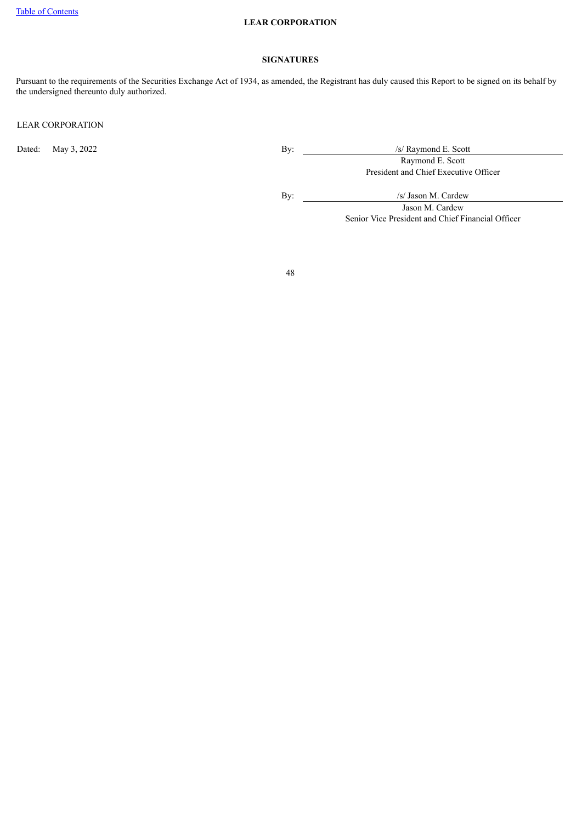## **SIGNATURES**

Pursuant to the requirements of the Securities Exchange Act of 1934, as amended, the Registrant has duly caused this Report to be signed on its behalf by the undersigned thereunto duly authorized.

LEAR CORPORATION

Dated: May 3, 2022 By: /s/ Raymond E. Scott Raymond E. Scott President and Chief Executive Officer

By:  $\frac{1}{s}$  /s/ Jason M. Cardew

Jason M. Cardew Senior Vice President and Chief Financial Officer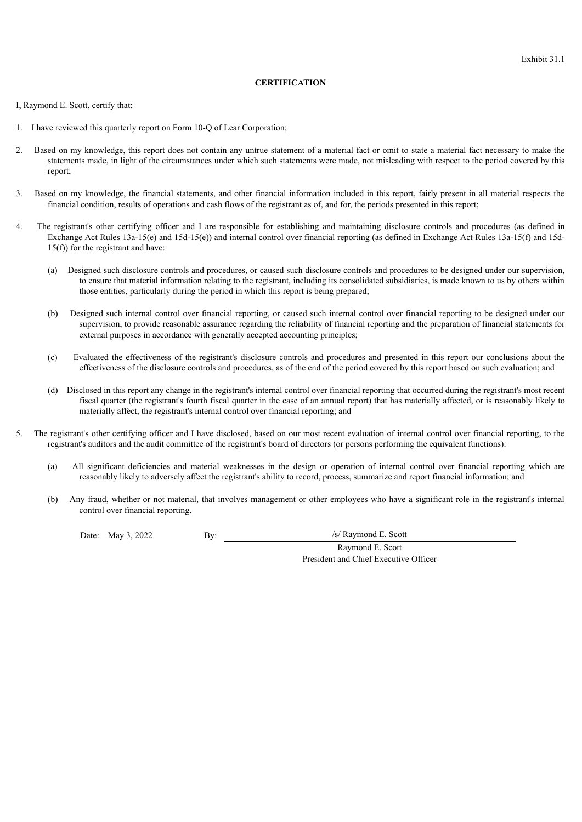## **CERTIFICATION**

<span id="page-48-0"></span>I, Raymond E. Scott, certify that:

- 1. I have reviewed this quarterly report on Form 10-Q of Lear Corporation;
- 2. Based on my knowledge, this report does not contain any untrue statement of a material fact or omit to state a material fact necessary to make the statements made, in light of the circumstances under which such statements were made, not misleading with respect to the period covered by this report;
- 3. Based on my knowledge, the financial statements, and other financial information included in this report, fairly present in all material respects the financial condition, results of operations and cash flows of the registrant as of, and for, the periods presented in this report;
- 4. The registrant's other certifying officer and I are responsible for establishing and maintaining disclosure controls and procedures (as defined in Exchange Act Rules 13a-15(e) and 15d-15(e)) and internal control over financial reporting (as defined in Exchange Act Rules 13a-15(f) and 15d-15(f)) for the registrant and have:
	- (a) Designed such disclosure controls and procedures, or caused such disclosure controls and procedures to be designed under our supervision, to ensure that material information relating to the registrant, including its consolidated subsidiaries, is made known to us by others within those entities, particularly during the period in which this report is being prepared;
	- (b) Designed such internal control over financial reporting, or caused such internal control over financial reporting to be designed under our supervision, to provide reasonable assurance regarding the reliability of financial reporting and the preparation of financial statements for external purposes in accordance with generally accepted accounting principles;
	- (c) Evaluated the effectiveness of the registrant's disclosure controls and procedures and presented in this report our conclusions about the effectiveness of the disclosure controls and procedures, as of the end of the period covered by this report based on such evaluation; and
	- (d) Disclosed in this report any change in the registrant's internal control over financial reporting that occurred during the registrant's most recent fiscal quarter (the registrant's fourth fiscal quarter in the case of an annual report) that has materially affected, or is reasonably likely to materially affect, the registrant's internal control over financial reporting; and
- 5. The registrant's other certifying officer and I have disclosed, based on our most recent evaluation of internal control over financial reporting, to the registrant's auditors and the audit committee of the registrant's board of directors (or persons performing the equivalent functions):
	- (a) All significant deficiencies and material weaknesses in the design or operation of internal control over financial reporting which are reasonably likely to adversely affect the registrant's ability to record, process, summarize and report financial information; and
	- (b) Any fraud, whether or not material, that involves management or other employees who have a significant role in the registrant's internal control over financial reporting.

Date: May 3, 2022 By:

/s/ Raymond E. Scott

Raymond E. Scott President and Chief Executive Officer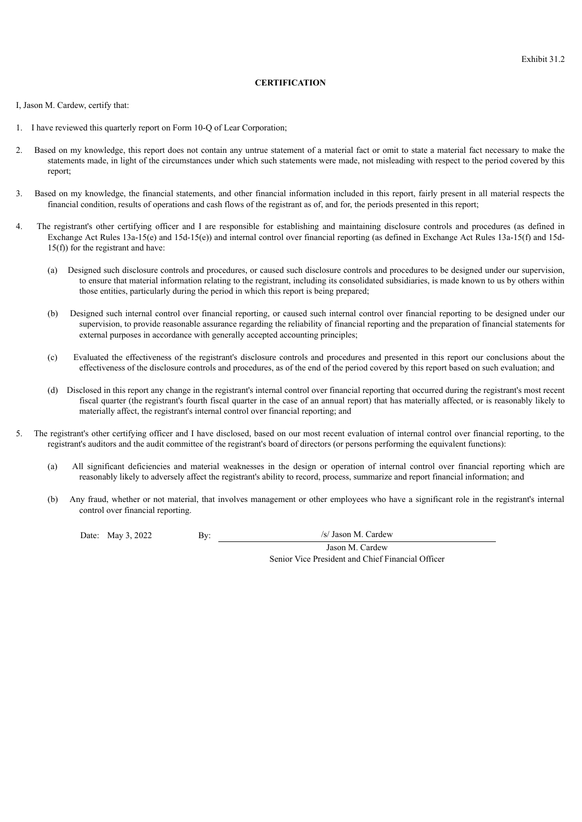## **CERTIFICATION**

<span id="page-49-0"></span>I, Jason M. Cardew, certify that:

- 1. I have reviewed this quarterly report on Form 10-Q of Lear Corporation;
- 2. Based on my knowledge, this report does not contain any untrue statement of a material fact or omit to state a material fact necessary to make the statements made, in light of the circumstances under which such statements were made, not misleading with respect to the period covered by this report;
- 3. Based on my knowledge, the financial statements, and other financial information included in this report, fairly present in all material respects the financial condition, results of operations and cash flows of the registrant as of, and for, the periods presented in this report;
- 4. The registrant's other certifying officer and I are responsible for establishing and maintaining disclosure controls and procedures (as defined in Exchange Act Rules 13a-15(e) and 15d-15(e)) and internal control over financial reporting (as defined in Exchange Act Rules 13a-15(f) and 15d-15(f)) for the registrant and have:
	- (a) Designed such disclosure controls and procedures, or caused such disclosure controls and procedures to be designed under our supervision, to ensure that material information relating to the registrant, including its consolidated subsidiaries, is made known to us by others within those entities, particularly during the period in which this report is being prepared;
	- (b) Designed such internal control over financial reporting, or caused such internal control over financial reporting to be designed under our supervision, to provide reasonable assurance regarding the reliability of financial reporting and the preparation of financial statements for external purposes in accordance with generally accepted accounting principles;
	- (c) Evaluated the effectiveness of the registrant's disclosure controls and procedures and presented in this report our conclusions about the effectiveness of the disclosure controls and procedures, as of the end of the period covered by this report based on such evaluation; and
	- (d) Disclosed in this report any change in the registrant's internal control over financial reporting that occurred during the registrant's most recent fiscal quarter (the registrant's fourth fiscal quarter in the case of an annual report) that has materially affected, or is reasonably likely to materially affect, the registrant's internal control over financial reporting; and
- 5. The registrant's other certifying officer and I have disclosed, based on our most recent evaluation of internal control over financial reporting, to the registrant's auditors and the audit committee of the registrant's board of directors (or persons performing the equivalent functions):
	- (a) All significant deficiencies and material weaknesses in the design or operation of internal control over financial reporting which are reasonably likely to adversely affect the registrant's ability to record, process, summarize and report financial information; and
	- (b) Any fraud, whether or not material, that involves management or other employees who have a significant role in the registrant's internal control over financial reporting.

Date: May 3, 2022 By:

/s/ Jason M. Cardew

Jason M. Cardew Senior Vice President and Chief Financial Officer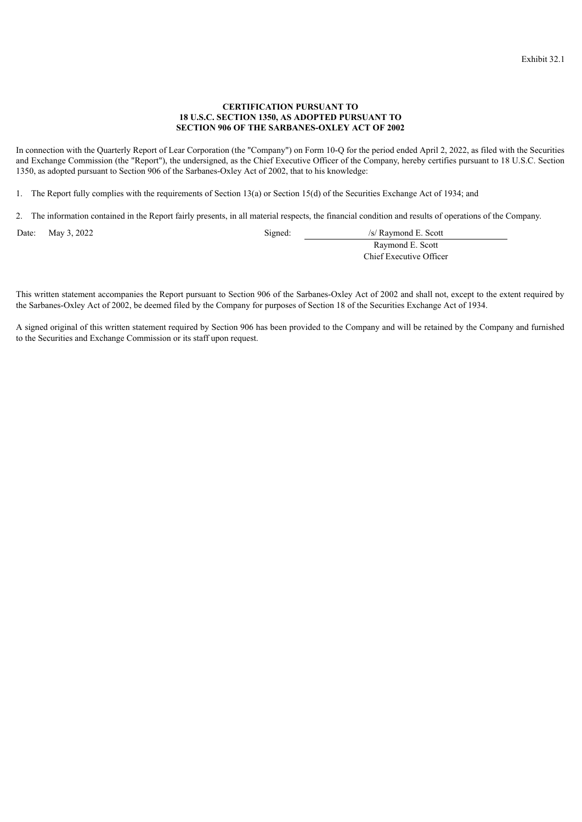## **CERTIFICATION PURSUANT TO 18 U.S.C. SECTION 1350, AS ADOPTED PURSUANT TO SECTION 906 OF THE SARBANES-OXLEY ACT OF 2002**

<span id="page-50-0"></span>In connection with the Quarterly Report of Lear Corporation (the "Company") on Form 10-Q for the period ended April 2, 2022, as filed with the Securities and Exchange Commission (the "Report"), the undersigned, as the Chief Executive Officer of the Company, hereby certifies pursuant to 18 U.S.C. Section 1350, as adopted pursuant to Section 906 of the Sarbanes-Oxley Act of 2002, that to his knowledge:

1. The Report fully complies with the requirements of Section 13(a) or Section 15(d) of the Securities Exchange Act of 1934; and

2. The information contained in the Report fairly presents, in all material respects, the financial condition and results of operations of the Company.

Date: May 3, 2022 Signed: /s/ Raymond E. Scott Raymond E. Scott Chief Executive Officer

This written statement accompanies the Report pursuant to Section 906 of the Sarbanes-Oxley Act of 2002 and shall not, except to the extent required by the Sarbanes-Oxley Act of 2002, be deemed filed by the Company for purposes of Section 18 of the Securities Exchange Act of 1934.

A signed original of this written statement required by Section 906 has been provided to the Company and will be retained by the Company and furnished to the Securities and Exchange Commission or its staff upon request.